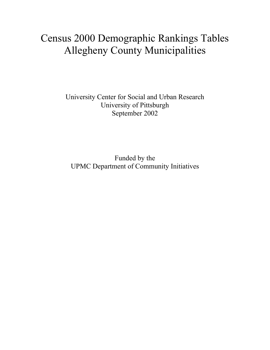# Census 2000 Demographic Rankings Tables Allegheny County Municipalities

University Center for Social and Urban Research University of Pittsburgh September 2002

Funded by the UPMC Department of Community Initiatives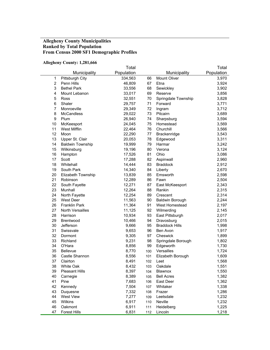#### **Allegheny County Municipalities Ranked by Total Population From Census 2000 SF1 Demographic Profiles**

# **Allegheny County: 1,281,666**

|                |                         | Total      |     |                        | Total      |
|----------------|-------------------------|------------|-----|------------------------|------------|
|                | Municipality            | Population |     | Municipality           | Population |
| $\mathbf 1$    | Pittsburgh City         | 334,563    | 66  | Mount Oliver           | 3,970      |
| $\overline{2}$ | Penn Hills              | 46,809     | 67  | Etna                   | 3,924      |
| 3              | <b>Bethel Park</b>      | 33,556     | 68  | Sewickley              | 3,902      |
| 4              | Mount Lebanon           | 33,017     | 69  | Reserve                | 3,856      |
| 5              | Ross                    | 32,551     | 70  | Springdale Township    | 3,828      |
| 6              | Shaler                  | 29,757     | 71  | Forward                | 3,771      |
| $\overline{7}$ | Monroeville             | 29,349     | 72  | Ingram                 | 3,712      |
| 8              | <b>McCandless</b>       | 29,022     | 73  | Pitcairn               | 3,689      |
| 9              | Plum                    | 26,940     | 74  | Sharpsburg             | 3,594      |
| 10             | McKeesport              | 24,045     | 75  | Homestead              | 3,569      |
| 11             | West Mifflin            | 22,464     | 76  | Churchill              | 3,566      |
| 12             | Moon                    | 22,290     | 77  | Brackenridge           | 3,543      |
| 13             | Upper St. Clair         | 20,053     | 78  | Edgewood               | 3,311      |
| 14             | <b>Baldwin Township</b> | 19,999     | 79  | Harmar                 | 3,242      |
| 15             | Wilkinsburg             | 19,196     | 80  | Verona                 | 3,124      |
| 16             | Hampton                 | 17,526     | 81  | Ohio                   | 3,086      |
| 17             | Scott                   | 17,288     | 82  | Aspinwall              | 2,960      |
| 18             | Whitehall               | 14,444     | 83  | <b>Braddock</b>        | 2,912      |
| 19             | South Park              | 14,340     | 84  | Liberty                | 2,670      |
| 20             | Elizabeth Township      | 13,839     | 85  | Emsworth               | 2,598      |
| 21             | Robinson                | 12,289     | 86  | Fawn                   | 2,504      |
| 22             | South Fayette           | 12,271     | 87  | East McKeesport        | 2,343      |
| 23             | Munhall                 | 12,264     | 88  | Rankin                 | 2,315      |
| 24             | North Fayette           | 12,254     | 89  | Crescent               | 2,314      |
| 25             | <b>West Deer</b>        | 11,563     | 90  | <b>Baldwin Borough</b> | 2,244      |
| 26             | <b>Franklin Park</b>    | 11,364     | 91  | West Homestead         | 2,197      |
| 27             | North Versailles        | 11,125     | 92  | Wilmerding             | 2,145      |
| 28             | Harrison                | 10,934     | 93  | East Pittsburgh        | 2,017      |
| 29             | Brentwood               | 10,466     | 94  | Dravosburg             | 2,015      |
| 30             | Jefferson               | 9,666      | 95  | <b>Braddock Hills</b>  | 1,998      |
| 31             | Swissvale               | 9,653      | 96  | Ben Avon               | 1,917      |
| 32             | Dormont                 | 9,305      | 97  | Cheswick               | 1,899      |
| 33             | Richland                | 9,231      | 98  | Springdale Borough     | 1,802      |
| 34             | O'Hara                  | 8,856      | 99  | Edgeworth              | 1,730      |
| 35             | <b>Bellevue</b>         | 8,770      | 100 | Versailles             | 1,724      |
| 36             | Castle Shannon          | 8,556      | 101 | Elizabeth Borough      | 1,609      |
| 37             | Clairton                | 8,491      | 102 | Leet                   | 1,568      |
| 38             | White Oak               | 8,432      | 103 | Oakdale                | 1,551      |
| 39             | <b>Pleasant Hills</b>   | 8,397      | 104 | Blawnox                | 1,550      |
| 40             | Carnegie                | 8,389      | 105 | <b>Bell Acres</b>      | 1,382      |
| 41             | Pine                    | 7,683      | 106 | East Deer              | 1,362      |
| 42             | Kennedy                 | 7,504      | 107 | Whitaker               | 1,338      |
| 43             | Duquesne                | 7,332      | 108 | Frazer                 | 1,286      |
| 44             | <b>West View</b>        | 7,277      | 109 | Leetsdale              | 1,232      |
| 45             | Wilkins                 | 6,917      | 110 | Neville                | 1,232      |
| 46             | Oakmont                 | 6,911      | 111 | Heidelberg             | 1,225      |
| 47             | Forest Hills            | 6,831      | 112 | Lincoln                | 1,218      |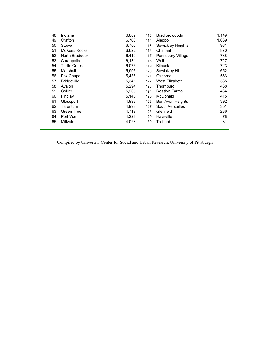| 48 | Indiana             | 6,809 | 113 | <b>Bradfordwoods</b> | 1,149 |
|----|---------------------|-------|-----|----------------------|-------|
| 49 | Crafton             | 6,706 | 114 | Aleppo               | 1,039 |
| 50 | Stowe               | 6,706 | 115 | Sewickley Heights    | 981   |
| 51 | McKees Rocks        | 6,622 | 116 | Chalfant             | 870   |
| 52 | North Braddock      | 6,410 | 117 | Pennsbury Village    | 738   |
| 53 | Coraopolis          | 6,131 | 118 | Wall                 | 727   |
| 54 | <b>Turtle Creek</b> | 6,076 | 119 | Kilbuck              | 723   |
| 55 | Marshall            | 5,996 | 120 | Sewickley Hills      | 652   |
| 56 | Fox Chapel          | 5,436 | 121 | Osborne              | 566   |
| 57 | <b>Bridgeville</b>  | 5,341 | 122 | West Elizabeth       | 565   |
| 58 | Avalon              | 5,294 | 123 | Thornburg            | 468   |
| 59 | Collier             | 5,265 | 124 | Rosslyn Farms        | 464   |
| 60 | Findlay             | 5,145 | 125 | <b>McDonald</b>      | 415   |
| 61 | Glassport           | 4,993 | 126 | Ben Avon Heights     | 392   |
| 62 | Tarentum            | 4,993 | 127 | South Versailles     | 351   |
| 63 | Green Tree          | 4,719 | 128 | Glenfield            | 236   |
| 64 | Port Vue            | 4,228 | 129 | Haysville            | 78    |
| 65 | Millvale            | 4,028 | 130 | Trafford             | 31    |
|    |                     |       |     |                      |       |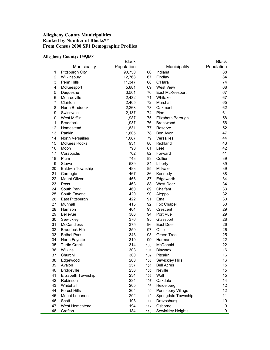## **Allegheny County Municipalities Ranked by Number of Blacks\*\* From Census 2000 SF1 Demographic Profiles**

#### **Allegheny County: 159,058**

|                |                         | <b>Black</b> |     |                     | <b>Black</b>    |
|----------------|-------------------------|--------------|-----|---------------------|-----------------|
|                | Municipality            | Population   |     | Municipality        | Population      |
| 1              | <b>Pittsburgh City</b>  | 90,750       | 66  | Indiana             | 88              |
| 2              | Wilkinsburg             | 12,768       | 67  | Findlay             | 84              |
| 3              | Penn Hills              | 11,347       | 68  | O'Hara              | 74              |
| 4              | McKeesport              | 5,881        | 69  | <b>West View</b>    | 68              |
| 5              | Duquesne                | 3,501        | 70  | East McKeesport     | 67              |
| 6              | Monroeville             | 2,432        | 71  | Whitaker            | 67              |
| $\overline{7}$ | Clairton                | 2,405        | 72  | Marshall            | 65              |
| 8              | North Braddock          | 2,263        | 73  | Oakmont             | 62              |
| 9              | Swissvale               | 2,137        | 74  | Pine                | 61              |
| 10             | West Mifflin            | 1,987        | 75  | Elizabeth Borough   | 58              |
| 11             | <b>Braddock</b>         | 1,937        | 76  | Brentwood           | 56              |
| 12             | Homestead               | 1,831        | 77  | Reserve             | 52              |
| 13             | Rankin                  | 1,605        | 78  | Ben Avon            | 47              |
| 14             | North Versailles        | 1,087        | 79  | Versailles          | 44              |
| 15             | <b>McKees Rocks</b>     | 931          | 80  | Richland            | 43              |
| 16             | Moon                    | 798          | 81  | Leet                | 42              |
| 17             | Coraopolis              | 762          | 82  | Forward             | 41              |
| 18             | Plum                    | 743          | 83  | Collier             | 39              |
| 19             | Stowe                   | 539          | 84  | Liberty             | 39              |
| 20             | <b>Baldwin Township</b> | 483          | 85  | Millvale            | 39              |
| 21             | Carnegie                | 467          | 86  | Kennedy             | 38              |
| 22             | Mount Oliver            | 466          | 87  | Edgeworth           | 34              |
| 23             | Ross                    | 463          | 88  | <b>West Deer</b>    | 34              |
| 24             | South Park              | 460          | 89  | Chalfant            | 33              |
| 25             | South Fayette           | 429          | 90  | Aleppo              | 32              |
| 26             | East Pittsburgh         | 422          | 91  | Etna                | 30              |
| 27             | Munhall                 | 415          | 92  | Fox Chapel          | 30              |
| 28             | Harrison                | 404          | 93  | Crescent            | 29              |
| 29             | <b>Bellevue</b>         | 386          | 94  | Port Vue            | 29              |
| 30             | Sewickley               | 376          | 95  | Glassport           | 28              |
| 31             | <b>McCandless</b>       | 375          | 96  | East Deer           | 26              |
| 32             | <b>Braddock Hills</b>   | 359          | 97  | Ohio                | 26              |
| 33             | <b>Bethel Park</b>      | 343          | 98  | Green Tree          | 25              |
| 34             | North Fayette           | 319          | 99  | Harmar              | 22              |
| 35             | <b>Turtle Creek</b>     | 314          | 100 | McDonald            | 22              |
| 36             | Wilkins                 | 303          | 101 | Blawnox             | 16              |
| 37             | Churchill               | 300          | 102 | Pitcairn            | 16              |
| 38             | Edgewood                | 260          | 103 | Sewickley Hills     | 16              |
| 39             | Avalon                  | 257          | 104 | <b>Bell Acres</b>   | 15              |
| 40             | <b>Bridgeville</b>      | 236          | 105 | Neville             | 15              |
| 41             | Elizabeth Township      | 234          | 106 | Wall                | 15              |
| 42             | Robinson                | 234          | 107 | Oakdale             | 14              |
| 43             | Whitehall               | 205          | 108 | Heidelberg          | 12 <sup>°</sup> |
| 44             | <b>Forest Hills</b>     | 204          | 109 | Pennsbury Village   | 12              |
| 45             | Mount Lebanon           | 202          | 110 | Springdale Township | 11              |
| 46             | Scott                   | 198          | 111 | Dravosburg          | 10              |
| 47             | West Homestead          | 194          | 112 | Osborne             | 9               |
| 48             | Crafton                 | 184          | 113 | Sewickley Heights   | 9               |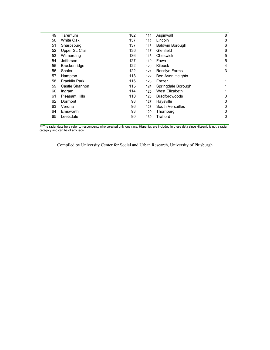| 49 | Tarentum              | 182 | 114 | Aspinwall              | 8 |
|----|-----------------------|-----|-----|------------------------|---|
| 50 | <b>White Oak</b>      | 157 | 115 | Lincoln                | 8 |
| 51 | Sharpsburg            | 137 | 116 | <b>Baldwin Borough</b> | 6 |
| 52 | Upper St. Clair       | 136 | 117 | Glenfield              | 6 |
| 53 | Wilmerding            | 136 | 118 | Cheswick               | 5 |
| 54 | Jefferson             | 127 | 119 | Fawn                   | 5 |
| 55 | Brackenridge          | 122 | 120 | <b>Kilbuck</b>         | 4 |
| 56 | Shaler                | 122 | 121 | Rosslyn Farms          | 3 |
| 57 | Hampton               | 118 | 122 | Ben Avon Heights       |   |
| 58 | <b>Franklin Park</b>  | 116 | 123 | Frazer                 |   |
| 59 | Castle Shannon        | 115 | 124 | Springdale Borough     |   |
| 60 | Ingram                | 114 | 125 | West Elizabeth         |   |
| 61 | <b>Pleasant Hills</b> | 110 | 126 | <b>Bradfordwoods</b>   | 0 |
| 62 | Dormont               | 98  | 127 | Haysville              | 0 |
| 63 | Verona                | 96  | 128 | South Versailles       | 0 |
| 64 | Emsworth              | 93  | 129 | Thornburg              | 0 |
| 65 | Leetsdale             | 90  | 130 | Trafford               | 0 |
|    |                       |     |     |                        |   |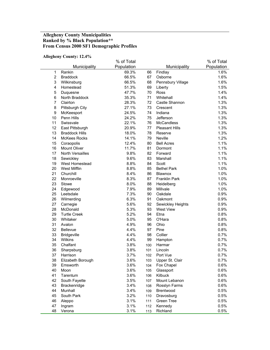## **Allegheny County Municipalities Ranked by % Black Population\*\* From Census 2000 SF1 Demographic Profiles**

#### **Allegheny County: 12.4%**

|                | лікдікну Соціну. 12.470 | % of Total |     |                       | % of Total |
|----------------|-------------------------|------------|-----|-----------------------|------------|
|                | Municipality            | Population |     | Municipality          | Population |
| 1              | Rankin                  | 69.3%      | 66  | Findlay               | 1.6%       |
| $\overline{2}$ | <b>Braddock</b>         | 66.5%      | 67  | Osborne               | 1.6%       |
| 3              | Wilkinsburg             | 66.5%      | 68  | Pennsbury Village     | 1.6%       |
| 4              | Homestead               | 51.3%      | 69  | Liberty               | 1.5%       |
| 5              | Duquesne                | 47.7%      | 70  | <b>Ross</b>           | 1.4%       |
| 6              | North Braddock          | 35.3%      | 71  | Whitehall             | 1.4%       |
| $\overline{7}$ | Clairton                | 28.3%      | 72  | Castle Shannon        | 1.3%       |
| 8              | Pittsburgh City         | 27.1%      | 73  | Crescent              | 1.3%       |
| 9              | McKeesport              | 24.5%      | 74  | Indiana               | 1.3%       |
| 10             | Penn Hills              | 24.2%      | 75  | Jefferson             | 1.3%       |
| 11             | Swissvale               | 22.1%      | 76  | <b>McCandless</b>     | 1.3%       |
| 12             | East Pittsburgh         | 20.9%      | 77  | <b>Pleasant Hills</b> | 1.3%       |
| 13             | <b>Braddock Hills</b>   | 18.0%      | 78  | Reserve               | 1.3%       |
| 14             | <b>McKees Rocks</b>     | 14.1%      | 79  | Neville               | 1.2%       |
| 15             | Coraopolis              | 12.4%      | 80  | <b>Bell Acres</b>     | 1.1%       |
| 16             | Mount Oliver            | 11.7%      | 81  | Dormont               | 1.1%       |
| 17             | North Versailles        | 9.8%       | 82  | Forward               | 1.1%       |
| 18             | Sewickley               | 9.6%       | 83  | Marshall              | 1.1%       |
| 19             | West Homestead          | 8.8%       | 84  | Scott                 | 1.1%       |
| 20             | West Mifflin            | 8.8%       | 85  | <b>Bethel Park</b>    | 1.0%       |
| 21             | Churchill               | 8.4%       | 86  | Blawnox               | 1.0%       |
| 22             | Monroeville             | 8.3%       | 87  | Franklin Park         | 1.0%       |
| 23             | Stowe                   | 8.0%       | 88  | Heidelberg            | 1.0%       |
| 24             | Edgewood                | 7.9%       | 89  | Millvale              | 1.0%       |
| 25             | Leetsdale               | 7.3%       | 90  | Oakdale               | 0.9%       |
| 26             | Wilmerding              | 6.3%       | 91  | Oakmont               | 0.9%       |
| 27             | Carnegie                | 5.6%       | 92  | Sewickley Heights     | 0.9%       |
| 28             | McDonald                | 5.3%       | 93  | <b>West View</b>      | 0.9%       |
| 29             | <b>Turtle Creek</b>     | 5.2%       | 94  | Etna                  | 0.8%       |
| 30             | Whitaker                | 5.0%       | 95  | O'Hara                | 0.8%       |
| 31             | Avalon                  | 4.9%       | 96  | Ohio                  | 0.8%       |
| 32             | Bellevue                | 4.4%       | 97  | Pine                  | 0.8%       |
| 33             | <b>Bridgeville</b>      | 4.4%       | 98  | Collier               | 0.7%       |
| 34             | Wilkins                 | 4.4%       | 99  | Hampton               | 0.7%       |
| 35             | Chalfant                | 3.8%       | 100 | Harmar                | 0.7%       |
| 36             | Sharpsburg              | 3.8%       | 101 | Lincoln               | 0.7%       |
| 37             | Harrison                | 3.7%       | 102 | Port Vue              | 0.7%       |
| 38             | Elizabeth Borough       | 3.6%       | 103 | Upper St. Clair       | 0.7%       |
| 39             | Emsworth                | 3.6%       | 104 | Fox Chapel            | 0.6%       |
| 40             | Moon                    | 3.6%       | 105 | Glassport             | 0.6%       |
| 41             | Tarentum                | 3.6%       | 106 | Kilbuck               | 0.6%       |
| 42             | South Fayette           | 3.5%       | 107 | Mount Lebanon         | 0.6%       |
| 43             | Brackenridge            | 3.4%       | 108 | Rosslyn Farms         | 0.6%       |
| 44             | Munhall                 | 3.4%       | 109 | Brentwood             | 0.5%       |
| 45             | South Park              | 3.2%       | 110 | Dravosburg            | 0.5%       |
| 46             | Aleppo                  | 3.1%       | 111 | Green Tree            | 0.5%       |
| 47             | Ingram                  | 3.1%       | 112 | Kennedy               | 0.5%       |
| 48             | Verona                  | 3.1%       | 113 | Richland              | 0.5%       |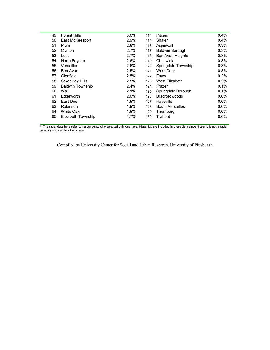| 49 | <b>Forest Hills</b>     | 3.0% | 114 | Pitcairn               | 0.4%    |
|----|-------------------------|------|-----|------------------------|---------|
| 50 | East McKeesport         | 2.9% | 115 | Shaler                 | 0.4%    |
| 51 | Plum                    | 2.8% | 116 | Aspinwall              | 0.3%    |
| 52 | Crafton                 | 2.7% | 117 | <b>Baldwin Borough</b> | 0.3%    |
| 53 | Leet                    | 2.7% | 118 | Ben Avon Heights       | 0.3%    |
| 54 | North Fayette           | 2.6% | 119 | Cheswick               | 0.3%    |
| 55 | Versailles              | 2.6% | 120 | Springdale Township    | 0.3%    |
| 56 | Ben Avon                | 2.5% | 121 | West Deer              | 0.3%    |
| 57 | Glenfield               | 2.5% | 122 | Fawn                   | 0.2%    |
| 58 | Sewickley Hills         | 2.5% | 123 | West Elizabeth         | 0.2%    |
| 59 | <b>Baldwin Township</b> | 2.4% | 124 | Frazer                 | 0.1%    |
| 60 | Wall                    | 2.1% | 125 | Springdale Borough     | 0.1%    |
| 61 | Edgeworth               | 2.0% | 126 | <b>Bradfordwoods</b>   | $0.0\%$ |
| 62 | East Deer               | 1.9% | 127 | Haysville              | $0.0\%$ |
| 63 | <b>Robinson</b>         | 1.9% | 128 | South Versailles       | $0.0\%$ |
| 64 | White Oak               | 1.9% | 129 | Thornburg              | $0.0\%$ |
| 65 | Elizabeth Township      | 1.7% | 130 | Trafford               | 0.0%    |
|    |                         |      |     |                        |         |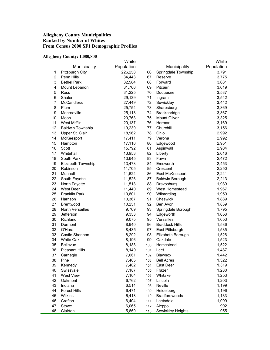## **Allegheny County Municipalities Ranked by Number of Whites From Census 2000 SF1 Demographic Profiles**

#### **Allegheny County: 1,080,800**

|                | ліндікну сойну, 1,000,000 | White      |     |                        | White      |
|----------------|---------------------------|------------|-----|------------------------|------------|
|                | Municipality              | Population |     | Municipality           | Population |
| $\mathbf 1$    | Pittsburgh City           | 226,258    | 66  | Springdale Township    | 3,791      |
| $\overline{2}$ | Penn Hills                | 34,443     | 67  | Reserve                | 3,775      |
| 3              | <b>Bethel Park</b>        | 32,584     | 68  | Forward                | 3,681      |
| 4              | Mount Lebanon             | 31,766     | 69  | Pitcairn               | 3,619      |
| 5              | Ross                      | 31,225     | 70  | Duquesne               | 3,587      |
| 6              | Shaler                    | 29,139     | 71  | Ingram                 | 3,542      |
| $\overline{7}$ | <b>McCandless</b>         | 27,449     | 72  | Sewickley              | 3,442      |
| 8              | Plum                      | 25,754     | 73  | Sharpsburg             | 3,369      |
| 9              | Monroeville               | 25,118     | 74  | Brackenridge           | 3,367      |
| 10             | Moon                      | 20,768     | 75  | Mount Oliver           | 3,325      |
| 11             | West Mifflin              | 20,137     | 76  | Harmar                 | 3,169      |
| 12             | <b>Baldwin Township</b>   | 19,239     | 77  | Churchill              | 3,156      |
| 13             | Upper St. Clair           | 18,962     | 78  | Ohio                   | 2,992      |
| 14             | McKeesport                | 17,411     | 79  | Verona                 | 2,992      |
| 15             | Hampton                   | 17,116     | 80  | Edgewood               | 2,951      |
| 16             | Scott                     | 15,792     | 81  | Aspinwall              | 2,904      |
| 17             | Whitehall                 | 13,953     | 82  | Liberty                | 2,616      |
| 18             | South Park                | 13,645     | 83  | Fawn                   | 2,472      |
| 19             | Elizabeth Township        | 13,473     | 84  | Emsworth               | 2,453      |
| 20             | Robinson                  | 11,705     | 85  | Crescent               | 2,250      |
| 21             | Munhall                   | 11,624     | 86  | East McKeesport        | 2,241      |
| 22             | South Fayette             | 11,526     | 87  | <b>Baldwin Borough</b> | 2,213      |
| 23             | North Fayette             | 11,518     | 88  | Dravosburg             | 1,989      |
| 24             | <b>West Deer</b>          | 11,440     | 89  | West Homestead         | 1,967      |
| 25             | <b>Franklin Park</b>      | 10,801     | 90  | Wilmerding             | 1,959      |
| 26             | Harrison                  | 10,367     | 91  | Cheswick               | 1,889      |
| 27             | <b>Brentwood</b>          | 10,251     | 92  | Ben Avon               | 1,839      |
| 28             | North Versailles          | 9,769      | 93  | Springdale Borough     | 1,795      |
| 29             | Jefferson                 | 9,353      | 94  | Edgeworth              | 1,658      |
| 30             | Richland                  | 9,075      | 95  | Versailles             | 1,653      |
| 31             | Dormont                   | 8,940      | 96  | <b>Braddock Hills</b>  | 1,586      |
| 32             | O'Hara                    | 8,435      | 97  | East Pittsburgh        | 1,535      |
| 33             | Castle Shannon            | 8,292      | 98  | Elizabeth Borough      | 1,526      |
| 34             | White Oak                 | 8,196      | 99  | Oakdale                | 1,523      |
| 35             | Bellevue                  | 8,188      | 100 | Homestead              | 1,522      |
| 36             | <b>Pleasant Hills</b>     | 8,149      | 101 | Leet                   | 1,487      |
| 37             | Carnegie                  | 7,661      | 102 | Blawnox                | 1,442      |
| 38             | Pine                      | 7,465      | 103 | <b>Bell Acres</b>      | 1,322      |
| 39             | Kennedy                   | 7,402      | 104 | East Deer              | 1,319      |
| 40             | Swissvale                 | 7,187      | 105 | Frazer                 | 1,280      |
| 41             | <b>West View</b>          | 7,104      | 106 | Whitaker               | 1,253      |
| 42             | Oakmont                   | 6,762      | 107 | Lincoln                | 1,203      |
| 43             | Indiana                   | 6,514      | 108 | Neville                | 1,199      |
| 44             | <b>Forest Hills</b>       | 6,471      | 109 | Heidelberg             | 1,196      |
| 45             | Wilkins                   | 6,418      | 110 | Bradfordwoods          | 1,133      |
| 46             | Crafton                   | 6,404      | 111 | Leetsdale              | 1,099      |
| 47             | Stowe                     | 6,065      | 112 | Aleppo                 | 992        |
| 48             | Clairton                  | 5,869      | 113 | Sewickley Heights      | 955        |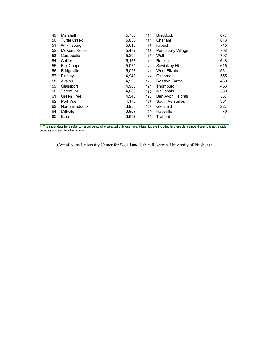| 49 | Marshall            | 5,750 | 114 | <b>Braddock</b>          | 877 |
|----|---------------------|-------|-----|--------------------------|-----|
| 50 | <b>Turtle Creek</b> | 5,633 | 115 | Chalfant                 | 813 |
| 51 | Wilkinsburg         | 5,615 | 116 | <b>Kilbuck</b>           | 715 |
| 52 | McKees Rocks        | 5,477 | 117 | <b>Pennsbury Village</b> | 708 |
| 53 | Coraopolis          | 5,209 | 118 | Wall                     | 707 |
| 54 | Collier             | 5,163 | 119 | Rankin                   | 648 |
| 55 | Fox Chapel          | 5,071 | 120 | Sewickley Hills          | 615 |
| 56 | <b>Bridgeville</b>  | 5,023 | 121 | West Elizabeth           | 561 |
| 57 | Findlay             | 4,948 | 122 | Osborne                  | 555 |
| 58 | Avalon              | 4,925 | 123 | <b>Rosslyn Farms</b>     | 460 |
| 59 | Glassport           | 4,905 | 124 | Thornburg                | 453 |
| 60 | Tarentum            | 4,683 | 125 | McDonald                 | 389 |
| 61 | Green Tree          | 4,540 | 126 | <b>Ben Avon Heights</b>  | 387 |
| 62 | Port Vue            | 4,175 | 127 | South Versailles         | 351 |
| 63 | North Braddock      | 3,955 | 128 | Glenfield                | 227 |
| 64 | Millvale            | 3,907 | 129 | Haysville                | 76  |
| 65 | Etna                | 3,837 | 130 | Trafford                 | 31  |
|    |                     |       |     |                          |     |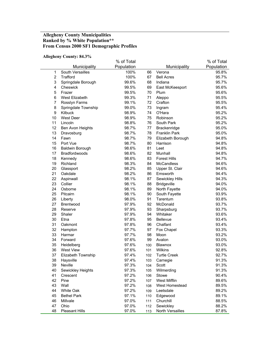## **Allegheny County Municipalities Ranked by % White Population\*\* From Census 2000 SF1 Demographic Profiles**

#### **Allegheny County: 84.3%**

| Population<br>Population<br>Municipality<br>Municipality<br>South Versailles<br>100%<br>95.8%<br>$\mathbf 1$<br>66<br>Verona<br>$\overline{2}$<br>100%<br>Trafford<br>67<br><b>Bell Acres</b><br>95.7%<br>$\ensuremath{\mathsf{3}}$<br>99.6%<br>68<br>Indiana<br>95.7%<br>Springdale Borough<br>$\overline{\mathbf{4}}$<br>Cheswick<br>99.5%<br>69<br>95.6%<br>East McKeesport<br>5<br>Frazer<br>99.5%<br>Plum<br>95.6%<br>70<br>6<br>West Elizabeth<br>99.3%<br>71<br>95.5%<br>Aleppo<br>7<br>Rosslyn Farms<br>99.1%<br>72<br>Crafton<br>95.5%<br>8<br>99.0%<br>73<br>Ingram<br>95.4%<br>Springdale Township<br>9<br>Kilbuck<br>98.9%<br>74<br>O'Hara<br>95.2%<br>10<br><b>West Deer</b><br>98.9%<br>75<br>Robinson<br>95.2%<br>11<br>98.8%<br>76<br>South Park<br>95.2%<br>Lincoln<br>12<br>98.7%<br>77<br>95.0%<br>Ben Avon Heights<br>Brackenridge<br>13<br>98.7%<br>78<br><b>Franklin Park</b><br>95.0%<br>Dravosburg<br>14<br>Fawn<br>98.7%<br>79<br>94.8%<br>Elizabeth Borough<br>15<br>Port Vue<br>98.7%<br>80<br>94.8%<br>Harrison<br>81<br>16<br><b>Baldwin Borough</b><br>98.6%<br>94.8%<br>Leet<br>17<br>Bradfordwoods<br>98.6%<br>82<br>Munhall<br>94.8%<br>18<br>98.6%<br>83<br><b>Forest Hills</b><br>94.7%<br>Kennedy<br>19<br>Richland<br>98.3%<br>84<br><b>McCandless</b><br>94.6%<br>20<br>98.2%<br>85<br>94.6%<br>Glassport<br>Upper St. Clair<br>21<br>Oakdale<br>98.2%<br>86<br>Emsworth<br>94.4%<br>22<br>94.3%<br>Aspinwall<br>98.1%<br>87<br>Sewickley Hills<br>23<br>Collier<br>98.1%<br>88<br><b>Bridgeville</b><br>94.0%<br>24<br>98.1%<br>Osborne<br>89<br>North Fayette<br>94.0%<br>25<br>93.9%<br>Pitcairn<br>98.1%<br>90<br>South Fayette<br>91<br>26<br>98.0%<br>Tarentum<br>93.8%<br>Liberty<br>97.9%<br>92<br>27<br>McDonald<br>93.7%<br>Brentwood<br>28<br>97.9%<br>93<br>93.7%<br>Reserve<br>Sharpsburg<br>29<br>Shaler<br>97.9%<br>94<br>Whitaker<br>93.6%<br>30<br>97.8%<br>95<br><b>Bellevue</b><br>93.4%<br>Etna<br>31<br>Oakmont<br>97.8%<br>96<br>Chalfant<br>93.4%<br>32<br>97.7%<br>97<br>93.3%<br>Hampton<br>Fox Chapel<br>33<br>97.7%<br>98<br>Moon<br>93.2%<br>Harmar<br>34<br>Forward<br>97.6%<br>99<br>Avalon<br>93.0%<br>35<br>97.6%<br>93.0%<br>Heidelberg<br>Blawnox<br>100<br>36<br><b>West View</b><br>97.6%<br>Wilkins<br>92.8%<br>101<br>37<br>97.4%<br>92.7%<br>Elizabeth Township<br>102<br><b>Turtle Creek</b><br>Haysville<br>97.4%<br>91.3%<br>38<br>Carnegie<br>103<br>39<br>Neville<br>97.3%<br>Scott<br>91.3%<br>104<br>40<br>Sewickley Heights<br>97.3%<br>Wilmerding<br>91.3%<br>105<br>41<br>Crescent<br>97.2%<br>Stowe<br>90.4%<br>106<br>42<br>Pine<br>97.2%<br>West Mifflin<br>89.6%<br>107<br>43<br>Wall<br>97.2%<br>West Homestead<br>89.5%<br>108<br>44<br>White Oak<br>97.2%<br>Leetsdale<br>89.2%<br>109<br>45<br><b>Bethel Park</b><br>97.1%<br>Edgewood<br>89.1%<br>110<br>46<br>Millvale<br>97.0%<br>Churchill<br>88.5%<br>111<br>47<br>Ohio<br>97.0%<br>Sewickley<br>88.2%<br>112 |    |                       | % of Total |     |                  | % of Total |
|-------------------------------------------------------------------------------------------------------------------------------------------------------------------------------------------------------------------------------------------------------------------------------------------------------------------------------------------------------------------------------------------------------------------------------------------------------------------------------------------------------------------------------------------------------------------------------------------------------------------------------------------------------------------------------------------------------------------------------------------------------------------------------------------------------------------------------------------------------------------------------------------------------------------------------------------------------------------------------------------------------------------------------------------------------------------------------------------------------------------------------------------------------------------------------------------------------------------------------------------------------------------------------------------------------------------------------------------------------------------------------------------------------------------------------------------------------------------------------------------------------------------------------------------------------------------------------------------------------------------------------------------------------------------------------------------------------------------------------------------------------------------------------------------------------------------------------------------------------------------------------------------------------------------------------------------------------------------------------------------------------------------------------------------------------------------------------------------------------------------------------------------------------------------------------------------------------------------------------------------------------------------------------------------------------------------------------------------------------------------------------------------------------------------------------------------------------------------------------------------------------------------------------------------------------------------------------------------------------------------------------------------------------------------------------------------------------------------------------------------------------------------------------------------------------------------------------------------------------------------------------------------------------------------------------------------------------------------|----|-----------------------|------------|-----|------------------|------------|
|                                                                                                                                                                                                                                                                                                                                                                                                                                                                                                                                                                                                                                                                                                                                                                                                                                                                                                                                                                                                                                                                                                                                                                                                                                                                                                                                                                                                                                                                                                                                                                                                                                                                                                                                                                                                                                                                                                                                                                                                                                                                                                                                                                                                                                                                                                                                                                                                                                                                                                                                                                                                                                                                                                                                                                                                                                                                                                                                                                   |    |                       |            |     |                  |            |
|                                                                                                                                                                                                                                                                                                                                                                                                                                                                                                                                                                                                                                                                                                                                                                                                                                                                                                                                                                                                                                                                                                                                                                                                                                                                                                                                                                                                                                                                                                                                                                                                                                                                                                                                                                                                                                                                                                                                                                                                                                                                                                                                                                                                                                                                                                                                                                                                                                                                                                                                                                                                                                                                                                                                                                                                                                                                                                                                                                   |    |                       |            |     |                  |            |
|                                                                                                                                                                                                                                                                                                                                                                                                                                                                                                                                                                                                                                                                                                                                                                                                                                                                                                                                                                                                                                                                                                                                                                                                                                                                                                                                                                                                                                                                                                                                                                                                                                                                                                                                                                                                                                                                                                                                                                                                                                                                                                                                                                                                                                                                                                                                                                                                                                                                                                                                                                                                                                                                                                                                                                                                                                                                                                                                                                   |    |                       |            |     |                  |            |
|                                                                                                                                                                                                                                                                                                                                                                                                                                                                                                                                                                                                                                                                                                                                                                                                                                                                                                                                                                                                                                                                                                                                                                                                                                                                                                                                                                                                                                                                                                                                                                                                                                                                                                                                                                                                                                                                                                                                                                                                                                                                                                                                                                                                                                                                                                                                                                                                                                                                                                                                                                                                                                                                                                                                                                                                                                                                                                                                                                   |    |                       |            |     |                  |            |
|                                                                                                                                                                                                                                                                                                                                                                                                                                                                                                                                                                                                                                                                                                                                                                                                                                                                                                                                                                                                                                                                                                                                                                                                                                                                                                                                                                                                                                                                                                                                                                                                                                                                                                                                                                                                                                                                                                                                                                                                                                                                                                                                                                                                                                                                                                                                                                                                                                                                                                                                                                                                                                                                                                                                                                                                                                                                                                                                                                   |    |                       |            |     |                  |            |
|                                                                                                                                                                                                                                                                                                                                                                                                                                                                                                                                                                                                                                                                                                                                                                                                                                                                                                                                                                                                                                                                                                                                                                                                                                                                                                                                                                                                                                                                                                                                                                                                                                                                                                                                                                                                                                                                                                                                                                                                                                                                                                                                                                                                                                                                                                                                                                                                                                                                                                                                                                                                                                                                                                                                                                                                                                                                                                                                                                   |    |                       |            |     |                  |            |
|                                                                                                                                                                                                                                                                                                                                                                                                                                                                                                                                                                                                                                                                                                                                                                                                                                                                                                                                                                                                                                                                                                                                                                                                                                                                                                                                                                                                                                                                                                                                                                                                                                                                                                                                                                                                                                                                                                                                                                                                                                                                                                                                                                                                                                                                                                                                                                                                                                                                                                                                                                                                                                                                                                                                                                                                                                                                                                                                                                   |    |                       |            |     |                  |            |
|                                                                                                                                                                                                                                                                                                                                                                                                                                                                                                                                                                                                                                                                                                                                                                                                                                                                                                                                                                                                                                                                                                                                                                                                                                                                                                                                                                                                                                                                                                                                                                                                                                                                                                                                                                                                                                                                                                                                                                                                                                                                                                                                                                                                                                                                                                                                                                                                                                                                                                                                                                                                                                                                                                                                                                                                                                                                                                                                                                   |    |                       |            |     |                  |            |
|                                                                                                                                                                                                                                                                                                                                                                                                                                                                                                                                                                                                                                                                                                                                                                                                                                                                                                                                                                                                                                                                                                                                                                                                                                                                                                                                                                                                                                                                                                                                                                                                                                                                                                                                                                                                                                                                                                                                                                                                                                                                                                                                                                                                                                                                                                                                                                                                                                                                                                                                                                                                                                                                                                                                                                                                                                                                                                                                                                   |    |                       |            |     |                  |            |
|                                                                                                                                                                                                                                                                                                                                                                                                                                                                                                                                                                                                                                                                                                                                                                                                                                                                                                                                                                                                                                                                                                                                                                                                                                                                                                                                                                                                                                                                                                                                                                                                                                                                                                                                                                                                                                                                                                                                                                                                                                                                                                                                                                                                                                                                                                                                                                                                                                                                                                                                                                                                                                                                                                                                                                                                                                                                                                                                                                   |    |                       |            |     |                  |            |
|                                                                                                                                                                                                                                                                                                                                                                                                                                                                                                                                                                                                                                                                                                                                                                                                                                                                                                                                                                                                                                                                                                                                                                                                                                                                                                                                                                                                                                                                                                                                                                                                                                                                                                                                                                                                                                                                                                                                                                                                                                                                                                                                                                                                                                                                                                                                                                                                                                                                                                                                                                                                                                                                                                                                                                                                                                                                                                                                                                   |    |                       |            |     |                  |            |
|                                                                                                                                                                                                                                                                                                                                                                                                                                                                                                                                                                                                                                                                                                                                                                                                                                                                                                                                                                                                                                                                                                                                                                                                                                                                                                                                                                                                                                                                                                                                                                                                                                                                                                                                                                                                                                                                                                                                                                                                                                                                                                                                                                                                                                                                                                                                                                                                                                                                                                                                                                                                                                                                                                                                                                                                                                                                                                                                                                   |    |                       |            |     |                  |            |
|                                                                                                                                                                                                                                                                                                                                                                                                                                                                                                                                                                                                                                                                                                                                                                                                                                                                                                                                                                                                                                                                                                                                                                                                                                                                                                                                                                                                                                                                                                                                                                                                                                                                                                                                                                                                                                                                                                                                                                                                                                                                                                                                                                                                                                                                                                                                                                                                                                                                                                                                                                                                                                                                                                                                                                                                                                                                                                                                                                   |    |                       |            |     |                  |            |
|                                                                                                                                                                                                                                                                                                                                                                                                                                                                                                                                                                                                                                                                                                                                                                                                                                                                                                                                                                                                                                                                                                                                                                                                                                                                                                                                                                                                                                                                                                                                                                                                                                                                                                                                                                                                                                                                                                                                                                                                                                                                                                                                                                                                                                                                                                                                                                                                                                                                                                                                                                                                                                                                                                                                                                                                                                                                                                                                                                   |    |                       |            |     |                  |            |
|                                                                                                                                                                                                                                                                                                                                                                                                                                                                                                                                                                                                                                                                                                                                                                                                                                                                                                                                                                                                                                                                                                                                                                                                                                                                                                                                                                                                                                                                                                                                                                                                                                                                                                                                                                                                                                                                                                                                                                                                                                                                                                                                                                                                                                                                                                                                                                                                                                                                                                                                                                                                                                                                                                                                                                                                                                                                                                                                                                   |    |                       |            |     |                  |            |
|                                                                                                                                                                                                                                                                                                                                                                                                                                                                                                                                                                                                                                                                                                                                                                                                                                                                                                                                                                                                                                                                                                                                                                                                                                                                                                                                                                                                                                                                                                                                                                                                                                                                                                                                                                                                                                                                                                                                                                                                                                                                                                                                                                                                                                                                                                                                                                                                                                                                                                                                                                                                                                                                                                                                                                                                                                                                                                                                                                   |    |                       |            |     |                  |            |
|                                                                                                                                                                                                                                                                                                                                                                                                                                                                                                                                                                                                                                                                                                                                                                                                                                                                                                                                                                                                                                                                                                                                                                                                                                                                                                                                                                                                                                                                                                                                                                                                                                                                                                                                                                                                                                                                                                                                                                                                                                                                                                                                                                                                                                                                                                                                                                                                                                                                                                                                                                                                                                                                                                                                                                                                                                                                                                                                                                   |    |                       |            |     |                  |            |
|                                                                                                                                                                                                                                                                                                                                                                                                                                                                                                                                                                                                                                                                                                                                                                                                                                                                                                                                                                                                                                                                                                                                                                                                                                                                                                                                                                                                                                                                                                                                                                                                                                                                                                                                                                                                                                                                                                                                                                                                                                                                                                                                                                                                                                                                                                                                                                                                                                                                                                                                                                                                                                                                                                                                                                                                                                                                                                                                                                   |    |                       |            |     |                  |            |
|                                                                                                                                                                                                                                                                                                                                                                                                                                                                                                                                                                                                                                                                                                                                                                                                                                                                                                                                                                                                                                                                                                                                                                                                                                                                                                                                                                                                                                                                                                                                                                                                                                                                                                                                                                                                                                                                                                                                                                                                                                                                                                                                                                                                                                                                                                                                                                                                                                                                                                                                                                                                                                                                                                                                                                                                                                                                                                                                                                   |    |                       |            |     |                  |            |
|                                                                                                                                                                                                                                                                                                                                                                                                                                                                                                                                                                                                                                                                                                                                                                                                                                                                                                                                                                                                                                                                                                                                                                                                                                                                                                                                                                                                                                                                                                                                                                                                                                                                                                                                                                                                                                                                                                                                                                                                                                                                                                                                                                                                                                                                                                                                                                                                                                                                                                                                                                                                                                                                                                                                                                                                                                                                                                                                                                   |    |                       |            |     |                  |            |
|                                                                                                                                                                                                                                                                                                                                                                                                                                                                                                                                                                                                                                                                                                                                                                                                                                                                                                                                                                                                                                                                                                                                                                                                                                                                                                                                                                                                                                                                                                                                                                                                                                                                                                                                                                                                                                                                                                                                                                                                                                                                                                                                                                                                                                                                                                                                                                                                                                                                                                                                                                                                                                                                                                                                                                                                                                                                                                                                                                   |    |                       |            |     |                  |            |
|                                                                                                                                                                                                                                                                                                                                                                                                                                                                                                                                                                                                                                                                                                                                                                                                                                                                                                                                                                                                                                                                                                                                                                                                                                                                                                                                                                                                                                                                                                                                                                                                                                                                                                                                                                                                                                                                                                                                                                                                                                                                                                                                                                                                                                                                                                                                                                                                                                                                                                                                                                                                                                                                                                                                                                                                                                                                                                                                                                   |    |                       |            |     |                  |            |
|                                                                                                                                                                                                                                                                                                                                                                                                                                                                                                                                                                                                                                                                                                                                                                                                                                                                                                                                                                                                                                                                                                                                                                                                                                                                                                                                                                                                                                                                                                                                                                                                                                                                                                                                                                                                                                                                                                                                                                                                                                                                                                                                                                                                                                                                                                                                                                                                                                                                                                                                                                                                                                                                                                                                                                                                                                                                                                                                                                   |    |                       |            |     |                  |            |
|                                                                                                                                                                                                                                                                                                                                                                                                                                                                                                                                                                                                                                                                                                                                                                                                                                                                                                                                                                                                                                                                                                                                                                                                                                                                                                                                                                                                                                                                                                                                                                                                                                                                                                                                                                                                                                                                                                                                                                                                                                                                                                                                                                                                                                                                                                                                                                                                                                                                                                                                                                                                                                                                                                                                                                                                                                                                                                                                                                   |    |                       |            |     |                  |            |
|                                                                                                                                                                                                                                                                                                                                                                                                                                                                                                                                                                                                                                                                                                                                                                                                                                                                                                                                                                                                                                                                                                                                                                                                                                                                                                                                                                                                                                                                                                                                                                                                                                                                                                                                                                                                                                                                                                                                                                                                                                                                                                                                                                                                                                                                                                                                                                                                                                                                                                                                                                                                                                                                                                                                                                                                                                                                                                                                                                   |    |                       |            |     |                  |            |
|                                                                                                                                                                                                                                                                                                                                                                                                                                                                                                                                                                                                                                                                                                                                                                                                                                                                                                                                                                                                                                                                                                                                                                                                                                                                                                                                                                                                                                                                                                                                                                                                                                                                                                                                                                                                                                                                                                                                                                                                                                                                                                                                                                                                                                                                                                                                                                                                                                                                                                                                                                                                                                                                                                                                                                                                                                                                                                                                                                   |    |                       |            |     |                  |            |
|                                                                                                                                                                                                                                                                                                                                                                                                                                                                                                                                                                                                                                                                                                                                                                                                                                                                                                                                                                                                                                                                                                                                                                                                                                                                                                                                                                                                                                                                                                                                                                                                                                                                                                                                                                                                                                                                                                                                                                                                                                                                                                                                                                                                                                                                                                                                                                                                                                                                                                                                                                                                                                                                                                                                                                                                                                                                                                                                                                   |    |                       |            |     |                  |            |
|                                                                                                                                                                                                                                                                                                                                                                                                                                                                                                                                                                                                                                                                                                                                                                                                                                                                                                                                                                                                                                                                                                                                                                                                                                                                                                                                                                                                                                                                                                                                                                                                                                                                                                                                                                                                                                                                                                                                                                                                                                                                                                                                                                                                                                                                                                                                                                                                                                                                                                                                                                                                                                                                                                                                                                                                                                                                                                                                                                   |    |                       |            |     |                  |            |
|                                                                                                                                                                                                                                                                                                                                                                                                                                                                                                                                                                                                                                                                                                                                                                                                                                                                                                                                                                                                                                                                                                                                                                                                                                                                                                                                                                                                                                                                                                                                                                                                                                                                                                                                                                                                                                                                                                                                                                                                                                                                                                                                                                                                                                                                                                                                                                                                                                                                                                                                                                                                                                                                                                                                                                                                                                                                                                                                                                   |    |                       |            |     |                  |            |
|                                                                                                                                                                                                                                                                                                                                                                                                                                                                                                                                                                                                                                                                                                                                                                                                                                                                                                                                                                                                                                                                                                                                                                                                                                                                                                                                                                                                                                                                                                                                                                                                                                                                                                                                                                                                                                                                                                                                                                                                                                                                                                                                                                                                                                                                                                                                                                                                                                                                                                                                                                                                                                                                                                                                                                                                                                                                                                                                                                   |    |                       |            |     |                  |            |
|                                                                                                                                                                                                                                                                                                                                                                                                                                                                                                                                                                                                                                                                                                                                                                                                                                                                                                                                                                                                                                                                                                                                                                                                                                                                                                                                                                                                                                                                                                                                                                                                                                                                                                                                                                                                                                                                                                                                                                                                                                                                                                                                                                                                                                                                                                                                                                                                                                                                                                                                                                                                                                                                                                                                                                                                                                                                                                                                                                   |    |                       |            |     |                  |            |
|                                                                                                                                                                                                                                                                                                                                                                                                                                                                                                                                                                                                                                                                                                                                                                                                                                                                                                                                                                                                                                                                                                                                                                                                                                                                                                                                                                                                                                                                                                                                                                                                                                                                                                                                                                                                                                                                                                                                                                                                                                                                                                                                                                                                                                                                                                                                                                                                                                                                                                                                                                                                                                                                                                                                                                                                                                                                                                                                                                   |    |                       |            |     |                  |            |
|                                                                                                                                                                                                                                                                                                                                                                                                                                                                                                                                                                                                                                                                                                                                                                                                                                                                                                                                                                                                                                                                                                                                                                                                                                                                                                                                                                                                                                                                                                                                                                                                                                                                                                                                                                                                                                                                                                                                                                                                                                                                                                                                                                                                                                                                                                                                                                                                                                                                                                                                                                                                                                                                                                                                                                                                                                                                                                                                                                   |    |                       |            |     |                  |            |
|                                                                                                                                                                                                                                                                                                                                                                                                                                                                                                                                                                                                                                                                                                                                                                                                                                                                                                                                                                                                                                                                                                                                                                                                                                                                                                                                                                                                                                                                                                                                                                                                                                                                                                                                                                                                                                                                                                                                                                                                                                                                                                                                                                                                                                                                                                                                                                                                                                                                                                                                                                                                                                                                                                                                                                                                                                                                                                                                                                   |    |                       |            |     |                  |            |
|                                                                                                                                                                                                                                                                                                                                                                                                                                                                                                                                                                                                                                                                                                                                                                                                                                                                                                                                                                                                                                                                                                                                                                                                                                                                                                                                                                                                                                                                                                                                                                                                                                                                                                                                                                                                                                                                                                                                                                                                                                                                                                                                                                                                                                                                                                                                                                                                                                                                                                                                                                                                                                                                                                                                                                                                                                                                                                                                                                   |    |                       |            |     |                  |            |
|                                                                                                                                                                                                                                                                                                                                                                                                                                                                                                                                                                                                                                                                                                                                                                                                                                                                                                                                                                                                                                                                                                                                                                                                                                                                                                                                                                                                                                                                                                                                                                                                                                                                                                                                                                                                                                                                                                                                                                                                                                                                                                                                                                                                                                                                                                                                                                                                                                                                                                                                                                                                                                                                                                                                                                                                                                                                                                                                                                   |    |                       |            |     |                  |            |
|                                                                                                                                                                                                                                                                                                                                                                                                                                                                                                                                                                                                                                                                                                                                                                                                                                                                                                                                                                                                                                                                                                                                                                                                                                                                                                                                                                                                                                                                                                                                                                                                                                                                                                                                                                                                                                                                                                                                                                                                                                                                                                                                                                                                                                                                                                                                                                                                                                                                                                                                                                                                                                                                                                                                                                                                                                                                                                                                                                   |    |                       |            |     |                  |            |
|                                                                                                                                                                                                                                                                                                                                                                                                                                                                                                                                                                                                                                                                                                                                                                                                                                                                                                                                                                                                                                                                                                                                                                                                                                                                                                                                                                                                                                                                                                                                                                                                                                                                                                                                                                                                                                                                                                                                                                                                                                                                                                                                                                                                                                                                                                                                                                                                                                                                                                                                                                                                                                                                                                                                                                                                                                                                                                                                                                   |    |                       |            |     |                  |            |
|                                                                                                                                                                                                                                                                                                                                                                                                                                                                                                                                                                                                                                                                                                                                                                                                                                                                                                                                                                                                                                                                                                                                                                                                                                                                                                                                                                                                                                                                                                                                                                                                                                                                                                                                                                                                                                                                                                                                                                                                                                                                                                                                                                                                                                                                                                                                                                                                                                                                                                                                                                                                                                                                                                                                                                                                                                                                                                                                                                   |    |                       |            |     |                  |            |
|                                                                                                                                                                                                                                                                                                                                                                                                                                                                                                                                                                                                                                                                                                                                                                                                                                                                                                                                                                                                                                                                                                                                                                                                                                                                                                                                                                                                                                                                                                                                                                                                                                                                                                                                                                                                                                                                                                                                                                                                                                                                                                                                                                                                                                                                                                                                                                                                                                                                                                                                                                                                                                                                                                                                                                                                                                                                                                                                                                   |    |                       |            |     |                  |            |
|                                                                                                                                                                                                                                                                                                                                                                                                                                                                                                                                                                                                                                                                                                                                                                                                                                                                                                                                                                                                                                                                                                                                                                                                                                                                                                                                                                                                                                                                                                                                                                                                                                                                                                                                                                                                                                                                                                                                                                                                                                                                                                                                                                                                                                                                                                                                                                                                                                                                                                                                                                                                                                                                                                                                                                                                                                                                                                                                                                   |    |                       |            |     |                  |            |
|                                                                                                                                                                                                                                                                                                                                                                                                                                                                                                                                                                                                                                                                                                                                                                                                                                                                                                                                                                                                                                                                                                                                                                                                                                                                                                                                                                                                                                                                                                                                                                                                                                                                                                                                                                                                                                                                                                                                                                                                                                                                                                                                                                                                                                                                                                                                                                                                                                                                                                                                                                                                                                                                                                                                                                                                                                                                                                                                                                   |    |                       |            |     |                  |            |
|                                                                                                                                                                                                                                                                                                                                                                                                                                                                                                                                                                                                                                                                                                                                                                                                                                                                                                                                                                                                                                                                                                                                                                                                                                                                                                                                                                                                                                                                                                                                                                                                                                                                                                                                                                                                                                                                                                                                                                                                                                                                                                                                                                                                                                                                                                                                                                                                                                                                                                                                                                                                                                                                                                                                                                                                                                                                                                                                                                   |    |                       |            |     |                  |            |
|                                                                                                                                                                                                                                                                                                                                                                                                                                                                                                                                                                                                                                                                                                                                                                                                                                                                                                                                                                                                                                                                                                                                                                                                                                                                                                                                                                                                                                                                                                                                                                                                                                                                                                                                                                                                                                                                                                                                                                                                                                                                                                                                                                                                                                                                                                                                                                                                                                                                                                                                                                                                                                                                                                                                                                                                                                                                                                                                                                   |    |                       |            |     |                  |            |
|                                                                                                                                                                                                                                                                                                                                                                                                                                                                                                                                                                                                                                                                                                                                                                                                                                                                                                                                                                                                                                                                                                                                                                                                                                                                                                                                                                                                                                                                                                                                                                                                                                                                                                                                                                                                                                                                                                                                                                                                                                                                                                                                                                                                                                                                                                                                                                                                                                                                                                                                                                                                                                                                                                                                                                                                                                                                                                                                                                   |    |                       |            |     |                  |            |
|                                                                                                                                                                                                                                                                                                                                                                                                                                                                                                                                                                                                                                                                                                                                                                                                                                                                                                                                                                                                                                                                                                                                                                                                                                                                                                                                                                                                                                                                                                                                                                                                                                                                                                                                                                                                                                                                                                                                                                                                                                                                                                                                                                                                                                                                                                                                                                                                                                                                                                                                                                                                                                                                                                                                                                                                                                                                                                                                                                   |    |                       |            |     |                  |            |
|                                                                                                                                                                                                                                                                                                                                                                                                                                                                                                                                                                                                                                                                                                                                                                                                                                                                                                                                                                                                                                                                                                                                                                                                                                                                                                                                                                                                                                                                                                                                                                                                                                                                                                                                                                                                                                                                                                                                                                                                                                                                                                                                                                                                                                                                                                                                                                                                                                                                                                                                                                                                                                                                                                                                                                                                                                                                                                                                                                   |    |                       |            |     |                  |            |
|                                                                                                                                                                                                                                                                                                                                                                                                                                                                                                                                                                                                                                                                                                                                                                                                                                                                                                                                                                                                                                                                                                                                                                                                                                                                                                                                                                                                                                                                                                                                                                                                                                                                                                                                                                                                                                                                                                                                                                                                                                                                                                                                                                                                                                                                                                                                                                                                                                                                                                                                                                                                                                                                                                                                                                                                                                                                                                                                                                   |    |                       |            |     |                  |            |
|                                                                                                                                                                                                                                                                                                                                                                                                                                                                                                                                                                                                                                                                                                                                                                                                                                                                                                                                                                                                                                                                                                                                                                                                                                                                                                                                                                                                                                                                                                                                                                                                                                                                                                                                                                                                                                                                                                                                                                                                                                                                                                                                                                                                                                                                                                                                                                                                                                                                                                                                                                                                                                                                                                                                                                                                                                                                                                                                                                   | 48 | <b>Pleasant Hills</b> | 97.0%      | 113 | North Versailles | 87.8%      |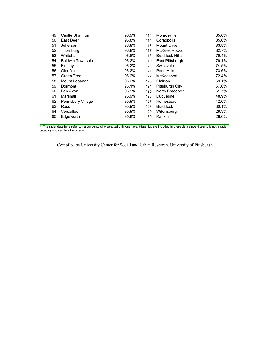| 49 | Castle Shannon          | 96.9% | 114 | Monroeville           | 85.6% |
|----|-------------------------|-------|-----|-----------------------|-------|
| 50 | East Deer               | 96.8% | 115 | Coraopolis            | 85.0% |
| 51 | Jefferson               | 96.8% | 116 | Mount Oliver          | 83.8% |
| 52 | Thornburg               | 96.8% | 117 | McKees Rocks          | 82.7% |
| 53 | Whitehall               | 96.6% | 118 | <b>Braddock Hills</b> | 79.4% |
| 54 | <b>Baldwin Township</b> | 96.2% | 119 | East Pittsburgh       | 76.1% |
| 55 | Findlay                 | 96.2% | 120 | Swissvale             | 74.5% |
| 56 | Glenfield               | 96.2% | 121 | Penn Hills            | 73.6% |
| 57 | Green Tree              | 96.2% | 122 | McKeesport            | 72.4% |
| 58 | Mount Lebanon           | 96.2% | 123 | Clairton              | 69.1% |
| 59 | Dormont                 | 96.1% | 124 | Pittsburgh City       | 67.6% |
| 60 | Ben Avon                | 95.9% | 125 | North Braddock        | 61.7% |
| 61 | Marshall                | 95.9% | 126 | Duquesne              | 48.9% |
| 62 | Pennsbury Village       | 95.9% | 127 | Homestead             | 42.6% |
| 63 | <b>Ross</b>             | 95.9% | 128 | <b>Braddock</b>       | 30.1% |
| 64 | Versailles              | 95.9% | 129 | Wilkinsburg           | 29.3% |
| 65 | Edgeworth               | 95.8% | 130 | Rankin                | 28.0% |
|    |                         |       |     |                       |       |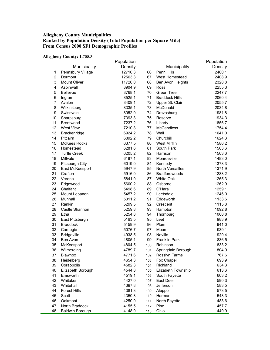## **Allegheny County Municipalities Ranked by Population Density (Total Population per Square Mile) From Census 2000 SF1 Demographic Profiles**

**Allegheny County: 1,755.3** 

|                         |                        | Population |     |                         | Population |
|-------------------------|------------------------|------------|-----|-------------------------|------------|
|                         | Municipality           | Density    |     | Municipality            | Density    |
| 1                       | Pennsbury Village      | 12710.3    | 66  | Penn Hills              | 2460.1     |
| $\overline{2}$          | Dormont                | 12563.3    | 67  | West Homestead          | 2408.9     |
| 3                       | <b>Mount Oliver</b>    | 11720.0    | 68  | Ben Avon Heights        | 2328.8     |
| $\overline{\mathbf{4}}$ | Aspinwall              | 8904.9     | 69  | Ross                    | 2255.3     |
| 5                       | <b>Bellevue</b>        | 8768.1     | 70  | <b>Green Tree</b>       | 2247.7     |
| 6                       | Ingram                 | 8525.1     | 71  | <b>Braddock Hills</b>   | 2060.4     |
| 7                       | Avalon                 | 8409.1     | 72  | Upper St. Clair         | 2055.7     |
| 8                       | Wilkinsburg            | 8335.1     | 73  | McDonald                | 2034.8     |
| $\boldsymbol{9}$        | Swissvale              | 8052.0     | 74  | Dravosburg              | 1981.8     |
| 10                      | Sharpsburg             | 7393.8     | 75  | Reserve                 | 1934.3     |
| 11                      | <b>Brentwood</b>       | 7237.2     | 76  | Liberty                 | 1856.7     |
| 12                      | <b>West View</b>       | 7210.8     | 77  | <b>McCandless</b>       | 1754.4     |
| 13                      | Brackenridge           | 6924.2     | 78  | Wall                    | 1641.0     |
| 14                      | Pitcairn               | 6892.2     | 79  | Churchill               | 1624.3     |
| 15                      | <b>McKees Rocks</b>    | 6377.5     | 80  | West Mifflin            | 1586.2     |
| 16                      | Homestead              | 6281.6     | 81  | South Park              | 1563.6     |
| 17                      | <b>Turtle Creek</b>    | 6205.2     | 82  | Harrison                | 1503.6     |
| 18                      | Millvale               | 6187.1     | 83  | Monroeville             | 1483.0     |
| 19                      | Pittsburgh City        | 6019.0     | 84  | Kennedy                 | 1378.3     |
| 20                      | East McKeesport        | 5947.9     | 85  | <b>North Versailles</b> | 1371.9     |
| 21                      | Crafton                | 5916.0     | 86  | <b>Bradfordwoods</b>    | 1283.2     |
| 22                      | Verona                 | 5841.0     | 87  | <b>White Oak</b>        | 1265.3     |
| 23                      | Edgewood               | 5600.2     | 88  | Osborne                 | 1262.9     |
| 24                      | Chalfant               | 5498.6     | 89  | O'Hara                  | 1259.1     |
| 25                      | Mount Lebanon          | 5457.2     | 90  | Leetsdale               | 1246.0     |
| 26                      | Munhall                | 5311.2     | 91  | Edgeworth               | 1133.6     |
| 27                      | Rankin                 | 5299.5     | 92  | Crescent                | 1115.8     |
| 28                      | Castle Shannon         | 5259.8     | 93  | Hampton                 | 1092.8     |
| 29                      | Etna                   | 5254.8     | 94  | Thornburg               | 1060.8     |
| 30                      | East Pittsburgh        | 5163.5     | 95  | Leet                    | 983.9      |
| 31                      | <b>Braddock</b>        | 5159.9     | 96  | Plum                    | 941.0      |
| 32                      | Carnegie               | 5076.7     | 97  | Moon                    | 939.1      |
| 33                      | <b>Bridgeville</b>     | 4938.5     | 98  | Neville                 | 929.4      |
| 34                      | Ben Avon               | 4805.1     | 99  | <b>Franklin Park</b>    | 836.5      |
| 35                      | McKeesport             | 4804.5     | 100 | Robinson                | 833.2      |
| 36                      | Wilmerding             | 4789.7     | 101 | Springdale Borough      | 804.9      |
| 37                      | <b>Blawnox</b>         | 4771.6     | 102 | Rosslyn Farms           | 767.6      |
| 38                      | Heidelberg             | 4654.3     | 103 | Fox Chapel              | 693.9      |
| 39                      | Coraopolis             | 4582.3     | 104 | Richland                | 634.3      |
| 40                      | Elizabeth Borough      | 4544.8     | 105 | Elizabeth Township      | 613.6      |
| 41                      | Emsworth               | 4519.1     | 106 | South Fayette           | 603.2      |
| 42                      | Whitaker               | 4427.0     | 107 | East Deer               | 590.3      |
| 43                      | Whitehall              | 4397.8     | 108 | Jefferson               | 583.5      |
| 44                      | <b>Forest Hills</b>    | 4381.3     | 109 | Aleppo                  | 573.5      |
| 45                      | Scott                  | 4350.8     | 110 | Harmar                  | 543.3      |
| 46                      | Oakmont                | 4250.0     | 111 | North Fayette           | 488.6      |
| 47                      | North Braddock         | 4155.5     | 112 | Pine                    | 457.7      |
| 48                      | <b>Baldwin Borough</b> | 4148.9     | 113 | Ohio                    | 449.9      |
|                         |                        |            |     |                         |            |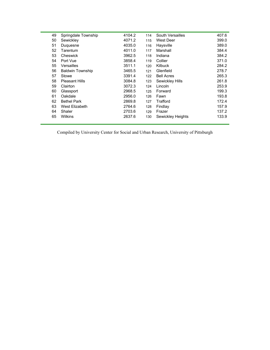| 49 | Springdale Township     | 4104.2 | 114 | South Versailles  | 407.6 |
|----|-------------------------|--------|-----|-------------------|-------|
| 50 | Sewickley               | 4071.2 | 115 | West Deer         | 399.0 |
| 51 | Duguesne                | 4035.0 | 116 | Haysville         | 389.0 |
| 52 | Tarentum                | 4011.0 | 117 | Marshall          | 384.4 |
| 53 | Cheswick                | 3962.5 | 118 | Indiana           | 384.2 |
| 54 | Port Vue                | 3858.4 | 119 | Collier           | 371.0 |
| 55 | Versailles              | 3511.1 | 120 | <b>Kilbuck</b>    | 284.2 |
| 56 | <b>Baldwin Township</b> | 3465.5 | 121 | Glenfield         | 278.7 |
| 57 | Stowe                   | 3391.4 | 122 | <b>Bell Acres</b> | 265.3 |
| 58 | <b>Pleasant Hills</b>   | 3084.8 | 123 | Sewickley Hills   | 261.8 |
| 59 | Clairton                | 3072.3 | 124 | Lincoln           | 253.9 |
| 60 | Glassport               | 2968.5 | 125 | Forward           | 199.3 |
| 61 | Oakdale                 | 2956.0 | 126 | Fawn              | 193.8 |
| 62 | <b>Bethel Park</b>      | 2869.8 | 127 | Trafford          | 172.4 |
| 63 | West Elizabeth          | 2764.6 | 128 | Findlay           | 157.9 |
| 64 | Shaler                  | 2703.6 | 129 | Frazer            | 137.2 |
| 65 | Wilkins                 | 2637.6 | 130 | Sewickley Heights | 133.9 |
|    |                         |        |     |                   |       |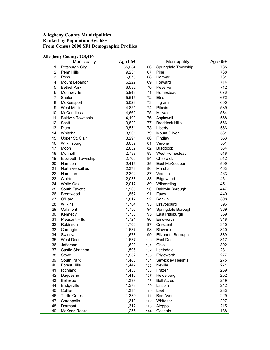# **Allegheny County Municipalities Ranked by Population Age 65+ From Census 2000 SF1 Demographic Profiles**

#### **Allegheny County: 228,416**

|                         | Municipality            | Age 65+ |     | Municipality          | Age 65+ |
|-------------------------|-------------------------|---------|-----|-----------------------|---------|
| 1                       | Pittsburgh City         | 55,034  | 66  | Springdale Township   | 785     |
| $\overline{2}$          | Penn Hills              | 9,231   | 67  | Pine                  | 738     |
| 3                       | Ross                    | 6,875   | 68  | Harmar                | 731     |
| $\overline{\mathbf{4}}$ | Mount Lebanon           | 6,222   | 69  | Forward               | 714     |
| $\mathbf 5$             | <b>Bethel Park</b>      | 6,082   | 70  | Reserve               | 712     |
| 6                       | Monroeville             | 5,948   | 71  | Homestead             | 676     |
| $\overline{7}$          | Shaler                  | 5,515   | 72  | Etna                  | 672     |
| 8                       | McKeesport              | 5,023   | 73  | Ingram                | 600     |
| $\boldsymbol{9}$        | <b>West Mifflin</b>     | 4,851   | 74  | Pitcairn              | 589     |
| 10                      | <b>McCandless</b>       | 4,662   | 75  | Millvale              | 584     |
| 11                      | <b>Baldwin Township</b> | 4,190   | 76  | Aspinwall             | 568     |
| 12                      | Scott                   | 3,820   | 77  | <b>Braddock Hills</b> | 566     |
| 13                      | Plum                    | 3,551   | 78  | Liberty               | 566     |
| 14                      | Whitehall               | 3,501   | 79  | Mount Oliver          | 561     |
| 15                      | Upper St. Clair         | 3,291   | 80  | Findlay               | 553     |
| 16                      | Wilkinsburg             | 3,039   | 81  | Verona                | 551     |
| 17                      | Moon                    | 2,852   | 82  | <b>Braddock</b>       | 534     |
| 18                      | Munhall                 | 2,739   | 83  | <b>West Homestead</b> | 518     |
| 19                      | Elizabeth Township      | 2,700   | 84  | Cheswick              | 512     |
| 20                      | Harrison                | 2,415   | 85  | East McKeesport       | 509     |
| 21                      | North Versailles        | 2,378   | 86  | Marshall              | 463     |
| 22                      | Hampton                 | 2,304   | 87  | Versailles            | 463     |
| 23                      | Clairton                | 2,038   | 88  | Edgewood              | 461     |
| 24                      | White Oak               | 2,017   | 89  | Wilmerding            | 451     |
| 25                      | South Fayette           | 1,965   | 90  | Baldwin Borough       | 447     |
| 26                      | Brentwood               | 1,867   | 91  | Fawn                  | 440     |
| 27                      | O'Hara                  | 1,817   | 92  | Rankin                | 398     |
| 28                      | Wilkins                 | 1,784   | 93  | Dravosburg            | 396     |
| 29                      | Oakmont                 | 1,756   | 94  | Springdale Borough    | 369     |
| 30                      | Kennedy                 | 1,736   | 95  | East Pittsburgh       | 359     |
| 31                      | <b>Pleasant Hills</b>   | 1,724   | 96  | Emsworth              | 348     |
| 32                      | Robinson                | 1,700   | 97  | Crescent              | 345     |
| 33                      | Carnegie                | 1,687   | 98  | Blawnox               | 340     |
| 34                      | Swissvale               | 1,678   | 99  | Elizabeth Borough     | 339     |
| 35                      | West Deer               | 1,637   | 100 | East Deer             | 317     |
| 36                      | Jefferson               | 1,622   | 101 | Ohio                  | 302     |
| 37                      | Castle Shannon          | 1,596   | 102 | Leetsdale             | 281     |
| 38                      | Stowe                   | 1,552   | 103 | Edgeworth             | 277     |
| 39                      | South Park              | 1,480   | 104 | Sewickley Heights     | 275     |
| 40                      | <b>Forest Hills</b>     | 1,447   | 105 | Neville               | 271     |
| 41                      | Richland                | 1,430   | 106 | Frazer                | 269     |
| 42                      | Duquesne                | 1,410   | 107 | Heidelberg            | 252     |
| 43                      | Bellevue                | 1,399   | 108 | <b>Bell Acres</b>     | 249     |
| 44                      | <b>Bridgeville</b>      | 1,378   | 109 | Lincoln               | 242     |
| 45                      | Collier                 | 1,334   | 110 | Leet                  | 233     |
| 46                      | <b>Turtle Creek</b>     | 1,330   | 111 | Ben Avon              | 229     |
| 47                      | Coraopolis              | 1,319   | 112 | Whitaker              | 227     |
| 48                      | Dormont                 | 1,312   | 113 | Aleppo                | 215     |
| 49                      | <b>McKees Rocks</b>     | 1,255   | 114 | Oakdale               | 188     |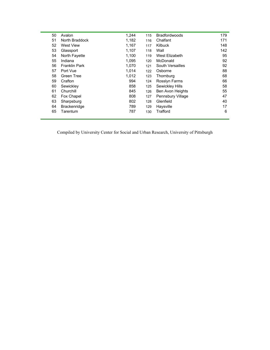| 50 | Avalon               | 1,244 | 115 | <b>Bradfordwoods</b>    | 179 |
|----|----------------------|-------|-----|-------------------------|-----|
| 51 | North Braddock       | 1,182 | 116 | Chalfant                | 171 |
| 52 | <b>West View</b>     | 1,167 | 117 | <b>Kilbuck</b>          | 148 |
| 53 | Glassport            | 1,107 | 118 | Wall                    | 142 |
| 54 | North Fayette        | 1,100 | 119 | West Elizabeth          | 95  |
| 55 | Indiana              | 1,095 | 120 | McDonald                | 92  |
| 56 | <b>Franklin Park</b> | 1,070 | 121 | South Versailles        | 92  |
| 57 | Port Vue             | 1,014 | 122 | Osborne                 | 88  |
| 58 | Green Tree           | 1,012 | 123 | Thornburg               | 68  |
| 59 | Crafton              | 994   | 124 | Rosslyn Farms           | 66  |
| 60 | Sewickley            | 858   | 125 | Sewickley Hills         | 58  |
| 61 | Churchill            | 845   | 126 | <b>Ben Avon Heights</b> | 55  |
| 62 | Fox Chapel           | 808   | 127 | Pennsbury Village       | 47  |
| 63 | Sharpsburg           | 802   | 128 | Glenfield               | 40  |
| 64 | <b>Brackenridge</b>  | 789   | 129 | Haysville               | 17  |
| 65 | Tarentum             | 787   | 130 | Trafford                | 6   |
|    |                      |       |     |                         |     |

 $\equiv$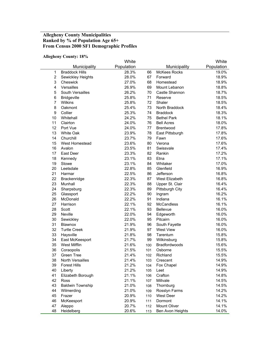## **Allegheny County Municipalities Ranked by % of Population Age 65+ From Census 2000 SF1 Demographic Profiles**

#### **Allegheny County: 18%**

|                | лікдікну соціну. 1070   | White      |     |                     | White      |
|----------------|-------------------------|------------|-----|---------------------|------------|
|                | Municipality            | Population |     | Municipality        | Population |
| 1              | <b>Braddock Hills</b>   | 28.3%      | 66  | <b>McKees Rocks</b> | 19.0%      |
| $\overline{c}$ | Sewickley Heights       | 28.0%      | 67  | Forward             | 18.9%      |
| 3              | Cheswick                | 27.0%      | 68  | Homestead           | 18.9%      |
| 4              | Versailles              | 26.9%      | 69  | Mount Lebanon       | 18.8%      |
| 5              | South Versailles        | 26.2%      | 70  | Castle Shannon      | 18.7%      |
| 6              | <b>Bridgeville</b>      | 25.8%      | 71  | Reserve             | 18.5%      |
| $\overline{7}$ | Wilkins                 | 25.8%      | 72  | Shaler              | 18.5%      |
| 8              | Oakmont                 | 25.4%      | 73  | North Braddock      | 18.4%      |
| 9              | Collier                 | 25.3%      | 74  | <b>Braddock</b>     | 18.3%      |
| 10             | Whitehall               | 24.2%      | 75  | <b>Bethel Park</b>  | 18.1%      |
| 11             | Clairton                | 24.0%      | 76  | <b>Bell Acres</b>   | 18.0%      |
| 12             | Port Vue                | 24.0%      | 77  | <b>Brentwood</b>    | 17.8%      |
| 13             | White Oak               | 23.9%      | 78  | East Pittsburgh     | 17.8%      |
| 14             | Churchill               | 23.7%      | 79  | Fawn                | 17.6%      |
| 15             | West Homestead          | 23.6%      | 80  | Verona              | 17.6%      |
| 16             | Avalon                  | 23.5%      | 81  | Swissvale           | 17.4%      |
| 17             | East Deer               | 23.3%      | 82  | Rankin              | 17.2%      |
| 18             | Kennedy                 | 23.1%      | 83  | Etna                | 17.1%      |
| 19             | Stowe                   | 23.1%      | 84  | Whitaker            | 17.0%      |
| 20             | Leetsdale               | 22.8%      | 85  | Glenfield           | 16.9%      |
| 21             | Harmar                  | 22.5%      | 86  | Jefferson           | 16.8%      |
| 22             | Brackenridge            | 22.3%      | 87  | West Elizabeth      | 16.8%      |
| 23             | Munhall                 | 22.3%      | 88  | Upper St. Clair     | 16.4%      |
| 24             | Sharpsburg              | 22.3%      | 89  | Pittsburgh City     | 16.4%      |
| 25             | Glassport               | 22.2%      | 90  | Ingram              | 16.2%      |
| 26             | McDonald                | 22.2%      | 91  | Indiana             | 16.1%      |
| 27             | Harrison                | 22.1%      | 92  | <b>McCandless</b>   | 16.1%      |
| 28             | Scott                   | 22.1%      | 93  | Bellevue            | 16.0%      |
| 29             | Neville                 | 22.0%      | 94  | Edgeworth           | 16.0%      |
| 30             | Sewickley               | 22.0%      | 95  | Pitcairn            | 16.0%      |
| 31             | Blawnox                 | 21.9%      | 96  | South Fayette       | 16.0%      |
| 32             | <b>Turtle Creek</b>     | 21.9%      | 97  | <b>West View</b>    | 16.0%      |
| 33             | Haysville               | 21.8%      | 98  | Tarentum            | 15.8%      |
| 34             | East McKeesport         | 21.7%      | 99  | Wilkinsburg         | 15.8%      |
| 35             | <b>West Mifflin</b>     | 21.6%      | 100 | Bradfordwoods       | 15.6%      |
| 36             | Coraopolis              | 21.5%      | 101 | Osborne             | 15.5%      |
| 37             | Green Tree              | 21.4%      | 102 | Richland            | 15.5%      |
| 38             | North Versailles        | 21.4%      | 103 | Crescent            | 14.9%      |
| 39             | <b>Forest Hills</b>     | 21.2%      | 104 | Fox Chapel          | 14.9%      |
| 40             | Liberty                 | 21.2%      | 105 | Leet                | 14.9%      |
| 41             | Elizabeth Borough       | 21.1%      | 106 | Crafton             | 14.8%      |
| 42             | <b>Ross</b>             | 21.1%      | 107 | Millvale            | 14.5%      |
| 43             | <b>Baldwin Township</b> | 21.0%      | 108 | Thornburg           | 14.5%      |
| 44             | Wilmerding              | 21.0%      | 109 | Rosslyn Farms       | 14.2%      |
| 45             | Frazer                  | 20.9%      | 110 | West Deer           | 14.2%      |
| 46             | McKeesport              | 20.9%      | 111 | Dormont             | 14.1%      |
| 47             | Aleppo                  | 20.7%      | 112 | Mount Oliver        | 14.1%      |
| 48             | Heidelberg              | 20.6%      | 113 | Ben Avon Heights    | 14.0%      |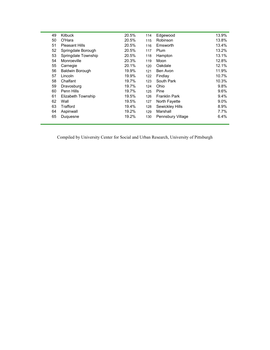| 49 | <b>Kilbuck</b>         | 20.5% | 114 | Edgewood             | 13.9%   |
|----|------------------------|-------|-----|----------------------|---------|
| 50 | O'Hara                 | 20.5% | 115 | Robinson             | 13.8%   |
| 51 | <b>Pleasant Hills</b>  | 20.5% | 116 | Emsworth             | 13.4%   |
| 52 | Springdale Borough     | 20.5% | 117 | Plum                 | 13.2%   |
| 53 | Springdale Township    | 20.5% | 118 | Hampton              | 13.1%   |
| 54 | Monroeville            | 20.3% | 119 | Moon                 | 12.8%   |
| 55 | Carnegie               | 20.1% | 120 | Oakdale              | 12.1%   |
| 56 | <b>Baldwin Borough</b> | 19.9% | 121 | Ben Avon             | 11.9%   |
| 57 | Lincoln                | 19.9% | 122 | Findlay              | 10.7%   |
| 58 | Chalfant               | 19.7% | 123 | South Park           | 10.3%   |
| 59 | Dravosburg             | 19.7% | 124 | Ohio                 | 9.8%    |
| 60 | Penn Hills             | 19.7% | 125 | Pine                 | 9.6%    |
| 61 | Elizabeth Township     | 19.5% | 126 | <b>Franklin Park</b> | 9.4%    |
| 62 | Wall                   | 19.5% | 127 | North Fayette        | 9.0%    |
| 63 | Trafford               | 19.4% | 128 | Sewickley Hills      | 8.9%    |
| 64 | Aspinwall              | 19.2% | 129 | Marshall             | $7.7\%$ |
| 65 | Duquesne               | 19.2% | 130 | Pennsbury Village    | 6.4%    |
|    |                        |       |     |                      |         |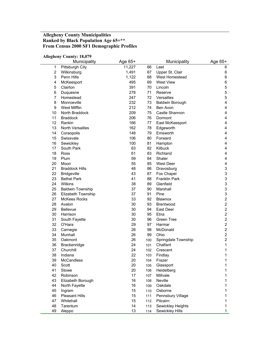#### **Allegheny County Municipalities Ranked by Black Population Age 65+\*\* From Census 2000 SF1 Demographic Profiles**

#### **Allegheny County: 18,079**  Municipality Age 65+ Municipality Age 65+ 1 Pittsburgh City **11,227** 66 Leet 6 2 Wilkinsburg 1,491 67 Upper St. Clair 6 3 Penn Hills 1,122 68 West Homestead 6 4 McKeesport 69 West View 6 69 West View 6 5 Clairton 391 70 Lincoln 5 6 Duquesne 278 71 Reserve 5 7 Homestead 247 72 Versailles 5 8 Monroeville 232 73 Baldwin Borough 4 9 West Mifflin 212 74 Ben Avon 4 10 North Braddock 209 75 Castle Shannon 4 11 Braddock 206 76 Dormont 4 12 Rankin 166 77 East McKeesport 166 4 13 North Versailles 162 78 Edgeworth 4 14 Coraopolis 148 79 Emsworth 4 15 Swissvale 106 80 Forward 4 16 Sewickley 100 81 Hampton 4 17 South Park 63 82 Kilbuck 4 18 Ross 61 83 Richland 4 19 Plum 59 84 Shaler 4 20 Moon 55 85 West Deer 4 21 Braddock Hills 3 and 48 86 Dravosburg 3 3 22 Bridgeville 43 87 Fox Chapel 3 23 Bethel Park 41 88 Franklin Park 3 24 Wilkins 38 89 Glenfield 3 25 Baldwin Township 37 90 Marshall 3 26 Elizabeth Township 37 91 Pine 3 27 McKees Rocks 33 92 Blawnox 2 28 Avalon 30 93 Brentwood 2 29 Bellevue 20 30 94 East Deer 2<br>30 Harrison 2 30 Harrison 30 95 Etna 2 31 South Fayette 30 96 Green Tree 2 32 O'Hara 29 97 Harmar 2 33 Carnegie 26 98 McDonald 2 34 Munhall 26 99 Ohio 2 35 Oakmont 26 100 Springdale Township 2 36 Brackenridge 24 101 Chalfant 1 37 Churchill 24 102 Crescent 1 38 Indiana 22 103 Findlay 1 39 McCandless 20 104 Frazer 1 40 Scott 20 105 Glassport 1 41 Stowe 20 106 Heidelberg 1 42 Robinson 17 107 Millvale 1 43 Elizabeth Borough 16 108 Neville 1 44 North Fayette 16 109 Oakdale 16 109 Oakdale 45 Ingram 15 110 Osborne 15 110 110 110 11 46 Pleasant Hills 15 111 Pennsbury Village 15 111 47 Whitehall 15 112 Pitcairn 15 112 112 Pitcairn 1 48 Tarentum 14 113 Sewickley Heights 1 49 Aleppo 13 114 Sewickley Hills 1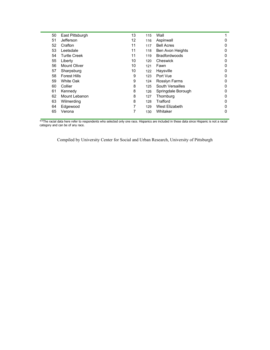| 50 | East Pittsburgh     | 13 | 115 | Wall                 |   |
|----|---------------------|----|-----|----------------------|---|
| 51 | Jefferson           | 12 | 116 | Aspinwall            | 0 |
| 52 | Crafton             | 11 | 117 | <b>Bell Acres</b>    | o |
| 53 | Leetsdale           | 11 | 118 | Ben Avon Heights     | 0 |
| 54 | <b>Turtle Creek</b> | 11 | 119 | <b>Bradfordwoods</b> | 0 |
| 55 | Liberty             | 10 | 120 | Cheswick             | 0 |
| 56 | Mount Oliver        | 10 | 121 | Fawn                 | 0 |
| 57 | Sharpsburg          | 10 | 122 | Haysville            | 0 |
| 58 | <b>Forest Hills</b> | 9  | 123 | Port Vue             | Ω |
| 59 | <b>White Oak</b>    | 9  | 124 | Rossiyn Farms        | 0 |
| 60 | Collier             | 8  | 125 | South Versailles     | 0 |
| 61 | Kennedy             | 8  | 126 | Springdale Borough   | 0 |
| 62 | Mount Lebanon       | 8  | 127 | Thornburg            | Ω |
| 63 | Wilmerding          | 8  | 128 | Trafford             |   |
| 64 | Edgewood            | 7  | 129 | West Elizabeth       | 0 |
| 65 | Verona              |    | 130 | Whitaker             | 0 |
|    |                     |    |     |                      |   |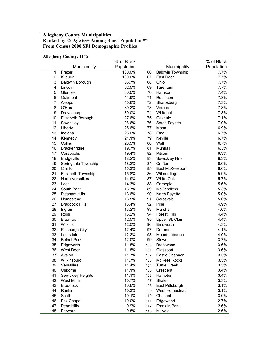## **Allegheny County Municipalities Ranked by % Age 65+ Among Black Population\*\* From Census 2000 SF1 Demographic Profiles**

#### **Allegheny County: 11%**

|                |                        | % of Black |     |                         | % of Black |
|----------------|------------------------|------------|-----|-------------------------|------------|
|                | Municipality           | Population |     | Municipality            | Population |
| $\mathbf 1$    | Frazer                 | 100.0%     | 66  | <b>Baldwin Township</b> | 7.7%       |
| $\overline{2}$ | Kilbuck                | 100.0%     | 67  | East Deer               | 7.7%       |
| 3              | <b>Baldwin Borough</b> | 66.7%      | 68  | Ohio                    | 7.7%       |
| $\overline{4}$ | Lincoln                | 62.5%      | 69  | Tarentum                | 7.7%       |
| 5              | Glenfield              | 50.0%      | 70  | Harrison                | 7.4%       |
| 6              | Oakmont                | 41.9%      | 71  | Robinson                | 7.3%       |
| 7              | Aleppo                 | 40.6%      | 72  | Sharpsburg              | 7.3%       |
| 8              | O'Hara                 | 39.2%      | 73  | Verona                  | 7.3%       |
| 9              | Dravosburg             | 30.0%      | 74  | Whitehall               | 7.3%       |
| 10             | Elizabeth Borough      | 27.6%      | 75  | Oakdale                 | 7.1%       |
| 11             | Sewickley              | 26.6%      | 76  | South Fayette           | 7.0%       |
| 12             | Liberty                | 25.6%      | 77  | Moon                    | 6.9%       |
| 13             | Indiana                | 25.0%      | 78  | Etna                    | 6.7%       |
| 14             | Kennedy                | 21.1%      | 79  | Neville                 | 6.7%       |
| 15             | Collier                | 20.5%      | 80  | Wall                    | 6.7%       |
| 16             | Brackenridge           | 19.7%      | 81  | Munhall                 | 6.3%       |
| 17             | Coraopolis             | 19.4%      | 82  | Pitcairn                | 6.3%       |
| 18             | <b>Bridgeville</b>     | 18.2%      | 83  | Sewickley Hills         | 6.3%       |
| 19             | Springdale Township    | 18.2%      | 84  | Crafton                 | 6.0%       |
| 20             | Clairton               | 16.3%      | 85  | East McKeesport         | 6.0%       |
| 21             | Elizabeth Township     | 15.8%      | 86  | Wilmerding              | 5.9%       |
| 22             | North Versailles       | 14.9%      | 87  | White Oak               | 5.7%       |
| 23             | Leet                   | 14.3%      | 88  | Carnegie                | 5.6%       |
| 24             | South Park             | 13.7%      | 89  | McCandless              | 5.3%       |
| 25             | <b>Pleasant Hills</b>  | 13.6%      | 90  | North Fayette           | 5.0%       |
| 26             | Homestead              | 13.5%      | 91  | Swissvale               | 5.0%       |
| 27             | <b>Braddock Hills</b>  | 13.4%      | 92  | Pine                    | 4.9%       |
| 28             | Ingram                 | 13.2%      | 93  | Marshall                | 4.6%       |
| 29             | <b>Ross</b>            | 13.2%      | 94  | <b>Forest Hills</b>     | 4.4%       |
| 30             | <b>Blawnox</b>         | 12.5%      | 95  | Upper St. Clair         | 4.4%       |
| 31             | Wilkins                | 12.5%      | 96  | Emsworth                | 4.3%       |
| 32             | <b>Pittsburgh City</b> | 12.4%      | 97  | Dormont                 | 4.1%       |
| 33             | Leetsdale              | 12.2%      | 98  | Mount Lebanon           | 4.0%       |
| 34             | <b>Bethel Park</b>     | 12.0%      | 99  | Stowe                   | 3.7%       |
| 35             | Edgeworth              | 11.8%      | 100 | <b>Brentwood</b>        | 3.6%       |
| 36             | <b>West Deer</b>       | 11.8%      | 101 | Glassport               | 3.6%       |
| 37             | Avalon                 | 11.7%      | 102 | Castle Shannon          | 3.5%       |
| 38             | Wilkinsburg            | 11.7%      | 103 | <b>McKees Rocks</b>     | 3.5%       |
| 39             | Versailles             | 11.4%      | 104 | <b>Turtle Creek</b>     | 3.5%       |
| 40             | Osborne                | 11.1%      | 105 | Crescent                | 3.4%       |
| 41             | Sewickley Heights      | 11.1%      | 106 | Hampton                 | 3.4%       |
| 42             | West Mifflin           | 10.7%      | 107 | Shaler                  | 3.3%       |
| 43             | <b>Braddock</b>        | 10.6%      | 108 | East Pittsburgh         | 3.1%       |
| 44             | Rankin                 | 10.3%      | 109 | West Homestead          | 3.1%       |
| 45             | Scott                  | 10.1%      | 110 | Chalfant                | 3.0%       |
| 46             | Fox Chapel             | 10.0%      | 111 | Edgewood                | 2.7%       |
| 47             | Penn Hills             | 9.9%       | 112 | Franklin Park           | 2.6%       |
| 48             | Forward                | 9.8%       | 113 | Millvale                | 2.6%       |
|                |                        |            |     |                         |            |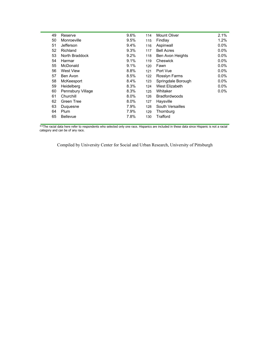| 49 | Reserve           | 9.6%    | 114 | Mount Oliver            | 2.1%    |
|----|-------------------|---------|-----|-------------------------|---------|
| 50 | Monroeville       | 9.5%    | 115 | Findlay                 | 1.2%    |
| 51 | Jefferson         | 9.4%    | 116 | Aspinwall               | 0.0%    |
| 52 | Richland          | 9.3%    | 117 | <b>Bell Acres</b>       | $0.0\%$ |
| 53 | North Braddock    | 9.2%    | 118 | <b>Ben Avon Heights</b> | $0.0\%$ |
| 54 | Harmar            | 9.1%    | 119 | Cheswick                | 0.0%    |
| 55 | McDonald          | 9.1%    | 120 | Fawn                    | $0.0\%$ |
| 56 | <b>West View</b>  | 8.8%    | 121 | Port Vue                | 0.0%    |
| 57 | Ben Avon          | 8.5%    | 122 | Rossiyn Farms           | $0.0\%$ |
| 58 | McKeesport        | 8.4%    | 123 | Springdale Borough      | $0.0\%$ |
| 59 | Heidelberg        | 8.3%    | 124 | West Elizabeth          | $0.0\%$ |
| 60 | Pennsbury Village | 8.3%    | 125 | Whitaker                | $0.0\%$ |
| 61 | Churchill         | 8.0%    | 126 | <b>Bradfordwoods</b>    |         |
| 62 | Green Tree        | $8.0\%$ | 127 | Haysville               |         |
| 63 | Duguesne          | 7.9%    | 128 | South Versailles        |         |
| 64 | Plum              | 7.9%    | 129 | Thornburg               |         |
| 65 | <b>Bellevue</b>   | 7.8%    | 130 | Trafford                |         |
|    |                   |         |     |                         |         |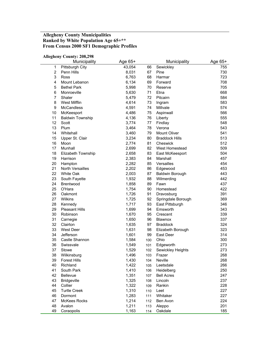# **Allegheny County Municipalities Ranked by White Population Age 65+\*\* From Census 2000 SF1 Demographic Profiles**

#### **Allegheny County: 208,298**

|                | Municipality            | Age 65+ |     | Municipality          | Age 65+ |
|----------------|-------------------------|---------|-----|-----------------------|---------|
| 1              | Pittsburgh City         | 43,054  | 66  | Sewickley             | 755     |
| $\overline{2}$ | Penn Hills              | 8,031   | 67  | Pine                  | 730     |
| 3              | Ross                    | 6,763   | 68  | Harmar                | 723     |
| 4              | Mount Lebanon           | 6,134   | 69  | Forward               | 708     |
| 5              | <b>Bethel Park</b>      | 5,998   | 70  | Reserve               | 705     |
| 6              | Monroeville             | 5,630   | 71  | Etna                  | 668     |
| 7              | Shaler                  | 5,479   | 72  | Pitcairn              | 584     |
| 8              | West Mifflin            | 4,614   | 73  | Ingram                | 583     |
| 9              | <b>McCandless</b>       | 4,591   | 74  | Millvale              | 574     |
| 10             | McKeesport              | 4,486   | 75  | Aspinwall             | 566     |
| 11             | <b>Baldwin Township</b> | 4,136   | 76  | Liberty               | 555     |
| 12             | Scott                   | 3,774   | 77  | Findlay               | 548     |
| 13             | Plum                    | 3,464   | 78  | Verona                | 543     |
| 14             | Whitehall               | 3,460   | 79  | <b>Mount Oliver</b>   | 541     |
| 15             | Upper St. Clair         | 3,234   | 80  | <b>Braddock Hills</b> | 513     |
| 16             | Moon                    | 2,774   | 81  | Cheswick              | 512     |
| 17             | Munhall                 | 2,699   | 82  | West Homestead        | 509     |
| 18             | Elizabeth Township      | 2,658   | 83  | East McKeesport       | 504     |
| 19             | Harrison                | 2,383   | 84  | Marshall              | 457     |
| 20             | Hampton                 | 2,282   | 85  | Versailles            | 454     |
| 21             | North Versailles        | 2,202   | 86  | Edgewood              | 453     |
| 22             | White Oak               | 2,003   | 87  | Baldwin Borough       | 443     |
| 23             | South Fayette           | 1,932   | 88  | Wilmerding            | 442     |
| 24             | Brentwood               | 1,858   | 89  | Fawn                  | 437     |
| 25             | O'Hara                  | 1,754   | 90  | Homestead             | 422     |
| 26             | Oakmont                 | 1,726   | 91  | Dravosburg            | 391     |
| 27             | Wilkins                 | 1,725   | 92  | Springdale Borough    | 369     |
| 28             | Kennedy                 | 1,717   | 93  | East Pittsburgh       | 346     |
| 29             | <b>Pleasant Hills</b>   | 1,699   | 94  | Emsworth              | 343     |
| 30             | Robinson                | 1,670   | 95  | Crescent              | 339     |
| 31             | Carnegie                | 1,650   | 96  | Blawnox               | 337     |
| 32             | Clairton                | 1,635   | 97  | <b>Braddock</b>       | 324     |
| 33             | <b>West Deer</b>        | 1,631   | 98  | Elizabeth Borough     | 323     |
| 34             | Jefferson               | 1,601   | 99  | East Deer             | 314     |
| 35             | Castle Shannon          | 1,584   | 100 | Ohio                  | 300     |
| 36             | Swissvale               | 1,549   | 101 | Edgeworth             | 273     |
| 37             | Stowe                   | 1,529   | 102 | Sewickley Heights     | 273     |
| 38             | Wilkinsburg             | 1,496   | 103 | Frazer                | 268     |
| 39             | Forest Hills            | 1,430   | 104 | Neville               | 268     |
| 40             | Richland                | 1,422   | 105 | Leetsdale             | 266     |
| 41             | South Park              | 1,410   | 106 | Heidelberg            | 250     |
| 42             | <b>Bellevue</b>         | 1,351   | 107 | <b>Bell Acres</b>     | 247     |
| 43             | <b>Bridgeville</b>      | 1,325   | 108 | Lincoln               | 237     |
| 44             | Collier                 | 1,322   | 109 | Rankin                | 228     |
| 45             | <b>Turtle Creek</b>     | 1,310   | 110 | Leet                  | 227     |
| 46             | Dormont                 | 1,283   | 111 | Whitaker              | 227     |
| 47             | <b>McKees Rocks</b>     | 1,214   | 112 | Ben Avon              | 224     |
| 48             | Avalon                  | 1,211   | 113 | Aleppo                | 201     |
| 49             | Coraopolis              | 1,163   | 114 | Oakdale               | 185     |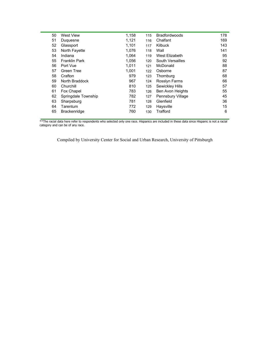| 50 | <b>West View</b>     | 1,158 | 115 | <b>Bradfordwoods</b>    | 178 |
|----|----------------------|-------|-----|-------------------------|-----|
| 51 | Duquesne             | 1,121 | 116 | Chalfant                | 169 |
| 52 | Glassport            | 1,101 | 117 | Kilbuck                 | 143 |
| 53 | North Fayette        | 1,076 | 118 | Wall                    | 141 |
| 54 | Indiana              | 1,064 | 119 | West Elizabeth          | 95  |
| 55 | <b>Franklin Park</b> | 1,056 | 120 | South Versailles        | 92  |
| 56 | Port Vue             | 1,011 | 121 | McDonald                | 88  |
| 57 | Green Tree           | 1,001 | 122 | Osborne                 | 87  |
| 58 | Crafton              | 979   | 123 | Thornburg               | 68  |
| 59 | North Braddock       | 967   | 124 | Rosslyn Farms           | 66  |
| 60 | Churchill            | 810   | 125 | Sewickley Hills         | 57  |
| 61 | Fox Chapel           | 783   | 126 | <b>Ben Avon Heights</b> | 55  |
| 62 | Springdale Township  | 782   | 127 | Pennsbury Village       | 45  |
| 63 | Sharpsburg           | 781   | 128 | Glenfield               | 36  |
| 64 | Tarentum             | 772   | 129 | Haysville               | 15  |
| 65 | <b>Brackenridge</b>  | 760   | 130 | Trafford                | 6   |
|    |                      |       |     |                         |     |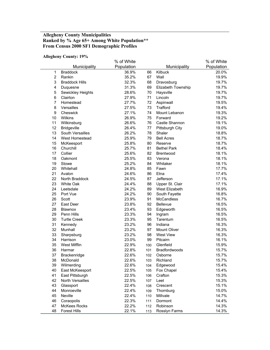## **Allegheny County Municipalities Ranked by % Age 65+ Among White Population\*\* From Census 2000 SF1 Demographic Profiles**

#### **Allegheny County: 19%**

|                           |                         | % of White |     |                    | % of White |
|---------------------------|-------------------------|------------|-----|--------------------|------------|
|                           | Municipality            | Population |     | Municipality       | Population |
| $\mathbf{1}$              | <b>Braddock</b>         | 36.9%      | 66  | Kilbuck            | 20.0%      |
| $\overline{2}$            | Rankin                  | 35.2%      | 67  | Wall               | 19.9%      |
| $\ensuremath{\mathsf{3}}$ | <b>Braddock Hills</b>   | 32.3%      | 68  | Dravosburg         | 19.7%      |
| $\overline{\mathbf{4}}$   | Duquesne                | 31.3%      | 69  | Elizabeth Township | 19.7%      |
| 5                         | Sewickley Heights       | 28.6%      | 70  | Haysville          | 19.7%      |
| $\,6$                     | Clairton                | 27.9%      | 71  | Lincoln            | 19.7%      |
| $\overline{7}$            | Homestead               | 27.7%      | 72  | Aspinwall          | 19.5%      |
| 8                         | Versailles              | 27.5%      | 73  | Trafford           | 19.4%      |
| 9                         | Cheswick                | 27.1%      | 74  | Mount Lebanon      | 19.3%      |
| 10                        | Wilkins                 | 26.9%      | 75  | Forward            | 19.2%      |
| 11                        | Wilkinsburg             | 26.6%      | 76  | Castle Shannon     | 19.1%      |
| 12                        | <b>Bridgeville</b>      | 26.4%      | 77  | Pittsburgh City    | 19.0%      |
| 13                        | South Versailles        | 26.2%      | 78  | Shaler             | 18.8%      |
| 14                        | West Homestead          | 25.9%      | 79  | <b>Bell Acres</b>  | 18.7%      |
| 15                        | McKeesport              | 25.8%      | 80  | Reserve            | 18.7%      |
| 16                        | Churchill               | 25.7%      | 81  | <b>Bethel Park</b> | 18.4%      |
| 17                        | Collier                 | 25.6%      | 82  | <b>Brentwood</b>   | 18.1%      |
| 18                        | Oakmont                 | 25.5%      | 83  | Verona             | 18.1%      |
| 19                        | Stowe                   | 25.2%      | 84  | Whitaker           | 18.1%      |
| 20                        | Whitehall               | 24.8%      | 85  | Fawn               | 17.7%      |
| 21                        | Avalon                  | 24.6%      | 86  | Etna               | 17.4%      |
| 22                        | North Braddock          | 24.5%      | 87  | Jefferson          | 17.1%      |
| 23                        | White Oak               | 24.4%      | 88  | Upper St. Clair    | 17.1%      |
| 24                        | Leetsdale               | 24.2%      | 89  | West Elizabeth     | 16.9%      |
| 25                        | Port Vue                | 24.2%      | 90  | South Fayette      | 16.8%      |
| 26                        | Scott                   | 23.9%      | 91  | <b>McCandless</b>  | 16.7%      |
| 27                        | East Deer               | 23.8%      | 92  | Bellevue           | 16.5%      |
| 28                        | Blawnox                 | 23.4%      | 93  | Edgeworth          | 16.5%      |
| 29                        | Penn Hills              | 23.3%      | 94  | Ingram             | 16.5%      |
| 30                        | <b>Turtle Creek</b>     | 23.3%      | 95  | Tarentum           | 16.5%      |
| 31                        | Kennedy                 | 23.2%      | 96  | Indiana            | 16.3%      |
| 32                        | Munhall                 | 23.2%      | 97  | Mount Oliver       | 16.3%      |
| 33                        | Sharpsburg              | 23.2%      | 98  | <b>West View</b>   | 16.3%      |
| 34                        | Harrison                | 23.0%      | 99  | Pitcairn           | 16.1%      |
| 35                        | West Mifflin            | 22.9%      | 100 | Glenfield          | 15.9%      |
| 36                        | Harmar                  | 22.8%      | 101 | Bradfordwoods      | 15.7%      |
| 37                        | Brackenridge            | 22.6%      | 102 | Osborne            | 15.7%      |
| 38                        | McDonald                | 22.6%      | 103 | Richland           | 15.7%      |
| 39                        | Wilmerding              | 22.6%      | 104 | Edgewood           | 15.4%      |
| 40                        | East McKeesport         | 22.5%      | 105 | Fox Chapel         | 15.4%      |
| 41                        | East Pittsburgh         | 22.5%      | 106 | Crafton            | 15.3%      |
| 42                        | <b>North Versailles</b> | 22.5%      | 107 | Leet               | 15.3%      |
| 43                        | Glassport               | 22.4%      | 108 | Crescent           | 15.1%      |
| 44                        | Monroeville             | 22.4%      | 109 | Thornburg          | 15.0%      |
| 45                        | Neville                 | 22.4%      | 110 | Millvale           | 14.7%      |
| 46                        | Coraopolis              | 22.3%      | 111 | Dormont            | 14.4%      |
| 47                        | <b>McKees Rocks</b>     | 22.2%      | 112 | Robinson           | 14.3%      |
| 48                        | Forest Hills            | 22.1%      | 113 | Rosslyn Farms      | 14.3%      |
|                           |                         |            |     |                    |            |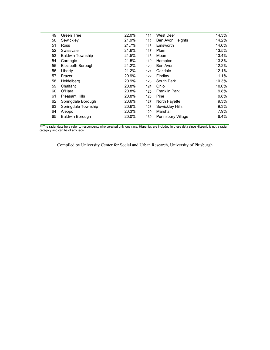| 49 | Green Tree              | 22.0% | 114 | West Deer            | 14.3% |
|----|-------------------------|-------|-----|----------------------|-------|
| 50 | Sewickley               | 21.9% | 115 | Ben Avon Heights     | 14.2% |
| 51 | <b>Ross</b>             | 21.7% | 116 | Emsworth             | 14.0% |
| 52 | Swissvale               | 21.6% | 117 | Plum                 | 13.5% |
| 53 | <b>Baldwin Township</b> | 21.5% | 118 | Moon                 | 13.4% |
| 54 | Carnegie                | 21.5% | 119 | Hampton              | 13.3% |
| 55 | Elizabeth Borough       | 21.2% | 120 | Ben Avon             | 12.2% |
| 56 | Liberty                 | 21.2% | 121 | Oakdale              | 12.1% |
| 57 | Frazer                  | 20.9% | 122 | Findlay              | 11.1% |
| 58 | Heidelberg              | 20.9% | 123 | South Park           | 10.3% |
| 59 | Chalfant                | 20.8% | 124 | Ohio                 | 10.0% |
| 60 | O'Hara                  | 20.8% | 125 | <b>Franklin Park</b> | 9.8%  |
| 61 | <b>Pleasant Hills</b>   | 20.8% | 126 | Pine                 | 9.8%  |
| 62 | Springdale Borough      | 20.6% | 127 | North Fayette        | 9.3%  |
| 63 | Springdale Township     | 20.6% | 128 | Sewickley Hills      | 9.3%  |
| 64 | Aleppo                  | 20.3% | 129 | Marshall             | 7.9%  |
| 65 | <b>Baldwin Borough</b>  | 20.0% | 130 | Pennsbury Village    | 6.4%  |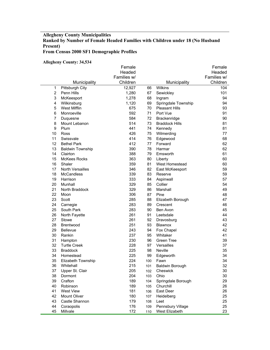## **Allegheny County Municipalities Ranked by Number of Female Headed Families with Children under 18 (No Husband Present) From Census 2000 SF1 Demographic Profiles**

**Allegheny County: 34,534** 

|                |                         | Female      |     |                       | Female      |
|----------------|-------------------------|-------------|-----|-----------------------|-------------|
|                |                         | Headed      |     |                       | Headed      |
|                |                         | Families w/ |     |                       | Families w/ |
|                | Municipality            | Children    |     | Municipality          | Children    |
| 1              | Pittsburgh City         | 12,927      | 66  | Wilkins               | 104         |
| $\overline{2}$ | <b>Penn Hills</b>       | 1,280       | 67  | Sewickley             | 101         |
| 3              | McKeesport              | 1,278       | 68  | Ingram                | 94          |
| 4              | Wilkinsburg             | 1,120       | 69  | Springdale Township   | 94          |
| 5              | <b>West Mifflin</b>     | 675         | 70  | <b>Pleasant Hills</b> | 93          |
| 6              | Monroeville             | 592         | 71  | Port Vue              | 91          |
| $\overline{7}$ | Duquesne                | 584         | 72  | Brackenridge          | 90          |
| 8              | Mount Lebanon           | 514         | 73  | <b>Braddock Hills</b> | 81          |
| 9              | Plum                    | 441         | 74  | Kennedy               | 81          |
| 10             | Ross                    | 426         | 75  | Wilmerding            | 77          |
| 11             | Swissvale               | 414         | 76  | Edgewood              | 68          |
| 12             | <b>Bethel Park</b>      | 412         | 77  | Forward               | 62          |
| 13             | <b>Baldwin Township</b> | 390         | 78  | Harmar                | 62          |
| 14             | Clairton                | 388         | 79  | Emsworth              | 61          |
| 15             | <b>McKees Rocks</b>     | 363         | 80  | Liberty               | 60          |
| 16             | Shaler                  | 359         | 81  | West Homestead        | 60          |
| 17             | North Versailles        | 346         | 82  | East McKeesport       | 59          |
| 18             | <b>McCandless</b>       | 339         | 83  | Reserve               | 59          |
| 19             | Harrison                | 333         | 84  | Aspinwall             | 57          |
| 20             | Munhall                 | 329         | 85  | Collier               | 54          |
| 21             | North Braddock          | 329         | 86  | Marshall              | 49          |
| 22             | Moon                    | 306         | 87  | Pine                  | 48          |
| 23             | Scott                   | 285         | 88  | Elizabeth Borough     | 47          |
| 24             | Carnegie                | 283         | 89  | Crescent              | 46          |
| 25             | South Park              | 283         | 90  | Ben Avon              | 45          |
| 26             | North Fayette           | 261         | 91  | Leetsdale             | 44          |
| 27             | Stowe                   | 261         | 92  | Dravosburg            | 43          |
| 28             | Brentwood               | 251         | 93  | Blawnox               | 42          |
| 29             | Bellevue                | 243         | 94  | Fox Chapel            | 42          |
| 30             | Rankin                  | 237         | 95  | Whitaker              | 41          |
| 31             | Hampton                 | 230         | 96  | <b>Green Tree</b>     | 39          |
| 32             | <b>Turtle Creek</b>     | 228         | 97  | Versailles            | 37          |
| 33             | <b>Braddock</b>         | 225         | 98  | <b>Neville</b>        | 35          |
| 34             | Homestead               | 225         | 99  | Edgeworth             | 34          |
| 35             | Elizabeth Township      | 224         | 100 | Fawn                  | 34          |
| 36             | Whitehall               | 215         | 101 | Baldwin Borough       | 32          |
| 37             | Upper St. Clair         | 205         | 102 | Cheswick              | $30\,$      |
| 38             | Dormont                 | 204         | 103 | Ohio                  | 30          |
| 39             | Crafton                 | 189         | 104 | Springdale Borough    | 29          |
| 40             | Robinson                | 189         | 105 | Churchill             | 26          |
| 41             | West View               | 181         | 106 | East Deer             | 26          |
| 42             | Mount Oliver            | 180         | 107 | Heidelberg            | 25          |
| 43             | Castle Shannon          | 179         | 108 | Leet                  | 25          |
| 44             | Coraopolis              | 176         | 109 | Pennsbury Village     | 25          |
| 45             | Millvale                | 172         | 110 | West Elizabeth        | 23          |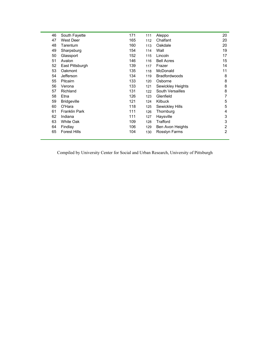| 46 | South Fayette        | 171 | 111 | Aleppo               | 20             |
|----|----------------------|-----|-----|----------------------|----------------|
| 47 | West Deer            | 165 | 112 | Chalfant             | 20             |
| 48 | Tarentum             | 160 | 113 | Oakdale              | 20             |
| 49 | Sharpsburg           | 154 | 114 | Wall                 | 19             |
| 50 | Glassport            | 152 | 115 | Lincoln              | 17             |
| 51 | Avalon               | 146 | 116 | <b>Bell Acres</b>    | 15             |
| 52 | East Pittsburgh      | 139 | 117 | Frazer               | 14             |
| 53 | Oakmont              | 135 | 118 | McDonald             | 11             |
| 54 | Jefferson            | 134 | 119 | <b>Bradfordwoods</b> | 8              |
| 55 | Pitcairn             | 133 | 120 | Osborne              | 8              |
| 56 | Verona               | 133 | 121 | Sewickley Heights    | 8              |
| 57 | Richland             | 131 | 122 | South Versailles     | 8              |
| 58 | Etna                 | 126 | 123 | Glenfield            | 7              |
| 59 | <b>Bridgeville</b>   | 121 | 124 | Kilbuck              | 5              |
| 60 | O'Hara               | 118 | 125 | Sewickley Hills      | 5              |
| 61 | <b>Franklin Park</b> | 111 | 126 | Thornburg            | 4              |
| 62 | Indiana              | 111 | 127 | Haysville            | 3              |
| 63 | White Oak            | 109 | 128 | Trafford             | 3              |
| 64 | Findlay              | 106 | 129 | Ben Avon Heights     | $\overline{2}$ |
| 65 | <b>Forest Hills</b>  | 104 | 130 | Rosslyn Farms        | $\overline{2}$ |
|    |                      |     |     |                      |                |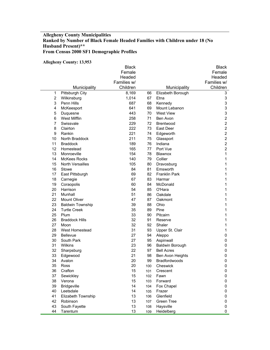## **Allegheny County Municipalities Ranked by Number of Black Female Headed Families with Children under 18 (No Husband Present)\*\* From Census 2000 SF1 Demographic Profiles**

#### **Allegheny County: 13,953**

| Headed<br>Headed<br>Families w/<br>Families w/<br>Children<br>Children<br>Municipality<br>Municipality<br>1<br>8,169<br>Pittsburgh City<br>66<br>Elizabeth Borough<br>3<br>$\overline{2}$<br>3<br>67<br>Wilkinsburg<br>1,014<br>Etna<br>$\ensuremath{\mathsf{3}}$<br>3<br>Penn Hills<br>687<br>68<br>Kennedy<br>3<br>4<br>641<br>69<br>Mount Lebanon<br>McKeesport<br>3<br>5<br>443<br>70<br>West View<br>Duquesne<br>$\overline{c}$<br>6<br><b>West Mifflin</b><br>258<br>71<br>Ben Avon<br>$\overline{c}$<br>7<br>229<br>Swissvale<br>72<br><b>Brentwood</b><br>$\overline{c}$<br>222<br>8<br>73<br>East Deer<br>Clairton<br>$\overline{c}$<br>221<br>9<br>Rankin<br>74<br>Edgeworth<br>$\overline{c}$<br>10<br>North Braddock<br>211<br>75<br>Glassport<br>$\overline{c}$<br>11<br>189<br>Indiana<br><b>Braddock</b><br>76<br>$\boldsymbol{2}$<br>12<br>165<br>Port Vue<br>Homestead<br>77<br>1<br>13<br>Monroeville<br>154<br>78<br>Blawnox<br>14<br><b>McKees Rocks</b><br>Collier<br>140<br>79<br>1<br>15<br>105<br>1<br><b>North Versailles</b><br>80<br>Dravosburg<br>16<br>84<br>81<br>Emsworth<br>1<br>Stowe<br>17<br>69<br>82<br><b>Franklin Park</b><br>1<br>East Pittsburgh<br>18<br>67<br>83<br>1<br>Carnegie<br>Harmar<br>19<br>60<br>84<br>McDonald<br>1<br>Coraopolis<br>20<br>Harrison<br>54<br>85<br>O'Hara<br>1<br>21<br>51<br>86<br>Oakdale<br>1<br>Munhall<br>22<br><b>Mount Oliver</b><br>47<br>87<br>1<br>Oakmont<br>23<br><b>Baldwin Township</b><br>39<br>88<br>Ohio<br>1<br>24<br>35<br><b>Turtle Creek</b><br>89<br>Pine<br>1<br>25<br>33<br>90<br>Pitcairn<br>Plum<br>1<br>26<br><b>Braddock Hills</b><br>32<br>91<br>Reserve<br>1<br>27<br>32<br>92<br>Shaler<br>Moon<br>1<br>31<br>28<br>West Homestead<br>93<br>1<br>Upper St. Clair<br>29<br>27<br><b>Bellevue</b><br>94<br>$\pmb{0}$<br>Aleppo<br>30<br>South Park<br>27<br>95<br>0<br>Aspinwall<br>31<br>23<br>96<br>0<br>Wilkins<br><b>Baldwin Borough</b><br>22<br>32<br>97<br>0<br>Sharpsburg<br><b>Bell Acres</b><br>21<br>33<br>Edgewood<br>98<br>Ben Avon Heights<br>0<br>34<br>20<br>99<br>Bradfordwoods<br>0<br>Avalon<br>35<br>20<br>Cheswick<br>Ross<br>0<br>100<br>36<br>15<br>Crafton<br>0<br>101<br>Crescent<br>37<br>15<br>Sewickley<br>Fawn<br>0<br>102<br>38<br>Verona<br>15<br>Forward<br>0<br>103<br>39<br><b>Bridgeville</b><br>14<br>Fox Chapel<br>104<br>0<br>40<br>14<br>Leetsdale<br>0<br>Frazer<br>105<br>41<br>Elizabeth Township<br>13<br>Glenfield<br>0<br>106<br>42<br>13<br><b>Green Tree</b><br>Robinson<br>0<br>107<br>43<br>South Fayette<br>13<br>Haysville<br>0<br>108<br>44<br>Tarentum<br>13<br>Heidelberg<br>0<br>109 |  | <b>Black</b> |  | <b>Black</b> |
|-----------------------------------------------------------------------------------------------------------------------------------------------------------------------------------------------------------------------------------------------------------------------------------------------------------------------------------------------------------------------------------------------------------------------------------------------------------------------------------------------------------------------------------------------------------------------------------------------------------------------------------------------------------------------------------------------------------------------------------------------------------------------------------------------------------------------------------------------------------------------------------------------------------------------------------------------------------------------------------------------------------------------------------------------------------------------------------------------------------------------------------------------------------------------------------------------------------------------------------------------------------------------------------------------------------------------------------------------------------------------------------------------------------------------------------------------------------------------------------------------------------------------------------------------------------------------------------------------------------------------------------------------------------------------------------------------------------------------------------------------------------------------------------------------------------------------------------------------------------------------------------------------------------------------------------------------------------------------------------------------------------------------------------------------------------------------------------------------------------------------------------------------------------------------------------------------------------------------------------------------------------------------------------------------------------------------------------------------------------------------------------------------------------------------------------------------------------------------------------------------------------------------------------------------------------------------------------------------------------------------------------------------|--|--------------|--|--------------|
|                                                                                                                                                                                                                                                                                                                                                                                                                                                                                                                                                                                                                                                                                                                                                                                                                                                                                                                                                                                                                                                                                                                                                                                                                                                                                                                                                                                                                                                                                                                                                                                                                                                                                                                                                                                                                                                                                                                                                                                                                                                                                                                                                                                                                                                                                                                                                                                                                                                                                                                                                                                                                                               |  | Female       |  | Female       |
|                                                                                                                                                                                                                                                                                                                                                                                                                                                                                                                                                                                                                                                                                                                                                                                                                                                                                                                                                                                                                                                                                                                                                                                                                                                                                                                                                                                                                                                                                                                                                                                                                                                                                                                                                                                                                                                                                                                                                                                                                                                                                                                                                                                                                                                                                                                                                                                                                                                                                                                                                                                                                                               |  |              |  |              |
|                                                                                                                                                                                                                                                                                                                                                                                                                                                                                                                                                                                                                                                                                                                                                                                                                                                                                                                                                                                                                                                                                                                                                                                                                                                                                                                                                                                                                                                                                                                                                                                                                                                                                                                                                                                                                                                                                                                                                                                                                                                                                                                                                                                                                                                                                                                                                                                                                                                                                                                                                                                                                                               |  |              |  |              |
|                                                                                                                                                                                                                                                                                                                                                                                                                                                                                                                                                                                                                                                                                                                                                                                                                                                                                                                                                                                                                                                                                                                                                                                                                                                                                                                                                                                                                                                                                                                                                                                                                                                                                                                                                                                                                                                                                                                                                                                                                                                                                                                                                                                                                                                                                                                                                                                                                                                                                                                                                                                                                                               |  |              |  |              |
|                                                                                                                                                                                                                                                                                                                                                                                                                                                                                                                                                                                                                                                                                                                                                                                                                                                                                                                                                                                                                                                                                                                                                                                                                                                                                                                                                                                                                                                                                                                                                                                                                                                                                                                                                                                                                                                                                                                                                                                                                                                                                                                                                                                                                                                                                                                                                                                                                                                                                                                                                                                                                                               |  |              |  |              |
|                                                                                                                                                                                                                                                                                                                                                                                                                                                                                                                                                                                                                                                                                                                                                                                                                                                                                                                                                                                                                                                                                                                                                                                                                                                                                                                                                                                                                                                                                                                                                                                                                                                                                                                                                                                                                                                                                                                                                                                                                                                                                                                                                                                                                                                                                                                                                                                                                                                                                                                                                                                                                                               |  |              |  |              |
|                                                                                                                                                                                                                                                                                                                                                                                                                                                                                                                                                                                                                                                                                                                                                                                                                                                                                                                                                                                                                                                                                                                                                                                                                                                                                                                                                                                                                                                                                                                                                                                                                                                                                                                                                                                                                                                                                                                                                                                                                                                                                                                                                                                                                                                                                                                                                                                                                                                                                                                                                                                                                                               |  |              |  |              |
|                                                                                                                                                                                                                                                                                                                                                                                                                                                                                                                                                                                                                                                                                                                                                                                                                                                                                                                                                                                                                                                                                                                                                                                                                                                                                                                                                                                                                                                                                                                                                                                                                                                                                                                                                                                                                                                                                                                                                                                                                                                                                                                                                                                                                                                                                                                                                                                                                                                                                                                                                                                                                                               |  |              |  |              |
|                                                                                                                                                                                                                                                                                                                                                                                                                                                                                                                                                                                                                                                                                                                                                                                                                                                                                                                                                                                                                                                                                                                                                                                                                                                                                                                                                                                                                                                                                                                                                                                                                                                                                                                                                                                                                                                                                                                                                                                                                                                                                                                                                                                                                                                                                                                                                                                                                                                                                                                                                                                                                                               |  |              |  |              |
|                                                                                                                                                                                                                                                                                                                                                                                                                                                                                                                                                                                                                                                                                                                                                                                                                                                                                                                                                                                                                                                                                                                                                                                                                                                                                                                                                                                                                                                                                                                                                                                                                                                                                                                                                                                                                                                                                                                                                                                                                                                                                                                                                                                                                                                                                                                                                                                                                                                                                                                                                                                                                                               |  |              |  |              |
|                                                                                                                                                                                                                                                                                                                                                                                                                                                                                                                                                                                                                                                                                                                                                                                                                                                                                                                                                                                                                                                                                                                                                                                                                                                                                                                                                                                                                                                                                                                                                                                                                                                                                                                                                                                                                                                                                                                                                                                                                                                                                                                                                                                                                                                                                                                                                                                                                                                                                                                                                                                                                                               |  |              |  |              |
|                                                                                                                                                                                                                                                                                                                                                                                                                                                                                                                                                                                                                                                                                                                                                                                                                                                                                                                                                                                                                                                                                                                                                                                                                                                                                                                                                                                                                                                                                                                                                                                                                                                                                                                                                                                                                                                                                                                                                                                                                                                                                                                                                                                                                                                                                                                                                                                                                                                                                                                                                                                                                                               |  |              |  |              |
|                                                                                                                                                                                                                                                                                                                                                                                                                                                                                                                                                                                                                                                                                                                                                                                                                                                                                                                                                                                                                                                                                                                                                                                                                                                                                                                                                                                                                                                                                                                                                                                                                                                                                                                                                                                                                                                                                                                                                                                                                                                                                                                                                                                                                                                                                                                                                                                                                                                                                                                                                                                                                                               |  |              |  |              |
|                                                                                                                                                                                                                                                                                                                                                                                                                                                                                                                                                                                                                                                                                                                                                                                                                                                                                                                                                                                                                                                                                                                                                                                                                                                                                                                                                                                                                                                                                                                                                                                                                                                                                                                                                                                                                                                                                                                                                                                                                                                                                                                                                                                                                                                                                                                                                                                                                                                                                                                                                                                                                                               |  |              |  |              |
|                                                                                                                                                                                                                                                                                                                                                                                                                                                                                                                                                                                                                                                                                                                                                                                                                                                                                                                                                                                                                                                                                                                                                                                                                                                                                                                                                                                                                                                                                                                                                                                                                                                                                                                                                                                                                                                                                                                                                                                                                                                                                                                                                                                                                                                                                                                                                                                                                                                                                                                                                                                                                                               |  |              |  |              |
|                                                                                                                                                                                                                                                                                                                                                                                                                                                                                                                                                                                                                                                                                                                                                                                                                                                                                                                                                                                                                                                                                                                                                                                                                                                                                                                                                                                                                                                                                                                                                                                                                                                                                                                                                                                                                                                                                                                                                                                                                                                                                                                                                                                                                                                                                                                                                                                                                                                                                                                                                                                                                                               |  |              |  |              |
|                                                                                                                                                                                                                                                                                                                                                                                                                                                                                                                                                                                                                                                                                                                                                                                                                                                                                                                                                                                                                                                                                                                                                                                                                                                                                                                                                                                                                                                                                                                                                                                                                                                                                                                                                                                                                                                                                                                                                                                                                                                                                                                                                                                                                                                                                                                                                                                                                                                                                                                                                                                                                                               |  |              |  |              |
|                                                                                                                                                                                                                                                                                                                                                                                                                                                                                                                                                                                                                                                                                                                                                                                                                                                                                                                                                                                                                                                                                                                                                                                                                                                                                                                                                                                                                                                                                                                                                                                                                                                                                                                                                                                                                                                                                                                                                                                                                                                                                                                                                                                                                                                                                                                                                                                                                                                                                                                                                                                                                                               |  |              |  |              |
|                                                                                                                                                                                                                                                                                                                                                                                                                                                                                                                                                                                                                                                                                                                                                                                                                                                                                                                                                                                                                                                                                                                                                                                                                                                                                                                                                                                                                                                                                                                                                                                                                                                                                                                                                                                                                                                                                                                                                                                                                                                                                                                                                                                                                                                                                                                                                                                                                                                                                                                                                                                                                                               |  |              |  |              |
|                                                                                                                                                                                                                                                                                                                                                                                                                                                                                                                                                                                                                                                                                                                                                                                                                                                                                                                                                                                                                                                                                                                                                                                                                                                                                                                                                                                                                                                                                                                                                                                                                                                                                                                                                                                                                                                                                                                                                                                                                                                                                                                                                                                                                                                                                                                                                                                                                                                                                                                                                                                                                                               |  |              |  |              |
|                                                                                                                                                                                                                                                                                                                                                                                                                                                                                                                                                                                                                                                                                                                                                                                                                                                                                                                                                                                                                                                                                                                                                                                                                                                                                                                                                                                                                                                                                                                                                                                                                                                                                                                                                                                                                                                                                                                                                                                                                                                                                                                                                                                                                                                                                                                                                                                                                                                                                                                                                                                                                                               |  |              |  |              |
|                                                                                                                                                                                                                                                                                                                                                                                                                                                                                                                                                                                                                                                                                                                                                                                                                                                                                                                                                                                                                                                                                                                                                                                                                                                                                                                                                                                                                                                                                                                                                                                                                                                                                                                                                                                                                                                                                                                                                                                                                                                                                                                                                                                                                                                                                                                                                                                                                                                                                                                                                                                                                                               |  |              |  |              |
|                                                                                                                                                                                                                                                                                                                                                                                                                                                                                                                                                                                                                                                                                                                                                                                                                                                                                                                                                                                                                                                                                                                                                                                                                                                                                                                                                                                                                                                                                                                                                                                                                                                                                                                                                                                                                                                                                                                                                                                                                                                                                                                                                                                                                                                                                                                                                                                                                                                                                                                                                                                                                                               |  |              |  |              |
|                                                                                                                                                                                                                                                                                                                                                                                                                                                                                                                                                                                                                                                                                                                                                                                                                                                                                                                                                                                                                                                                                                                                                                                                                                                                                                                                                                                                                                                                                                                                                                                                                                                                                                                                                                                                                                                                                                                                                                                                                                                                                                                                                                                                                                                                                                                                                                                                                                                                                                                                                                                                                                               |  |              |  |              |
|                                                                                                                                                                                                                                                                                                                                                                                                                                                                                                                                                                                                                                                                                                                                                                                                                                                                                                                                                                                                                                                                                                                                                                                                                                                                                                                                                                                                                                                                                                                                                                                                                                                                                                                                                                                                                                                                                                                                                                                                                                                                                                                                                                                                                                                                                                                                                                                                                                                                                                                                                                                                                                               |  |              |  |              |
|                                                                                                                                                                                                                                                                                                                                                                                                                                                                                                                                                                                                                                                                                                                                                                                                                                                                                                                                                                                                                                                                                                                                                                                                                                                                                                                                                                                                                                                                                                                                                                                                                                                                                                                                                                                                                                                                                                                                                                                                                                                                                                                                                                                                                                                                                                                                                                                                                                                                                                                                                                                                                                               |  |              |  |              |
|                                                                                                                                                                                                                                                                                                                                                                                                                                                                                                                                                                                                                                                                                                                                                                                                                                                                                                                                                                                                                                                                                                                                                                                                                                                                                                                                                                                                                                                                                                                                                                                                                                                                                                                                                                                                                                                                                                                                                                                                                                                                                                                                                                                                                                                                                                                                                                                                                                                                                                                                                                                                                                               |  |              |  |              |
|                                                                                                                                                                                                                                                                                                                                                                                                                                                                                                                                                                                                                                                                                                                                                                                                                                                                                                                                                                                                                                                                                                                                                                                                                                                                                                                                                                                                                                                                                                                                                                                                                                                                                                                                                                                                                                                                                                                                                                                                                                                                                                                                                                                                                                                                                                                                                                                                                                                                                                                                                                                                                                               |  |              |  |              |
|                                                                                                                                                                                                                                                                                                                                                                                                                                                                                                                                                                                                                                                                                                                                                                                                                                                                                                                                                                                                                                                                                                                                                                                                                                                                                                                                                                                                                                                                                                                                                                                                                                                                                                                                                                                                                                                                                                                                                                                                                                                                                                                                                                                                                                                                                                                                                                                                                                                                                                                                                                                                                                               |  |              |  |              |
|                                                                                                                                                                                                                                                                                                                                                                                                                                                                                                                                                                                                                                                                                                                                                                                                                                                                                                                                                                                                                                                                                                                                                                                                                                                                                                                                                                                                                                                                                                                                                                                                                                                                                                                                                                                                                                                                                                                                                                                                                                                                                                                                                                                                                                                                                                                                                                                                                                                                                                                                                                                                                                               |  |              |  |              |
|                                                                                                                                                                                                                                                                                                                                                                                                                                                                                                                                                                                                                                                                                                                                                                                                                                                                                                                                                                                                                                                                                                                                                                                                                                                                                                                                                                                                                                                                                                                                                                                                                                                                                                                                                                                                                                                                                                                                                                                                                                                                                                                                                                                                                                                                                                                                                                                                                                                                                                                                                                                                                                               |  |              |  |              |
|                                                                                                                                                                                                                                                                                                                                                                                                                                                                                                                                                                                                                                                                                                                                                                                                                                                                                                                                                                                                                                                                                                                                                                                                                                                                                                                                                                                                                                                                                                                                                                                                                                                                                                                                                                                                                                                                                                                                                                                                                                                                                                                                                                                                                                                                                                                                                                                                                                                                                                                                                                                                                                               |  |              |  |              |
|                                                                                                                                                                                                                                                                                                                                                                                                                                                                                                                                                                                                                                                                                                                                                                                                                                                                                                                                                                                                                                                                                                                                                                                                                                                                                                                                                                                                                                                                                                                                                                                                                                                                                                                                                                                                                                                                                                                                                                                                                                                                                                                                                                                                                                                                                                                                                                                                                                                                                                                                                                                                                                               |  |              |  |              |
|                                                                                                                                                                                                                                                                                                                                                                                                                                                                                                                                                                                                                                                                                                                                                                                                                                                                                                                                                                                                                                                                                                                                                                                                                                                                                                                                                                                                                                                                                                                                                                                                                                                                                                                                                                                                                                                                                                                                                                                                                                                                                                                                                                                                                                                                                                                                                                                                                                                                                                                                                                                                                                               |  |              |  |              |
|                                                                                                                                                                                                                                                                                                                                                                                                                                                                                                                                                                                                                                                                                                                                                                                                                                                                                                                                                                                                                                                                                                                                                                                                                                                                                                                                                                                                                                                                                                                                                                                                                                                                                                                                                                                                                                                                                                                                                                                                                                                                                                                                                                                                                                                                                                                                                                                                                                                                                                                                                                                                                                               |  |              |  |              |
|                                                                                                                                                                                                                                                                                                                                                                                                                                                                                                                                                                                                                                                                                                                                                                                                                                                                                                                                                                                                                                                                                                                                                                                                                                                                                                                                                                                                                                                                                                                                                                                                                                                                                                                                                                                                                                                                                                                                                                                                                                                                                                                                                                                                                                                                                                                                                                                                                                                                                                                                                                                                                                               |  |              |  |              |
|                                                                                                                                                                                                                                                                                                                                                                                                                                                                                                                                                                                                                                                                                                                                                                                                                                                                                                                                                                                                                                                                                                                                                                                                                                                                                                                                                                                                                                                                                                                                                                                                                                                                                                                                                                                                                                                                                                                                                                                                                                                                                                                                                                                                                                                                                                                                                                                                                                                                                                                                                                                                                                               |  |              |  |              |
|                                                                                                                                                                                                                                                                                                                                                                                                                                                                                                                                                                                                                                                                                                                                                                                                                                                                                                                                                                                                                                                                                                                                                                                                                                                                                                                                                                                                                                                                                                                                                                                                                                                                                                                                                                                                                                                                                                                                                                                                                                                                                                                                                                                                                                                                                                                                                                                                                                                                                                                                                                                                                                               |  |              |  |              |
|                                                                                                                                                                                                                                                                                                                                                                                                                                                                                                                                                                                                                                                                                                                                                                                                                                                                                                                                                                                                                                                                                                                                                                                                                                                                                                                                                                                                                                                                                                                                                                                                                                                                                                                                                                                                                                                                                                                                                                                                                                                                                                                                                                                                                                                                                                                                                                                                                                                                                                                                                                                                                                               |  |              |  |              |
|                                                                                                                                                                                                                                                                                                                                                                                                                                                                                                                                                                                                                                                                                                                                                                                                                                                                                                                                                                                                                                                                                                                                                                                                                                                                                                                                                                                                                                                                                                                                                                                                                                                                                                                                                                                                                                                                                                                                                                                                                                                                                                                                                                                                                                                                                                                                                                                                                                                                                                                                                                                                                                               |  |              |  |              |
|                                                                                                                                                                                                                                                                                                                                                                                                                                                                                                                                                                                                                                                                                                                                                                                                                                                                                                                                                                                                                                                                                                                                                                                                                                                                                                                                                                                                                                                                                                                                                                                                                                                                                                                                                                                                                                                                                                                                                                                                                                                                                                                                                                                                                                                                                                                                                                                                                                                                                                                                                                                                                                               |  |              |  |              |
|                                                                                                                                                                                                                                                                                                                                                                                                                                                                                                                                                                                                                                                                                                                                                                                                                                                                                                                                                                                                                                                                                                                                                                                                                                                                                                                                                                                                                                                                                                                                                                                                                                                                                                                                                                                                                                                                                                                                                                                                                                                                                                                                                                                                                                                                                                                                                                                                                                                                                                                                                                                                                                               |  |              |  |              |
|                                                                                                                                                                                                                                                                                                                                                                                                                                                                                                                                                                                                                                                                                                                                                                                                                                                                                                                                                                                                                                                                                                                                                                                                                                                                                                                                                                                                                                                                                                                                                                                                                                                                                                                                                                                                                                                                                                                                                                                                                                                                                                                                                                                                                                                                                                                                                                                                                                                                                                                                                                                                                                               |  |              |  |              |
|                                                                                                                                                                                                                                                                                                                                                                                                                                                                                                                                                                                                                                                                                                                                                                                                                                                                                                                                                                                                                                                                                                                                                                                                                                                                                                                                                                                                                                                                                                                                                                                                                                                                                                                                                                                                                                                                                                                                                                                                                                                                                                                                                                                                                                                                                                                                                                                                                                                                                                                                                                                                                                               |  |              |  |              |
|                                                                                                                                                                                                                                                                                                                                                                                                                                                                                                                                                                                                                                                                                                                                                                                                                                                                                                                                                                                                                                                                                                                                                                                                                                                                                                                                                                                                                                                                                                                                                                                                                                                                                                                                                                                                                                                                                                                                                                                                                                                                                                                                                                                                                                                                                                                                                                                                                                                                                                                                                                                                                                               |  |              |  |              |
|                                                                                                                                                                                                                                                                                                                                                                                                                                                                                                                                                                                                                                                                                                                                                                                                                                                                                                                                                                                                                                                                                                                                                                                                                                                                                                                                                                                                                                                                                                                                                                                                                                                                                                                                                                                                                                                                                                                                                                                                                                                                                                                                                                                                                                                                                                                                                                                                                                                                                                                                                                                                                                               |  |              |  |              |
|                                                                                                                                                                                                                                                                                                                                                                                                                                                                                                                                                                                                                                                                                                                                                                                                                                                                                                                                                                                                                                                                                                                                                                                                                                                                                                                                                                                                                                                                                                                                                                                                                                                                                                                                                                                                                                                                                                                                                                                                                                                                                                                                                                                                                                                                                                                                                                                                                                                                                                                                                                                                                                               |  |              |  |              |
|                                                                                                                                                                                                                                                                                                                                                                                                                                                                                                                                                                                                                                                                                                                                                                                                                                                                                                                                                                                                                                                                                                                                                                                                                                                                                                                                                                                                                                                                                                                                                                                                                                                                                                                                                                                                                                                                                                                                                                                                                                                                                                                                                                                                                                                                                                                                                                                                                                                                                                                                                                                                                                               |  |              |  |              |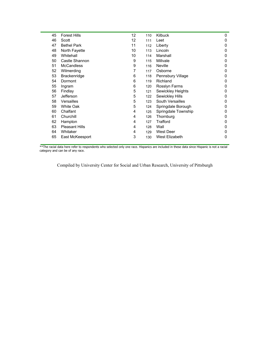| 45 | <b>Forest Hills</b>   | 12 | 110 | <b>Kilbuck</b>      | 0            |
|----|-----------------------|----|-----|---------------------|--------------|
| 46 | Scott                 | 12 | 111 | Leet                | 0            |
| 47 | <b>Bethel Park</b>    | 11 | 112 | Liberty             | $\mathbf{0}$ |
| 48 | North Fayette         | 10 | 113 | Lincoln             | 0            |
| 49 | Whitehall             | 10 | 114 | Marshall            | 0            |
| 50 | Castle Shannon        | 9  | 115 | Millvale            | 0            |
| 51 | <b>McCandless</b>     | 9  | 116 | <b>Neville</b>      | $\mathbf{0}$ |
| 52 | Wilmerding            | 7  | 117 | Osborne             | 0            |
| 53 | <b>Brackenridge</b>   | 6  | 118 | Pennsbury Village   | 0            |
| 54 | Dormont               | 6  | 119 | Richland            | 0            |
| 55 | Ingram                | 6  | 120 | Rosslyn Farms       | 0            |
| 56 | Findlay               | 5  | 121 | Sewickley Heights   | 0            |
| 57 | Jefferson             | 5  | 122 | Sewickley Hills     | $\mathbf{0}$ |
| 58 | Versailles            | 5  | 123 | South Versailles    | $\mathbf{0}$ |
| 59 | <b>White Oak</b>      | 5  | 124 | Springdale Borough  | 0            |
| 60 | Chalfant              | 4  | 125 | Springdale Township | 0            |
| 61 | Churchill             | 4  | 126 | Thornburg           | $\mathbf{0}$ |
| 62 | Hampton               | 4  | 127 | Trafford            | 0            |
| 63 | <b>Pleasant Hills</b> | 4  | 128 | Wall                | $\mathbf{0}$ |
| 64 | Whitaker              | 4  | 129 | West Deer           | 0            |
| 65 | East McKeesport       | 3  | 130 | West Elizabeth      | 0            |
|    |                       |    |     |                     |              |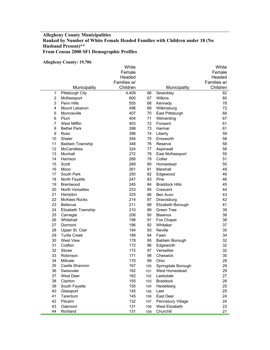## **Allegheny County Municipalities Ranked by Number of White Female Headed Families with Children under 18 (No Husband Present)\*\* From Census 2000 SF1 Demographic Profiles**

#### **Allegheny County: 19,706**

|                |                         | White       |     |                        | White       |
|----------------|-------------------------|-------------|-----|------------------------|-------------|
|                |                         | Female      |     |                        | Female      |
|                |                         | Headed      |     |                        | Headed      |
|                |                         | Families w/ |     |                        | Families w/ |
|                | Municipality            | Children    |     | Municipality           | Children    |
| 1              | Pittsburgh City         | 4,409       | 66  | Sewickley              | 82          |
| $\overline{2}$ | McKeesport              | 600         | 67  | Wilkins                | 80          |
| 3              | Penn Hills              | 555         | 68  | Kennedy                | 78          |
| 4              | Mount Lebanon           | 496         | 69  | Wilkinsburg            | 72          |
| 5              | Monroeville             | 407         | 70  | East Pittsburgh        | 68          |
| 6              | Plum                    | 404         | 71  | Wilmerding             | 67          |
| $\overline{7}$ | West Mifflin            | 403         | 72  | Forward                | 61          |
| 8              | <b>Bethel Park</b>      | 398         | 73  | Harmar                 | 61          |
| 9              | Ross                    | 396         | 74  | Liberty                | 59          |
| 10             | Shaler                  | 354         | 75  | Emsworth               | 58          |
| 11             | <b>Baldwin Township</b> | 348         | 76  | Reserve                | 58          |
| 12             | <b>McCandless</b>       | 324         | 77  | Aspinwall              | 56          |
| 13             | Munhall                 | 272         | 78  | East McKeesport        | 55          |
| 14             | Harrison                | 268         | 79  | Collier                | 51          |
| 15             | Scott                   | 268         | 80  | Homestead              | 50          |
| 16             | Moon                    | 261         | 81  | Marshall               | 49          |
| 17             | South Park              | 250         | 82  | Edgewood               | 46          |
| 18             | North Fayette           | 247         | 83  | Pine                   | 46          |
| 19             | Brentwood               | 245         | 84  | <b>Braddock Hills</b>  | 45          |
| 20             | North Versailles        | 233         | 85  | Crescent               | 44          |
| 21             | Hampton                 | 225         | 86  | Ben Avon               | 43          |
| 22             | <b>McKees Rocks</b>     | 214         | 87  | Dravosburg             | 42          |
| 23             | <b>Bellevue</b>         | 211         | 88  | Elizabeth Borough      | 41          |
| 24             | Elizabeth Township      | 210         | 89  | <b>Green Tree</b>      | 39          |
| 25             | Carnegie                | 206         | 90  | Blawnox                | 38          |
| 26             | Whitehall               | 198         | 91  | Fox Chapel             | 38          |
| 27             | Dormont                 | 196         | 92  | Whitaker               | 37          |
| 28             | Upper St. Clair         | 194         | 93  | Neville                | 35          |
| 29             | <b>Turtle Creek</b>     | 188         | 94  | Fawn                   | 34          |
| 30             | <b>West View</b>        | 178         | 95  | <b>Baldwin Borough</b> | 32          |
| 31             | Crafton                 | 172         | 96  | Edgeworth              | 32          |
| 32             | Stowe                   | 172         | 97  | Versailles             | 32          |
| 33             | Robinson                | 171         | 98  | Cheswick               | 30          |
| 34             | Millvale                | 170         | 99  | Ohio                   | 29          |
| 35             | Castle Shannon          | 167         | 100 | Springdale Borough     | 29          |
| 36             | Swissvale               | 162         | 101 | West Homestead         | 29          |
| 37             | West Deer               | 162         | 102 | Leetsdale              | 27          |
| 38             | Clairton                | 155         | 103 | <b>Braddock</b>        | 26          |
| 39             | South Fayette           | 155         | 104 | Heidelberg             | 25          |
| 40             | Glassport               | 145         | 105 | Leet                   | 25          |
| 41             | Tarentum                | 145         | 106 | East Deer              | 24          |
| 42             | Pitcairn                | 132         | 107 | Pennsbury Village      | 24          |
| 43             | Oakmont                 | 131         | 108 | West Elizabeth         | 23          |
| 44             | Richland                | 131         | 109 | Churchill              | 21          |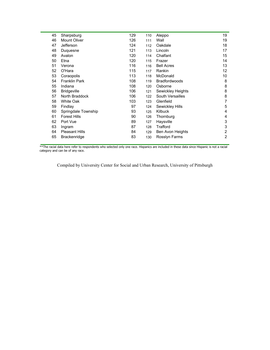| 45 | Sharpsburg            | 129 | 110 | Aleppo               | 19             |
|----|-----------------------|-----|-----|----------------------|----------------|
| 46 | <b>Mount Oliver</b>   | 126 | 111 | Wall                 | 19             |
| 47 | Jefferson             | 124 | 112 | Oakdale              | 18             |
| 48 | Duquesne              | 121 | 113 | Lincoln              | 17             |
| 49 | Avalon                | 120 | 114 | Chalfant             | 15             |
| 50 | Etna                  | 120 | 115 | Frazer               | 14             |
| 51 | Verona                | 116 | 116 | <b>Bell Acres</b>    | 13             |
| 52 | O'Hara                | 115 | 117 | Rankin               | 12             |
| 53 | Coraopolis            | 113 | 118 | McDonald             | 10             |
| 54 | <b>Franklin Park</b>  | 108 | 119 | <b>Bradfordwoods</b> | 8              |
| 55 | Indiana               | 108 | 120 | Osborne              | 8              |
| 56 | <b>Bridgeville</b>    | 106 | 121 | Sewickley Heights    | 8              |
| 57 | North Braddock        | 106 | 122 | South Versailles     | 8              |
| 58 | <b>White Oak</b>      | 103 | 123 | Glenfield            | 7              |
| 59 | Findlay               | 97  | 124 | Sewickley Hills      | 5              |
| 60 | Springdale Township   | 93  | 125 | Kilbuck              | 4              |
| 61 | <b>Forest Hills</b>   | 90  | 126 | Thornburg            | 4              |
| 62 | Port Vue              | 89  | 127 | Haysville            | 3              |
| 63 | Ingram                | 87  | 128 | Trafford             | 3              |
| 64 | <b>Pleasant Hills</b> | 84  | 129 | Ben Avon Heights     | 2              |
| 65 | Brackenridge          | 83  | 130 | Rosslyn Farms        | $\overline{2}$ |
|    |                       |     |     |                      |                |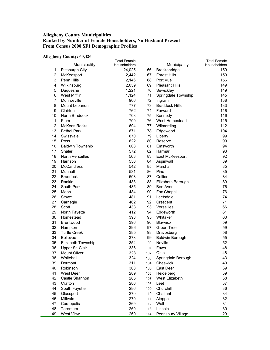## **Allegheny County Municipalities Ranked by Number of Female Householders, No Husband Present From Census 2000 SF1 Demographic Profiles**

#### **Allegheny County: 60,426**

|                |                         | <b>Total Female</b> |            |                        | <b>Total Female</b> |
|----------------|-------------------------|---------------------|------------|------------------------|---------------------|
|                | Municipality            | Householders        |            | Municipality           | Householders        |
| $\mathbf{1}$   | Pittsburgh City         | 24,025              | 66         | Brackenridge           | 159                 |
| $\overline{2}$ | McKeesport              | 2,442               | 67         | <b>Forest Hills</b>    | 159                 |
| 3              | Penn Hills              | 2,146               | 68         | Port Vue               | 156                 |
| 4              | Wilkinsburg             | 2,039               | 69         | <b>Pleasant Hills</b>  | 149                 |
| 5              | Duquesne                | 1,221               | 70         | Sewickley              | 149                 |
| 6              | <b>West Mifflin</b>     | 1,124               | 71         | Springdale Township    | 145                 |
| $\overline{7}$ | Monroeville             | 906                 | 72         | Ingram                 | 138                 |
| 8              | Mount Lebanon           | 777                 | 73         | <b>Braddock Hills</b>  | 133                 |
| 9              | Clairton                | 762                 | 74         | Forward                | 116                 |
| 10             | North Braddock          | 708                 | 75         | Kennedy                | 116                 |
| 11             | Plum                    | 700                 | 76         | West Homestead         | 115                 |
| 12             | <b>McKees Rocks</b>     | 694                 | 77         | Wilmerding             | 112                 |
| 13             | <b>Bethel Park</b>      | 671                 | 78         | Edgewood               | 104                 |
| 14             | Swissvale               | 670                 | 79         | Liberty                | 99                  |
| 15             | Ross                    | 622                 | 80         | Reserve                | 99                  |
| 16             | <b>Baldwin Township</b> | 608                 | 81         | Emsworth               | 94                  |
| 17             | Shaler                  | 572                 | 82         | Harmar                 | 93                  |
| 18             | North Versailles        | 563                 | 83         | East McKeesport        | 92                  |
| 19             | Harrison                | 556                 | 84         | Aspinwall              | 89                  |
| 20             | <b>McCandless</b>       | 542                 | 85         | Marshall               | 85                  |
| 21             | Munhall                 | 531                 | 86         | Pine                   | 85                  |
| 22             | <b>Braddock</b>         | 508                 | 87         | Collier                | 84                  |
| 23             | Rankin                  | 488                 | 88         | Elizabeth Borough      | 80                  |
| 24             | South Park              | 485                 | 89         | Ben Avon               | 76                  |
| 25             | Moon                    | 484                 | 90         | Fox Chapel             | 76                  |
| 26             | Stowe                   | 481                 | 91         | Leetsdale              | 74                  |
| 27             | Carnegie                | 462                 | 92         | Crescent               | 71                  |
| 28             | Scott                   | 433                 | 93         | Versailles             | 66                  |
| 29             | North Fayette           | 412                 | 94         | Edgeworth              | 61                  |
| 30             | Homestead               | 398                 | 95         | Whitaker               | 60                  |
| 31             | Brentwood               | 396                 | 96         | Blawnox                | 59                  |
| 32             | Hampton                 | 396                 | 97         | Green Tree             | 59                  |
| 33             | <b>Turtle Creek</b>     | 385                 | 98         | Dravosburg             | 58                  |
| 34             | <b>Bellevue</b>         | 373                 | 99         | <b>Baldwin Borough</b> | 55                  |
| 35             | Elizabeth Township      | 354                 | 100        | Neville                | 52                  |
| 36             | Upper St. Clair         | 336                 | 101        | Fawn                   | 48                  |
| 37             | Mount Oliver            | 328                 | 102        | Ohio                   | 48                  |
| 38             | Whitehall               | 324                 | 103        | Springdale Borough     | 43                  |
| 39             | Dormont                 | 311                 | 104        | Cheswick               | 40                  |
| 40             | Robinson                | 308                 | 105        | East Deer              | 39                  |
| 41             | West Deer               | 289                 | 106        | Heidelberg             | 39                  |
| 42             | Castle Shannon          | 286                 | 107        | West Elizabeth         | 38                  |
| 43             | Crafton                 | 286                 | 108        | Leet                   | 37                  |
| 44             | South Fayette           | 286                 | 109        | Churchill              | 36                  |
| 45             | Glassport               | 270                 | 110        | Chalfant               | 34                  |
| 46             | Millvale                | 270                 |            |                        | 32                  |
| 47             | Coraopolis              | 269                 | 111<br>112 | Aleppo<br>Wall         | 31                  |
| 48             | Tarentum                | 269                 |            | Lincoln                | 30                  |
| 49             | West View               |                     | 113        |                        | 29                  |
|                |                         | 260                 | 114        | Pennsbury Village      |                     |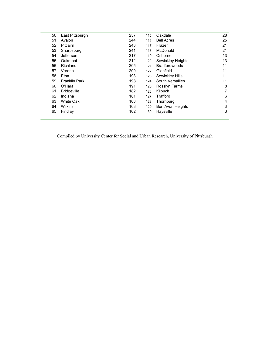| 50 | East Pittsburgh      | 257 | 115 | Oakdale              | 28 |
|----|----------------------|-----|-----|----------------------|----|
| 51 | Avalon               | 244 | 116 | <b>Bell Acres</b>    | 25 |
| 52 | Pitcairn             | 243 | 117 | Frazer               | 21 |
| 53 | Sharpsburg           | 241 | 118 | McDonald             | 21 |
| 54 | Jefferson            | 217 | 119 | Osborne              | 13 |
| 55 | Oakmont              | 212 | 120 | Sewickley Heights    | 13 |
| 56 | Richland             | 205 | 121 | <b>Bradfordwoods</b> | 11 |
| 57 | Verona               | 200 | 122 | Glenfield            | 11 |
| 58 | Etna                 | 198 | 123 | Sewickley Hills      | 11 |
| 59 | <b>Franklin Park</b> | 198 | 124 | South Versailles     | 11 |
| 60 | O'Hara               | 191 | 125 | Rosslyn Farms        | 8  |
| 61 | <b>Bridgeville</b>   | 182 | 126 | Kilbuck              | 7  |
| 62 | Indiana              | 181 | 127 | Trafford             | 6  |
| 63 | White Oak            | 168 | 128 | Thornburg            | 4  |
| 64 | Wilkins              | 163 | 129 | Ben Avon Heights     | 3  |
| 65 | Findlay              | 162 | 130 | Haysville            | 3  |
|    |                      |     |     |                      |    |

÷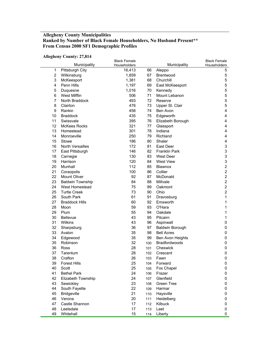## **Allegheny County Municipalities Ranked by Number of Black Female Householders, No Husband Present\*\* From Census 2000 SF1 Demographic Profiles**

#### **Allegheny County: 27,814**

|                |                         | <b>Black Female</b> |     |                        | <b>Black Female</b>       |
|----------------|-------------------------|---------------------|-----|------------------------|---------------------------|
|                | Municipality            | Householders        |     | Municipality           | Householders              |
| 1              | Pittsburgh City         | 16,413              | 66  | Aleppo                 | 5                         |
| $\overline{2}$ | Wilkinsburg             | 1,859               | 67  | <b>Brentwood</b>       | 5                         |
| 3              | McKeesport              | 1,381               | 68  | Churchill              | 5                         |
| 4              | Penn Hills              | 1,197               | 69  | East McKeesport        | 5                         |
| 5              | Duquesne                | 1,016               | 70  | Kennedy                | 5                         |
| 6              | West Mifflin            | 506                 | 71  | Mount Lebanon          | 5                         |
| $\overline{7}$ | North Braddock          | 493                 | 72  | Reserve                | 5                         |
| 8              | Clairton                | 476                 | 73  | Upper St. Clair        | 5                         |
| 9              | Rankin                  | 458                 | 74  | Ben Avon               | 4                         |
| 10             | <b>Braddock</b>         | 435                 | 75  | Edgeworth              | 4                         |
| 11             | Swissvale               | 395                 | 76  | Elizabeth Borough      | 4                         |
| 12             | <b>McKees Rocks</b>     | 321                 | 77  | Glassport              | $\overline{4}$            |
| 13             | Homestead               | 301                 | 78  | Indiana                | 4                         |
| 14             | Monroeville             | 250                 | 79  | Richland               | 4                         |
| 15             | Stowe                   | 186                 | 80  | Shaler                 | 4                         |
| 16             | North Versailles        | 172                 | 81  | East Deer              | 3                         |
| 17             | East Pittsburgh         | 146                 | 82  | <b>Franklin Park</b>   | $\ensuremath{\mathsf{3}}$ |
| 18             | Carnegie                | 130                 | 83  | <b>West Deer</b>       | $\ensuremath{\mathsf{3}}$ |
| 19             | Harrison                | 120                 | 84  | <b>West View</b>       | $\ensuremath{\mathsf{3}}$ |
| 20             | Munhall                 | 112                 | 85  | Blawnox                | $\overline{c}$            |
| 21             | Coraopolis              | 100                 | 86  | Collier                | $\overline{c}$            |
| 22             | Mount Oliver            | 92                  | 87  | McDonald               | $\overline{c}$            |
| 23             | <b>Baldwin Township</b> | 84                  | 88  | Millvale               | $\overline{c}$            |
| 24             | West Homestead          | 75                  | 89  | Oakmont                | $\overline{c}$            |
| 25             | <b>Turtle Creek</b>     | 73                  | 90  | Ohio                   | $\boldsymbol{2}$          |
| 26             | South Park              | 61                  | 91  | Dravosburg             | 1                         |
| 27             | <b>Braddock Hills</b>   | 60                  | 92  | Emsworth               | 1                         |
| 28             | Moon                    | 59                  | 93  | O'Hara                 | 1                         |
| 29             | Plum                    | 55                  | 94  | Oakdale                | 1                         |
| 30             | Bellevue                | 43                  | 95  | Pitcairn               | 1                         |
| 31             | Wilkins                 | 43                  | 96  | Aspinwall              | 0                         |
| 32             | Sharpsburg              | 36                  | 97  | <b>Baldwin Borough</b> | 0                         |
| 33             | Avalon                  | 35                  | 98  | <b>Bell Acres</b>      | 0                         |
| 34             | Edgewood                | 35                  | 99  | Ben Avon Heights       | 0                         |
| 35             | Robinson                | 32                  | 100 | Bradfordwoods          | 0                         |
| 36             | Ross                    | 28                  | 101 | Cheswick               | 0                         |
| 37             | Tarentum                | 28                  | 102 | Crescent               | 0                         |
| 38             | Crafton                 | 26                  | 103 | Fawn                   | 0                         |
| 39             | <b>Forest Hills</b>     | 25                  | 104 | Forward                | 0                         |
| 40             | Scott                   | 25                  | 105 | Fox Chapel             | 0                         |
| 41             | <b>Bethel Park</b>      | 24                  | 106 | Frazer                 | 0                         |
| 42             | Elizabeth Township      | 24                  | 107 | Glenfield              | 0                         |
| 43             | Sewickley               | 23                  | 108 | Green Tree             | 0                         |
| 44             | South Fayette           | 22                  | 109 | Harmar                 | 0                         |
| 45             | <b>Bridgeville</b>      | 21                  | 110 | Haysville              | 0                         |
| 46             | Verona                  | 20                  | 111 | Heidelberg             | 0                         |
| 47             | Castle Shannon          | 17                  | 112 | Kilbuck                | 0                         |
| 48             | Leetsdale               | 17                  | 113 | Leet                   | 0                         |
| 49             | Whitehall               | 15                  | 114 | Liberty                | 0                         |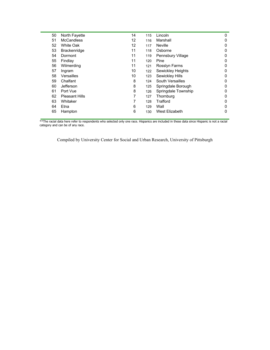| 50 | North Fayette         | 14 | 115 | Lincoln             | 0 |
|----|-----------------------|----|-----|---------------------|---|
| 51 | <b>McCandless</b>     | 12 | 116 | Marshall            | 0 |
| 52 | <b>White Oak</b>      | 12 | 117 | <b>Neville</b>      | 0 |
| 53 | <b>Brackenridge</b>   | 11 | 118 | Osborne             | 0 |
| 54 | Dormont               | 11 | 119 | Pennsbury Village   | 0 |
| 55 | Findlay               | 11 | 120 | Pine                | 0 |
| 56 | Wilmerding            | 11 | 121 | Rosslyn Farms       | 0 |
| 57 | Ingram                | 10 | 122 | Sewickley Heights   | 0 |
| 58 | Versailles            | 10 | 123 | Sewickley Hills     | 0 |
| 59 | Chalfant              | 8  | 124 | South Versailles    | 0 |
| 60 | Jefferson             | 8  | 125 | Springdale Borough  | 0 |
| 61 | Port Vue              | 8  | 126 | Springdale Township | 0 |
| 62 | <b>Pleasant Hills</b> | 7  | 127 | Thornburg           | 0 |
| 63 | Whitaker              | 7  | 128 | Trafford            | 0 |
| 64 | Etna                  | 6  | 129 | Wall                | 0 |
| 65 | Hampton               | 6  | 130 | West Elizabeth      | 0 |
|    |                       |    |     |                     |   |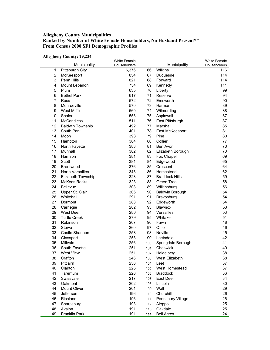# **Allegheny County Municipalities Ranked by Number of White Female Householders, No Husband Present\*\* From Census 2000 SF1 Demographic Profiles**

#### **Allegheny County: 29,234**

|                     |                         | <b>White Female</b> |     |                         | <b>White Female</b> |
|---------------------|-------------------------|---------------------|-----|-------------------------|---------------------|
|                     | Municipality            | Householders        |     | Municipality<br>Wilkins | Householders        |
| 1<br>$\overline{2}$ | Pittsburgh City         | 6,376               | 66  |                         | 116                 |
|                     | McKeesport              | 854                 | 67  | Duquesne                | 114                 |
| 3                   | Penn Hills              | 821                 | 68  | Forward                 | 114                 |
| 4                   | Mount Lebanon           | 734                 | 69  | Kennedy                 | 111                 |
| 5                   | Plum                    | 635                 | 70  | Liberty                 | 99                  |
| 6                   | <b>Bethel Park</b>      | 617                 | 71  | Reserve                 | 94                  |
| $\overline{7}$      | Ross                    | 572                 | 72  | Emsworth                | 90                  |
| 8                   | Monroeville             | 570                 | 73  | Harmar                  | 89                  |
| 9                   | <b>West Mifflin</b>     | 560                 | 74  | Wilmerding              | 88                  |
| 10                  | Shaler                  | 553                 | 75  | Aspinwall               | 87                  |
| 11                  | <b>McCandless</b>       | 511                 | 76  | East Pittsburgh         | 87                  |
| 12                  | <b>Baldwin Township</b> | 492                 | 77  | Marshall                | 85                  |
| 13                  | South Park              | 401                 | 78  | East McKeesport         | 81                  |
| 14                  | Moon                    | 393                 | 79  | Pine                    | 80                  |
| 15                  | Hampton                 | 384                 | 80  | Collier                 | 77                  |
| 16                  | North Fayette           | 383                 | 81  | Ben Avon                | 70                  |
| 17                  | Munhall                 | 382                 | 82  | Elizabeth Borough       | 70                  |
| 18                  | Harrison                | 381                 | 83  | Fox Chapel              | 69                  |
| 19                  | Scott                   | 381                 | 84  | Edgewood                | 65                  |
| 20                  | Brentwood               | 376                 | 85  | Crescent                | 64                  |
| 21                  | North Versailles        | 343                 | 86  | Homestead               | 62                  |
| 22                  | Elizabeth Township      | 323                 | 87  | <b>Braddock Hills</b>   | 59                  |
| 23                  | <b>McKees Rocks</b>     | 323                 | 88  | Green Tree              | 58                  |
| 24                  | <b>Bellevue</b>         | 308                 | 89  | Wilkinsburg             | 56                  |
| 25                  | Upper St. Clair         | 306                 | 90  | <b>Baldwin Borough</b>  | 54                  |
| 26                  | Whitehall               | 291                 | 91  | Dravosburg              | 54                  |
| 27                  | Dormont                 | 288                 | 92  | Edgeworth               | 54                  |
| 28                  | Carnegie                | 282                 | 93  | Blawnox                 | 53                  |
| 29                  | West Deer               | 280                 | 94  | Versailles              | 53                  |
| 30                  | <b>Turtle Creek</b>     | 279                 | 95  | Whitaker                | 51                  |
| 31                  | Robinson                | 267                 | 96  | Fawn                    | 48                  |
| 32                  | Stowe                   | 260                 | 97  | Ohio                    | 46                  |
| 33                  | Castle Shannon          | 258                 | 98  | Neville                 | 45                  |
| 34                  | Glassport               | 258                 | 99  | Leetsdale               | 42                  |
| 35                  | Millvale                | 256                 | 100 | Springdale Borough      | 41                  |
| 36                  | South Fayette           | 251                 | 101 | Cheswick                | 40                  |
| 37                  | <b>West View</b>        | 251                 | 102 | Heidelberg              | 38                  |
| 38                  | Crafton                 | 246                 |     | 103 West Elizabeth      | 38                  |
| 39                  | Pitcairn                | 236                 | 104 | Leet                    | 37                  |
| 40                  | Clairton                | 226                 | 105 | West Homestead          | 37                  |
| 41                  | Tarentum                | 226                 | 106 | <b>Braddock</b>         | 36                  |
| 42                  | Swissvale               | 217                 | 107 | East Deer               | 34                  |
| 43                  | Oakmont                 | 202                 | 108 | Lincoln                 | 30                  |
| 44                  | Mount Oliver            | 201                 |     | Wall                    | 29                  |
|                     |                         | 196                 | 109 | Churchill               |                     |
| 45<br>46            | Jefferson               |                     | 110 |                         | 26                  |
|                     | Richland                | 196                 | 111 | Pennsbury Village       | 26                  |
| 47                  | Sharpsburg              | 193                 | 112 | Aleppo                  | 25                  |
| 48                  | Avalon                  | 191                 | 113 | Oakdale                 | 25                  |
| 49                  | Franklin Park           | 191                 | 114 | <b>Bell Acres</b>       | 24                  |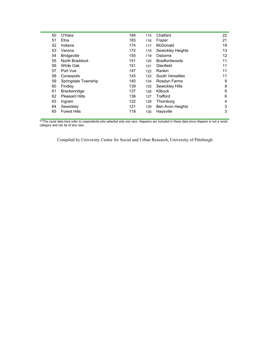| 50 | O'Hara                | 184 | 115 | Chalfant             | 22 |
|----|-----------------------|-----|-----|----------------------|----|
| 51 | Etna                  | 183 | 116 | Frazer               | 21 |
| 52 | Indiana               | 174 | 117 | McDonald             | 19 |
| 53 | Verona                | 172 | 118 | Sewickley Heights    | 13 |
| 54 | <b>Bridgeville</b>    | 155 | 119 | Osborne              | 12 |
| 55 | North Braddock        | 151 | 120 | <b>Bradfordwoods</b> | 11 |
| 56 | White Oak             | 151 | 121 | Glenfield            | 11 |
| 57 | Port Vue              | 147 | 122 | Rankin               | 11 |
| 58 | Coraopolis            | 143 | 123 | South Versailles     | 11 |
| 59 | Springdale Township   | 140 | 124 | Rosslyn Farms        | 8  |
| 60 | Findlay               | 139 | 125 | Sewickley Hills      | 8  |
| 61 | <b>Brackenridge</b>   | 137 | 126 | Kilbuck              | 6  |
| 62 | <b>Pleasant Hills</b> | 136 | 127 | Trafford             | 6  |
| 63 | Ingram                | 122 | 128 | Thornburg            | 4  |
| 64 | Sewickley             | 121 | 129 | Ben Avon Heights     | 3  |
| 65 | <b>Forest Hills</b>   | 118 | 130 | Haysville            | 3  |
|    |                       |     |     |                      |    |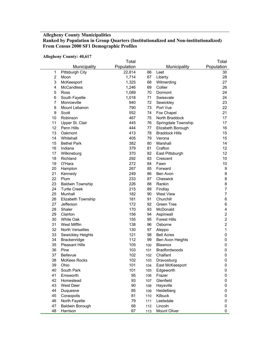# **Allegheny County Municipalities Ranked by Population in Group Quarters (Institutionalized and Non-institutionalized) From Census 2000 SF1 Demographic Profiles**

**Allegheny County: 40,617** 

|                |                         | Total      |     |                       | Total                   |
|----------------|-------------------------|------------|-----|-----------------------|-------------------------|
|                | Municipality            | Population |     | Municipality          | Population              |
| $\mathbf{1}$   | Pittsburgh City         | 22,814     | 66  | Leet                  | 30                      |
| $\overline{2}$ | Moon                    | 1,714      | 67  | Liberty               | 28                      |
| 3              | McKeesport              | 1,325      | 68  | Wilmerding            | 27                      |
| 4              | <b>McCandless</b>       | 1,246      | 69  | Collier               | 26                      |
| 5              | Ross                    | 1,089      | 70  | Dormont               | 24                      |
| 6              | South Fayette           | 1,018      | 71  | Swissvale             | 24                      |
| $\overline{7}$ | Monroeville             | 940        | 72  | Sewickley             | 23                      |
| 8              | Mount Lebanon           | 790        | 73  | Port Vue              | 22                      |
| 9              | Scott                   | 552        | 74  | Fox Chapel            | 21                      |
| 10             | Robinson                | 467        | 75  | North Braddock        | 17                      |
| 11             | Upper St. Clair         | 445        | 76  | Springdale Township   | 17                      |
| 12             | Penn Hills              | 444        | 77  | Elizabeth Borough     | 16                      |
| 13             | Oakmont                 | 413        | 78  | <b>Braddock Hills</b> | 15                      |
| 14             | Whitehall               | 405        | 79  | Verona                | 15                      |
| 15             | <b>Bethel Park</b>      | 382        | 80  | Marshall              | 14                      |
| 16             | Indiana                 | 379        | 81  | Crafton               | 12                      |
| 17             | Wilkinsburg             | 370        | 82  | East Pittsburgh       | 12                      |
| 18             | Richland                | 292        | 83  | Crescent              | 10                      |
| 19             | O'Hara                  | 272        | 84  | Fawn                  | 10                      |
| 20             | Hampton                 | 267        | 85  | Forward               | 9                       |
| 21             | Kennedy                 | 249        | 86  | Ben Avon              | 8                       |
| 22             | Plum                    | 233        | 87  | Cheswick              | 8                       |
| 23             | <b>Baldwin Township</b> | 226        | 88  | Rankin                | 8                       |
| 24             | <b>Turtle Creek</b>     | 215        | 89  | Findlay               | $\overline{7}$          |
| 25             | Munhall                 | 182        | 90  | <b>West View</b>      | $\overline{7}$          |
| 26             | Elizabeth Township      | 181        | 91  | Churchill             | 6                       |
| 27             | Jefferson               | 172        | 92  | Green Tree            | 6                       |
| 28             | Shaler                  | 170        | 93  | McDonald              | 4                       |
| 29             | Clairton                | 156        | 94  | Aspinwall             | $\boldsymbol{2}$        |
| 30             | White Oak               | 155        | 95  | <b>Forest Hills</b>   | $\overline{\mathbf{c}}$ |
| 31             | <b>West Mifflin</b>     | 138        | 96  | Osborne               | $\overline{c}$          |
| 32             | North Versailles        | 130        | 97  | Aleppo                | 1                       |
| 33             | Sewickley Heights       | 121        | 98  | <b>Bell Acres</b>     | $\pmb{0}$               |
| 34             | Brackenridge            | 112        | 99  | Ben Avon Heights      | $\pmb{0}$               |
| 35             | <b>Pleasant Hills</b>   | 105        | 100 | <b>Blawnox</b>        | $\pmb{0}$               |
| 36             | Pine                    | 103        | 101 | Bradfordwoods         | $\pmb{0}$               |
| 37             | <b>Bellevue</b>         | 102        | 102 | Chalfant              | $\mathbf 0$             |
| 38             | McKees Rocks            | 102        | 103 | Dravosburg            | 0                       |
| 39             | Ohio                    | 101        | 104 | East McKeesport       | 0                       |
| 40             | South Park              | 101        | 105 | Edgeworth             | 0                       |
| 41             | Emsworth                | 95         | 106 | Frazer                | 0                       |
| 42             | Homestead               | 93         | 107 | Glenfield             | 0                       |
| 43             | West Deer               | 90         | 108 | Haysville             | 0                       |
| 44             | Duquesne                | 85         | 109 | Heidelberg            | 0                       |
| 45             | Coraopolis              | 81         | 110 | Kilbuck               | 0                       |
| 46             | North Fayette           | 79         | 111 | Leetsdale             | 0                       |
| 47             | <b>Baldwin Borough</b>  | 68         | 112 | Lincoln               | 0                       |
| 48             | Harrison                | 67         | 113 | Mount Oliver          | 0                       |
|                |                         |            |     |                       |                         |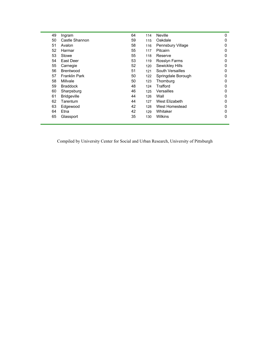| 49 | Ingram               | 64 | 114 | <b>Neville</b>     | 0 |
|----|----------------------|----|-----|--------------------|---|
| 50 | Castle Shannon       | 59 | 115 | Oakdale            | 0 |
| 51 | Avalon               | 58 | 116 | Pennsbury Village  | 0 |
| 52 | Harmar               | 55 | 117 | Pitcairn           | 0 |
| 53 | Stowe                | 55 | 118 | Reserve            | 0 |
| 54 | East Deer            | 53 | 119 | Rosslyn Farms      | 0 |
| 55 | Carnegie             | 52 | 120 | Sewickley Hills    | 0 |
| 56 | <b>Brentwood</b>     | 51 | 121 | South Versailles   | 0 |
| 57 | <b>Franklin Park</b> | 50 | 122 | Springdale Borough | 0 |
| 58 | Millvale             | 50 | 123 | Thornburg          | 0 |
| 59 | <b>Braddock</b>      | 48 | 124 | Trafford           | 0 |
| 60 | Sharpsburg           | 46 | 125 | Versailles         | 0 |
| 61 | <b>Bridgeville</b>   | 44 | 126 | Wall               | 0 |
| 62 | Tarentum             | 44 | 127 | West Elizabeth     | 0 |
| 63 | Edgewood             | 42 | 128 | West Homestead     | 0 |
| 64 | Etna                 | 42 | 129 | Whitaker           | 0 |
| 65 | Glassport            | 35 | 130 | <b>Wilkins</b>     | 0 |
|    |                      |    |     |                    |   |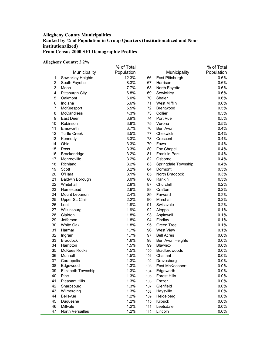## **Allegheny County Municipalities Ranked by % of Population in Group Quarters (Institutionalized and Noninstitutionalized) From Census 2000 SF1 Demographic Profiles**

**Allegheny County: 3.2%** 

|                  |                       | % of Total |     |                     | % of Total |
|------------------|-----------------------|------------|-----|---------------------|------------|
|                  | Municipality          | Population |     | Municipality        | Population |
| $\mathbf{1}$     | Sewickley Heights     | 12.3%      | 66  | East Pittsburgh     | 0.6%       |
| $\boldsymbol{2}$ | South Fayette         | 8.3%       | 67  | Harrison            | 0.6%       |
| 3                | Moon                  | 7.7%       | 68  | North Fayette       | 0.6%       |
| 4                | Pittsburgh City       | 6.8%       | 69  | Sewickley           | 0.6%       |
| 5                | Oakmont               | 6.0%       | 70  | Shaler              | 0.6%       |
| 6                | Indiana               | 5.6%       | 71  | <b>West Mifflin</b> | 0.6%       |
| 7                | McKeesport            | 5.5%       | 72  | <b>Brentwood</b>    | 0.5%       |
| 8                | <b>McCandless</b>     | 4.3%       | 73  | Collier             | 0.5%       |
| 9                | East Deer             | 3.9%       | 74  | Port Vue            | 0.5%       |
| 10               | Robinson              | 3.8%       | 75  | Verona              | 0.5%       |
| 11               | Emsworth              | 3.7%       | 76  | Ben Avon            | 0.4%       |
| 12               | <b>Turtle Creek</b>   | 3.5%       | 77  | Cheswick            | 0.4%       |
| 13               | Kennedy               | 3.3%       | 78  | Crescent            | 0.4%       |
| 14               | Ohio                  | 3.3%       | 79  | Fawn                | 0.4%       |
| 15               | Ross                  | 3.3%       | 80  | Fox Chapel          | 0.4%       |
| 16               | Brackenridge          | 3.2%       | 81  | Franklin Park       | 0.4%       |
| 17               | Monroeville           | 3.2%       | 82  | Osborne             | 0.4%       |
| 18               | Richland              | 3.2%       | 83  | Springdale Township | 0.4%       |
| 19               | Scott                 | 3.2%       | 84  | Dormont             | 0.3%       |
| 20               | O'Hara                | 3.1%       | 85  | North Braddock      | 0.3%       |
| 21               | Baldwin Borough       | 3.0%       | 86  | Rankin              | 0.3%       |
| 22               | Whitehall             | 2.8%       | 87  | Churchill           | 0.2%       |
| 23               | Homestead             | 2.6%       | 88  | Crafton             | 0.2%       |
| 24               | Mount Lebanon         | 2.4%       | 89  | Forward             | 0.2%       |
| 25               | Upper St. Clair       | 2.2%       | 90  | Marshall            | 0.2%       |
| 26               | Leet                  | 1.9%       | 91  | Swissvale           | 0.2%       |
| 27               | Wilkinsburg           | 1.9%       | 92  | Aleppo              | 0.1%       |
| 28               | Clairton              | 1.8%       | 93  | Aspinwall           | 0.1%       |
| 29               | Jefferson             | 1.8%       | 94  | Findlay             | 0.1%       |
| 30               | White Oak             | 1.8%       | 95  | <b>Green Tree</b>   | 0.1%       |
| 31               | Harmar                | 1.7%       | 96  | <b>West View</b>    | 0.1%       |
| 32               | Ingram                | 1.7%       | 97  | <b>Bell Acres</b>   | 0.0%       |
| 33               | <b>Braddock</b>       | 1.6%       | 98  | Ben Avon Heights    | 0.0%       |
| 34               | Hampton               | 1.5%       | 99  | Blawnox             | 0.0%       |
| 35               | <b>McKees Rocks</b>   | 1.5%       | 100 | Bradfordwoods       | 0.0%       |
| 36               | Munhall               | 1.5%       | 101 | Chalfant            | 0.0%       |
| 37               | Coraopolis            | 1.3%       | 102 | Dravosburg          | 0.0%       |
| 38               | Edgewood              | 1.3%       | 103 | East McKeesport     | 0.0%       |
| 39               | Elizabeth Township    | 1.3%       | 104 | Edgeworth           | 0.0%       |
| 40               | Pine                  | 1.3%       | 105 | Forest Hills        | 0.0%       |
| 41               | <b>Pleasant Hills</b> | 1.3%       | 106 | Frazer              | $0.0\%$    |
| 42               | Sharpsburg            | 1.3%       | 107 | Glenfield           | 0.0%       |
| 43               | Wilmerding            | 1.3%       | 108 | Haysville           | 0.0%       |
| 44               | Bellevue              | 1.2%       | 109 | Heidelberg          | 0.0%       |
| 45               | Duquesne              | 1.2%       | 110 | Kilbuck             | 0.0%       |
| 46               | Millvale              | 1.2%       | 111 | Leetsdale           | 0.0%       |
| 47               | North Versailles      | 1.2%       | 112 | Lincoln             | $0.0\%$    |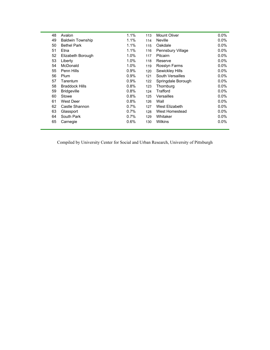| 48 | Avalon                  | 1.1%    | 113 | Mount Oliver       | $0.0\%$ |
|----|-------------------------|---------|-----|--------------------|---------|
| 49 | <b>Baldwin Township</b> | 1.1%    | 114 | <b>Neville</b>     | $0.0\%$ |
| 50 | <b>Bethel Park</b>      | 1.1%    | 115 | Oakdale            | $0.0\%$ |
| 51 | Etna                    | 1.1%    | 116 | Pennsbury Village  | $0.0\%$ |
| 52 | Elizabeth Borough       | 1.0%    | 117 | <b>Pitcairn</b>    | $0.0\%$ |
| 53 | Liberty                 | 1.0%    | 118 | Reserve            | 0.0%    |
| 54 | McDonald                | 1.0%    | 119 | Rosslyn Farms      | $0.0\%$ |
| 55 | Penn Hills              | 0.9%    | 120 | Sewickley Hills    | $0.0\%$ |
| 56 | Plum                    | 0.9%    | 121 | South Versailles   | 0.0%    |
| 57 | Tarentum                | 0.9%    | 122 | Springdale Borough | $0.0\%$ |
| 58 | <b>Braddock Hills</b>   | 0.8%    | 123 | Thornburg          | $0.0\%$ |
| 59 | <b>Bridgeville</b>      | 0.8%    | 124 | Trafford           | $0.0\%$ |
| 60 | Stowe                   | 0.8%    | 125 | Versailles         | $0.0\%$ |
| 61 | West Deer               | 0.8%    | 126 | Wall               | 0.0%    |
| 62 | Castle Shannon          | 0.7%    | 127 | West Elizabeth     | $0.0\%$ |
| 63 | Glassport               | 0.7%    | 128 | West Homestead     | $0.0\%$ |
| 64 | South Park              | 0.7%    | 129 | Whitaker           | 0.0%    |
| 65 | Carnegie                | $0.6\%$ | 130 | <b>Wilkins</b>     | $0.0\%$ |
|    |                         |         |     |                    |         |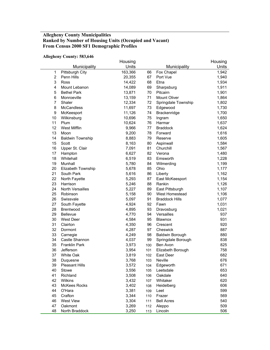## **Allegheny County Municipalities Ranked by Number of Housing Units (Occupied and Vacant) From Census 2000 SF1 Demographic Profiles**

#### **Allegheny County: 583,646**

|                |                         | Housing |     |                       | Housing |
|----------------|-------------------------|---------|-----|-----------------------|---------|
|                | Municipality            | Units   |     | Municipality          | Units   |
| 1              | Pittsburgh City         | 163,366 | 66  | Fox Chapel            | 1,942   |
| $\overline{2}$ | Penn Hills              | 20,355  | 67  | Port Vue              | 1,940   |
| 3              | Ross                    | 14,422  | 68  | Etna                  | 1,934   |
| 4              | Mount Lebanon           | 14,089  | 69  | Sharpsburg            | 1,911   |
| 5              | <b>Bethel Park</b>      | 13,871  | 70  | Pitcairn              | 1,901   |
| 6              | Monroeville             | 13,159  | 71  | Mount Oliver          | 1,864   |
| $\overline{7}$ | Shaler                  | 12,334  | 72  | Springdale Township   | 1,802   |
| 8              | <b>McCandless</b>       | 11,697  | 73  | Edgewood              | 1,730   |
| 9              | McKeesport              | 11,126  | 74  | Brackenridge          | 1,700   |
| 10             | Wilkinsburg             | 10,696  | 75  | Ingram                | 1,650   |
| 11             | Plum                    | 10,624  | 76  | Harmar                | 1,637   |
| 12             | West Mifflin            | 9,966   | 77  | <b>Braddock</b>       | 1,624   |
| 13             | Moon                    | 9,200   | 78  | Forward               | 1,616   |
| 14             | <b>Baldwin Township</b> | 8,883   | 79  | Reserve               | 1,605   |
| 15             | Scott                   | 8,163   | 80  | Aspinwall             | 1,584   |
| 16             | Upper St. Clair         | 7,091   | 81  | Churchill             | 1,567   |
| 17             | Hampton                 | 6,627   | 82  | Verona                | 1,480   |
| 18             | Whitehall               | 6,519   | 83  | Emsworth              | 1,228   |
| 19             | Munhall                 | 5,780   | 84  | Wilmerding            | 1,199   |
| 20             | Elizabeth Township      | 5,678   | 85  | Ohio                  | 1,177   |
| 21             | South Park              | 5,616   | 86  | Liberty               | 1,162   |
| 22             | North Fayette           | 5,293   | 87  | East McKeesport       | 1,154   |
| 23             | Harrison                | 5,246   | 88  | Rankin                | 1,126   |
| 24             | North Versailles        | 5,227   | 89  | East Pittsburgh       | 1,107   |
| 25             | Robinson                | 5,158   | 90  | West Homestead        | 1,106   |
| 26             | Swissvale               | 5,097   | 91  | <b>Braddock Hills</b> | 1,077   |
| 27             | South Fayette           | 4,924   | 92  | Fawn                  | 1,031   |
| 28             | Brentwood               | 4,895   | 93  | Dravosburg            | 1,021   |
| 29             | <b>Bellevue</b>         | 4,770   | 94  | Versailles            | 937     |
| 30             | <b>West Deer</b>        | 4,584   | 95  | Blawnox               | 931     |
| 31             | Clairton                | 4,350   | 96  | Crescent              | 920     |
| 32             | Dormont                 | 4,287   | 97  | Cheswick              | 887     |
| 33             | Carnegie                | 4,249   | 98  | Baldwin Borough       | 880     |
| 34             | Castle Shannon          | 4,037   | 99  | Springdale Borough    | 838     |
| 35             | <b>Franklin Park</b>    | 3,973   | 100 | Ben Avon              | 825     |
| 36             | Jefferson               | 3,954   | 101 | Elizabeth Borough     | 758     |
| 37             | White Oak               | 3,819   | 102 | East Deer             | 682     |
| 38             | Duquesne                | 3,768   | 103 | Neville               | 676     |
| 39             | <b>Pleasant Hills</b>   | 3,572   | 104 | Edgeworth             | 671     |
| 40             | Stowe                   | 3,556   | 105 | Leetsdale             | 653     |
| 41             | Richland                | 3,508   | 106 | Oakdale               | 640     |
| 42             | Wilkins                 | 3,432   | 107 | Whitaker              | 620     |
| 43             | <b>McKees Rocks</b>     | 3,402   | 108 | Heidelberg            | 606     |
| 44             | O'Hara                  | 3,381   | 109 | Leet                  | 599     |
| 45             | Crafton                 | 3,344   | 110 | Frazer                | 569     |
| 46             | <b>West View</b>        | 3,304   | 111 | <b>Bell Acres</b>     | 540     |
| 47             | Oakmont                 | 3,269   | 112 | Aleppo                | 509     |
| 48             | North Braddock          | 3,250   | 113 | Lincoln               | 506     |
|                |                         |         |     |                       |         |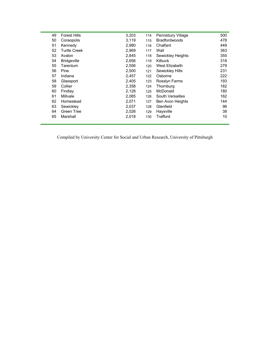| 49 | <b>Forest Hills</b> | 3,203 | 114 | Pennsbury Village    | 500 |
|----|---------------------|-------|-----|----------------------|-----|
| 50 | Coraopolis          | 3,119 | 115 | <b>Bradfordwoods</b> | 478 |
| 51 | Kennedy             | 2,980 | 116 | Chalfant             | 449 |
| 52 | <b>Turtle Creek</b> | 2,969 | 117 | Wall                 | 363 |
| 53 | Avalon              | 2,845 | 118 | Sewickley Heights    | 355 |
| 54 | <b>Bridgeville</b>  | 2,656 | 119 | <b>Kilbuck</b>       | 318 |
| 55 | Tarentum            | 2,556 | 120 | West Elizabeth       | 279 |
| 56 | Pine                | 2,500 | 121 | Sewickley Hills      | 231 |
| 57 | Indiana             | 2,457 | 122 | Osborne              | 222 |
| 58 | Glassport           | 2,405 | 123 | Rosslyn Farms        | 193 |
| 59 | Collier             | 2,358 | 124 | Thornburg            | 182 |
| 60 | Findlay             | 2,128 | 125 | McDonald             | 180 |
| 61 | Millvale            | 2,085 | 126 | South Versailles     | 162 |
| 62 | Homestead           | 2,071 | 127 | Ben Avon Heights     | 144 |
| 63 | Sewickley           | 2,037 | 128 | Glenfield            | 96  |
| 64 | Green Tree          | 2,026 | 129 | Haysville            | 38  |
| 65 | Marshall            | 2,018 | 130 | Trafford             | 10  |
|    |                     |       |     |                      |     |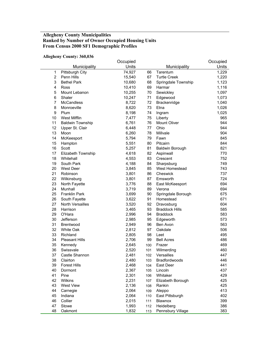## **Allegheny County Municipalities Ranked by Number of Owner Occupied Housing Units From Census 2000 SF1 Demographic Profiles**

#### **Allegheny County: 360,036**

|                |                         | Occupied |     |                        | Occupied |
|----------------|-------------------------|----------|-----|------------------------|----------|
|                | Municipality            | Units    |     | Municipality           | Units    |
| $\mathbf 1$    | Pittsburgh City         | 74,927   | 66  | Tarentum               | 1,229    |
| $\overline{2}$ | Penn Hills              | 15,540   | 67  | <b>Turtle Creek</b>    | 1,220    |
| 3              | <b>Bethel Park</b>      | 10,680   | 68  | Springdale Township    | 1,123    |
| 4              | Ross                    | 10,410   | 69  | Harmar                 | 1,116    |
| 5              | Mount Lebanon           | 10,255   | 70  | Sewickley              | 1,097    |
| $\,6$          | Shaler                  | 10,247   | 71  | Edgewood               | 1,073    |
| $\overline{7}$ | <b>McCandless</b>       | 8,722    | 72  | Brackenridge           | 1,040    |
| 8              | Monroeville             | 8,620    | 73  | Etna                   | 1,026    |
| 9              | Plum                    | 8,198    | 74  | Ingram                 | 1,025    |
| 10             | West Mifflin            | 7,477    | 75  | Liberty                | 965      |
| 11             | <b>Baldwin Township</b> | 6,761    | 76  | Mount Oliver           | 944      |
| 12             | Upper St. Clair         | 6,448    | 77  | Ohio                   | 944      |
| 13             | Moon                    | 6,260    | 78  | Millvale               | 904      |
| 14             | McKeesport              | 5,794    | 79  | Fawn                   | 845      |
| 15             | Hampton                 | 5,551    | 80  | Pitcairn               | 844      |
| 16             | Scott                   | 5,257    | 81  | <b>Baldwin Borough</b> | 821      |
| 17             | Elizabeth Township      | 4,618    | 82  | Aspinwall              | 770      |
| 18             | Whitehall               | 4,553    | 83  | Crescent               | 752      |
| 19             | South Park              | 4,188    | 84  | Sharpsburg             | 749      |
| 20             | <b>West Deer</b>        | 3,845    | 85  | West Homestead         | 743      |
| 21             | Robinson                | 3,801    | 86  | Cheswick               | 737      |
| 22             | Wilkinsburg             | 3,801    | 87  | Emsworth               | 724      |
| 23             | North Fayette           | 3,776    | 88  | East McKeesport        | 694      |
| 24             | Munhall                 | 3,719    | 89  | Verona                 | 694      |
| 25             | <b>Franklin Park</b>    | 3,699    | 90  | Springdale Borough     | 675      |
| 26             | South Fayette           | 3,622    | 91  | Homestead              | 671      |
| 27             | North Versailles        | 3,520    | 92  | Dravosburg             | 604      |
| 28             | Harrison                | 3,465    | 93  | <b>Braddock Hills</b>  | 585      |
| 29             | O'Hara                  | 2,996    | 94  | <b>Braddock</b>        | 583      |
| 30             | Jefferson               | 2,985    | 95  | Edgeworth              | 573      |
| 31             | Brentwood               | 2,949    | 96  | Ben Avon               | 563      |
| 32             | <b>White Oak</b>        | 2,812    | 97  | Oakdale                | 506      |
| 33             | Richland                | 2,805    | 98  | Leet                   | 495      |
| 34             | <b>Pleasant Hills</b>   | 2,706    | 99  | <b>Bell Acres</b>      | 486      |
| 35             | Kennedy                 | 2,645    | 100 | Frazer                 | 469      |
| 36             | Swissvale               | 2,520    | 101 | Wilmerding             | 460      |
| 37             | Castle Shannon          | 2,481    | 102 | Versailles             | 447      |
| 38             | Clairton                | 2,480    | 103 | Bradfordwoods          | 446      |
| 39             | <b>Forest Hills</b>     | 2,468    | 104 | East Deer              | 441      |
| 40             | Dormont                 | 2,367    | 105 | Lincoln                | 437      |
| 41             | Pine                    | 2,301    | 106 | Whitaker               | 429      |
| 42             | Wilkins                 | 2,231    | 107 | Elizabeth Borough      | 425      |
| 43             | <b>West View</b>        | 2,136    | 108 | Rankin                 | 425      |
| 44             | Carnegie                | 2,064    | 109 | Aleppo                 | 413      |
| 45             | Indiana                 | 2,064    | 110 | East Pittsburgh        | 402      |
| 46             | Collier                 | 2,015    | 111 | Blawnox                | 399      |
| 47             | Stowe                   | 1,993    | 112 | Heidelberg             | 386      |
| 48             | Oakmont                 | 1,832    | 113 | Pennsbury Village      | 383      |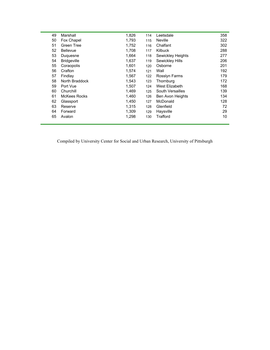| 49 | Marshall           | 1,826 | 114 | Leetsdale         | 358 |
|----|--------------------|-------|-----|-------------------|-----|
| 50 | Fox Chapel         | 1,793 | 115 | <b>Neville</b>    | 322 |
| 51 | <b>Green Tree</b>  | 1,752 | 116 | Chalfant          | 302 |
| 52 | <b>Bellevue</b>    | 1,708 | 117 | <b>Kilbuck</b>    | 288 |
| 53 | Duguesne           | 1,664 | 118 | Sewickley Heights | 277 |
| 54 | <b>Bridgeville</b> | 1,637 | 119 | Sewickley Hills   | 206 |
| 55 | Coraopolis         | 1,601 | 120 | Osborne           | 201 |
| 56 | Crafton            | 1,574 | 121 | Wall              | 192 |
| 57 | Findlay            | 1,567 | 122 | Rosslyn Farms     | 179 |
| 58 | North Braddock     | 1,543 | 123 | Thornburg         | 172 |
| 59 | Port Vue           | 1,507 | 124 | West Elizabeth    | 168 |
| 60 | Churchill          | 1,469 | 125 | South Versailles  | 139 |
| 61 | McKees Rocks       | 1,460 | 126 | Ben Avon Heights  | 134 |
| 62 | Glassport          | 1,450 | 127 | McDonald          | 128 |
| 63 | Reserve            | 1,315 | 128 | Glenfield         | 72  |
| 64 | Forward            | 1,309 | 129 | Haysville         | 29  |
| 65 | Avalon             | 1,298 | 130 | Trafford          | 10  |
|    |                    |       |     |                   |     |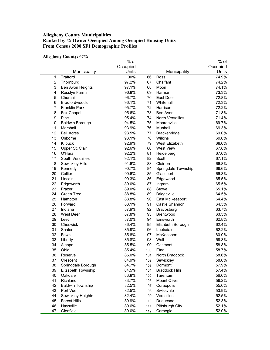## **Allegheny County Municipalities Ranked by % Owner Occupied Among Occupied Housing Units From Census 2000 SF1 Demographic Profiles**

#### **Allegheny County: 67%**

| Occupied                                                          | Occupied |
|-------------------------------------------------------------------|----------|
| Units<br>Municipality<br>Municipality                             | Units    |
| Trafford<br>100%<br>$\mathbf{1}$<br>66<br>Ross                    | 74.9%    |
| $\boldsymbol{2}$<br>97.2%<br>67<br>Chalfant<br>Thornburg          | 74.2%    |
| 3<br>Ben Avon Heights<br>97.1%<br>68<br>Moon                      | 74.1%    |
| 4<br>Rosslyn Farms<br>96.8%<br>69<br>Harmar                       | 73.3%    |
| 5<br>Churchill<br>96.7%<br>East Deer<br>70                        | 72.8%    |
| 6<br>Bradfordwoods<br>96.1%<br>71<br>Whitehall                    | 72.3%    |
| 7<br><b>Franklin Park</b><br>95.7%<br>72<br>Harrison              | 72.2%    |
| 8<br>95.6%<br>73<br>Fox Chapel<br>Ben Avon                        | 71.8%    |
| 9<br>95.4%<br><b>North Versailles</b><br>Pine<br>74               | 71.4%    |
| 10<br>94.5%<br>75<br><b>Baldwin Borough</b><br>Monroeville        | 69.7%    |
| 11<br>93.9%<br>76<br>Marshall<br>Munhall                          | 69.3%    |
| 12<br>93.5%<br><b>Bell Acres</b><br>77<br>Brackenridge            | 69.0%    |
| 13<br>93.1%<br>78<br>Osborne<br>Wilkins                           | 69.0%    |
| 14<br>Kilbuck<br>92.9%<br>79<br>West Elizabeth                    | 68.0%    |
| 15<br>92.6%<br>80<br>Upper St. Clair<br><b>West View</b>          | 67.8%    |
| 16<br>O'Hara<br>92.2%<br>81<br>Heidelberg                         | 67.6%    |
| 17<br>South Versailles<br>92.1%<br>82<br>Scott                    | 67.1%    |
| 18<br>Sewickley Hills<br>91.6%<br>83<br>Clairton                  | 66.8%    |
| 19<br>84<br>Kennedy<br>90.7%<br>Springdale Township               | 66.6%    |
| Collier<br>20<br>90.6%<br>85<br>Glassport                         | 66.3%    |
| 21<br>Lincoln<br>90.3%<br>86<br>Edgewood                          | 65.5%    |
| 22<br>89.0%<br>87<br>Edgeworth<br>Ingram                          | 65.5%    |
| 23<br>Frazer<br>89.0%<br>88<br>Stowe                              | 65.1%    |
| 24<br>Green Tree<br>88.8%<br>89<br><b>Bridgeville</b>             | 64.5%    |
| 25<br>88.8%<br>90<br>East McKeesport<br>Hampton                   | 64.4%    |
| 26<br>Forward<br>88.1%<br>91<br>Castle Shannon                    | 64.3%    |
| 27<br>Indiana<br>87.9%<br>92<br>Dravosburg                        | 63.7%    |
| 28<br>West Deer<br>87.8%<br>93<br><b>Brentwood</b>                | 63.3%    |
| 29<br>Leet<br>87.0%<br>Emsworth<br>94                             | 62.8%    |
| 30<br>Cheswick<br>86.4%<br>95<br>Elizabeth Borough                | 62.4%    |
| 31<br>Shaler<br>96<br>85.9%<br>Leetsdale                          | 62.2%    |
| 32<br>85.8%<br>Fawn<br>97<br>McKeesport                           | 60.0%    |
| 33<br>85.8%<br>98<br>Wall<br>Liberty                              | 59.3%    |
| 34<br>Aleppo<br>85.5%<br>99<br>Oakmont                            | 58.8%    |
| 35<br>Ohio<br>85.4%<br>100<br>Etna                                | 58.7%    |
| 36<br>85.0%<br>101<br>North Braddock<br>Reserve                   | 58.6%    |
| 84.9%<br>Sewickley<br>37<br>Crescent<br>102                       | 58.0%    |
| 38<br>84.7%<br>Springdale Borough<br>103<br>Dormont               | 57.9%    |
| 39<br>Elizabeth Township<br><b>Braddock Hills</b><br>84.5%<br>104 | 57.4%    |
| 40<br>Oakdale<br>83.8%<br>Tarentum<br>105                         | 56.6%    |
| 41<br>Richland<br>Mount Oliver<br>83.7%<br>106                    | 56.2%    |
| 42<br><b>Baldwin Township</b><br>Coraopolis<br>82.5%<br>107       | 55.6%    |
| 43<br>Port Vue<br>Swissvale<br>82.5%<br>108                       | 53.9%    |
| 44<br>82.4%<br>Versailles<br>Sewickley Heights<br>109             | 52.5%    |
| 45<br><b>Forest Hills</b><br>80.9%<br>110<br>Duquesne             | 52.3%    |
| 46<br>Haysville<br>Pittsburgh City<br>80.6%<br>111                | 52.1%    |
| 47<br>Glenfield<br>80.0%<br>Carnegie<br>112                       | 52.0%    |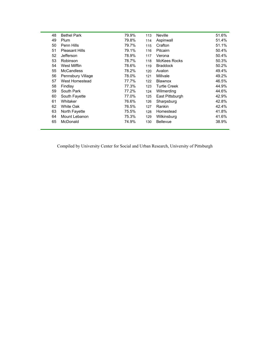| 48 | <b>Bethel Park</b>    | 79.9% | 113 | <b>Neville</b>      | 51.6% |
|----|-----------------------|-------|-----|---------------------|-------|
| 49 | Plum                  | 79.8% | 114 | Aspinwall           | 51.4% |
| 50 | Penn Hills            | 79.7% | 115 | Crafton             | 51.1% |
| 51 | <b>Pleasant Hills</b> | 79.1% | 116 | Pitcairn            | 50.4% |
| 52 | Jefferson             | 78.9% | 117 | Verona              | 50.4% |
| 53 | Robinson              | 78.7% | 118 | <b>McKees Rocks</b> | 50.3% |
| 54 | West Mifflin          | 78.6% | 119 | <b>Braddock</b>     | 50.2% |
| 55 | <b>McCandless</b>     | 78.2% | 120 | Avalon              | 49.4% |
| 56 | Pennsbury Village     | 78.0% | 121 | Millvale            | 49.2% |
| 57 | West Homestead        | 77.7% | 122 | <b>Blawnox</b>      | 46.5% |
| 58 | Findlay               | 77.3% | 123 | <b>Turtle Creek</b> | 44.9% |
| 59 | South Park            | 77.2% | 124 | Wilmerding          | 44.6% |
| 60 | South Fayette         | 77.0% | 125 | East Pittsburgh     | 42.9% |
| 61 | Whitaker              | 76.6% | 126 | Sharpsburg          | 42.8% |
| 62 | <b>White Oak</b>      | 76.5% | 127 | Rankin              | 42.4% |
| 63 | North Fayette         | 75.5% | 128 | Homestead           | 41.8% |
| 64 | Mount Lebanon         | 75.3% | 129 | Wilkinsburg         | 41.6% |
| 65 | McDonald              | 74.9% | 130 | <b>Bellevue</b>     | 38.9% |
|    |                       |       |     |                     |       |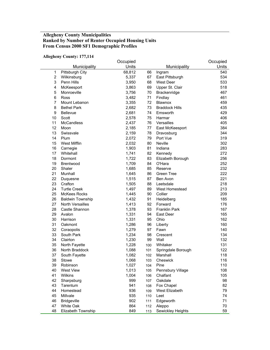## **Allegheny County Municipalities Ranked by Number of Renter Occupied Housing Units From Census 2000 SF1 Demographic Profiles**

| <b>Allegheny County: 177,114</b> |  |  |
|----------------------------------|--|--|
|----------------------------------|--|--|

|                |                         | Occupied |     |                       | Occupied |
|----------------|-------------------------|----------|-----|-----------------------|----------|
|                | Municipality            | Units    |     | Municipality          | Units    |
| $\mathbf 1$    | Pittsburgh City         | 68,812   | 66  | Ingram                | 540      |
| $\overline{2}$ | Wilkinsburg             | 5,337    | 67  | East Pittsburgh       | 534      |
| 3              | Penn Hills              | 3,950    | 68  | West Deer             | 533      |
| 4              | McKeesport              | 3,863    | 69  | Upper St. Clair       | 518      |
| 5              | Monroeville             | 3,756    | 70  | Brackenridge          | 467      |
| 6              | Ross                    | 3,482    | 71  | Findlay               | 461      |
| 7              | Mount Lebanon           | 3,355    | 72  | Blawnox               | 459      |
| 8              | <b>Bethel Park</b>      | 2,682    | 73  | <b>Braddock Hills</b> | 435      |
| 9              | Bellevue                | 2,681    | 74  | Emsworth              | 429      |
| 10             | Scott                   | 2,578    | 75  | Harmar                | 406      |
| 11             | <b>McCandless</b>       | 2,437    | 76  | Versailles            | 405      |
| 12             | Moon                    | 2,185    | 77  | East McKeesport       | 384      |
| 13             | Swissvale               | 2,159    | 78  | Dravosburg            | 344      |
| 14             | Plum                    | 2,072    | 79  | Port Vue              | 319      |
| 15             | West Mifflin            | 2,032    | 80  | Neville               | 302      |
| 16             | Carnegie                | 1,903    | 81  | Indiana               | 283      |
| 17             | Whitehall               | 1,741    | 82  | Kennedy               | 272      |
| 18             | Dormont                 | 1,722    | 83  | Elizabeth Borough     | 256      |
| 19             | <b>Brentwood</b>        | 1,709    | 84  | O'Hara                | 252      |
| 20             | Shaler                  | 1,685    | 85  | Reserve               | 232      |
| 21             | Munhall                 | 1,645    | 86  | <b>Green Tree</b>     | 222      |
| 22             | Duquesne                | 1,515    | 87  | Ben Avon              | 221      |
| 23             | Crafton                 | 1,505    | 88  | Leetsdale             | 218      |
| 24             | <b>Turtle Creek</b>     | 1,497    | 89  | West Homestead        | 213      |
| 25             | <b>McKees Rocks</b>     | 1,445    | 90  | Collier               | 209      |
| 26             | <b>Baldwin Township</b> | 1,432    | 91  | Heidelberg            | 185      |
| 27             | <b>North Versailles</b> | 1,413    | 92  | Forward               | 176      |
| 28             | Castle Shannon          | 1,378    | 93  | <b>Franklin Park</b>  | 167      |
| 29             | Avalon                  | 1,331    | 94  | East Deer             | 165      |
| 30             | Harrison                | 1,331    | 95  | Ohio                  | 162      |
| 31             | Oakmont                 | 1,286    | 96  | Liberty               | 160      |
| 32             | Coraopolis              | 1,279    | 97  | Fawn                  | 140      |
| 33             | South Park              | 1,234    | 98  | Crescent              | 134      |
| 34             | Clairton                | 1,230    | 99  | Wall                  | 132      |
| 35             | North Fayette           | 1,228    | 100 | Whitaker              | 131      |
| 36             | North Braddock          | 1,088    | 101 | Springdale Borough    | 122      |
| 37             | South Fayette           | 1,082    | 102 | Marshall              | 118      |
| 38             | Stowe                   | 1,068    | 103 | Cheswick              | 116      |
| 39             | Robinson                | 1,027    | 104 | Pine                  | 110      |
| 40             | <b>West View</b>        | 1,013    | 105 | Pennsbury Village     | 108      |
| 41             | Wilkins                 | 1,004    | 106 | Chalfant              | 105      |
| 42             | Sharpsburg              | 999      | 107 | Oakdale               | 98       |
| 43             | Tarentum                | 941      | 108 | Fox Chapel            | 82       |
| 44             | Homestead               | 936      | 109 | West Elizabeth        | 79       |
| 45             | Millvale                | 935      | 110 | Leet                  | 74       |
| 46             | <b>Bridgeville</b>      | 902      | 111 | Edgeworth             | 71       |
| 47             | White Oak               | 864      | 112 | Aleppo                | 70       |
| 48             | Elizabeth Township      | 849      | 113 | Sewickley Heights     | 59       |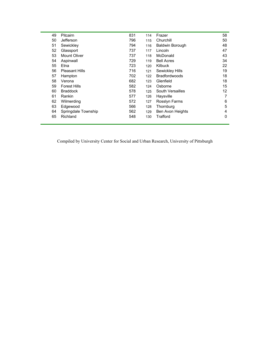| 49 | <b>Pitcairn</b>       | 831 | 114 | Frazer                 | 58 |
|----|-----------------------|-----|-----|------------------------|----|
| 50 | Jefferson             | 796 | 115 | Churchill              | 50 |
| 51 | Sewickley             | 794 | 116 | <b>Baldwin Borough</b> | 48 |
| 52 | Glassport             | 737 | 117 | Lincoln                | 47 |
| 53 | <b>Mount Oliver</b>   | 737 | 118 | McDonald               | 43 |
| 54 | Aspinwall             | 729 | 119 | <b>Bell Acres</b>      | 34 |
| 55 | Etna                  | 723 | 120 | <b>Kilbuck</b>         | 22 |
| 56 | <b>Pleasant Hills</b> | 716 | 121 | Sewickley Hills        | 19 |
| 57 | Hampton               | 702 | 122 | <b>Bradfordwoods</b>   | 18 |
| 58 | Verona                | 682 | 123 | Glenfield              | 18 |
| 59 | <b>Forest Hills</b>   | 582 | 124 | Osborne                | 15 |
| 60 | <b>Braddock</b>       | 578 | 125 | South Versailles       | 12 |
| 61 | Rankin                | 577 | 126 | Haysville              | 7  |
| 62 | Wilmerding            | 572 | 127 | Rosslyn Farms          | 6  |
| 63 | Edgewood              | 566 | 128 | Thornburg              | 5  |
| 64 | Springdale Township   | 562 | 129 | Ben Avon Heights       | 4  |
| 65 | Richland              | 548 | 130 | Trafford               | 0  |
|    |                       |     |     |                        |    |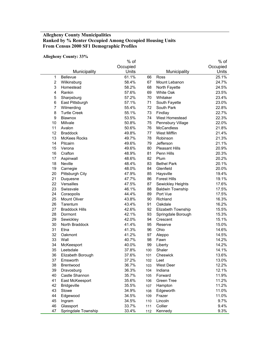## **Allegheny County Municipalities Ranked by % Renter Occupied Among Occupied Housing Units From Census 2000 SF1 Demographic Profiles**

#### **Allegheny County: 33%**

|                | лисдисну социгу. Ээ д |          |     |                         |          |
|----------------|-----------------------|----------|-----|-------------------------|----------|
|                |                       | % of     |     |                         | $%$ of   |
|                |                       | Occupied |     |                         | Occupied |
|                | Municipality          | Units    |     | Municipality            | Units    |
| 1              | <b>Bellevue</b>       | 61.1%    | 66  | Ross                    | 25.1%    |
| $\overline{c}$ | Wilkinsburg           | 58.4%    | 67  | Mount Lebanon           | 24.7%    |
| 3              | Homestead             | 58.2%    | 68  | North Fayette           | 24.5%    |
| 4              | Rankin                | 57.6%    | 69  | White Oak               | 23.5%    |
| 5              | Sharpsburg            | 57.2%    | 70  | Whitaker                | 23.4%    |
| 6              | East Pittsburgh       | 57.1%    | 71  | South Fayette           | 23.0%    |
| $\overline{7}$ | Wilmerding            | 55.4%    | 72  | South Park              | 22.8%    |
| 8              | <b>Turtle Creek</b>   | 55.1%    | 73  | Findlay                 | 22.7%    |
| 9              | Blawnox               | 53.5%    | 74  | West Homestead          | 22.3%    |
| 10             | Millvale              | 50.8%    | 75  | Pennsbury Village       | 22.0%    |
| 11             | Avalon                | 50.6%    | 76  | <b>McCandless</b>       | 21.8%    |
| 12             | <b>Braddock</b>       | 49.8%    | 77  | West Mifflin            | 21.4%    |
| 13             | <b>McKees Rocks</b>   | 49.7%    | 78  | Robinson                | 21.3%    |
| 14             | Pitcairn              | 49.6%    | 79  | Jefferson               | 21.1%    |
| 15             | Verona                | 49.6%    | 80  | <b>Pleasant Hills</b>   | 20.9%    |
| 16             | Crafton               | 48.9%    | 81  | Penn Hills              | 20.3%    |
| 17             | Aspinwall             | 48.6%    | 82  | Plum                    | 20.2%    |
| 18             | Neville               | 48.4%    | 83  | <b>Bethel Park</b>      | 20.1%    |
| 19             | Carnegie              | 48.0%    | 84  | Glenfield               | 20.0%    |
| 20             | Pittsburgh City       | 47.9%    | 85  | Haysville               | 19.4%    |
| 21             | Duquesne              | 47.7%    | 86  | <b>Forest Hills</b>     | 19.1%    |
| 22             | Versailles            | 47.5%    | 87  | Sewickley Heights       | 17.6%    |
| 23             | Swissvale             | 46.1%    | 88  | <b>Baldwin Township</b> | 17.5%    |
| 24             | Coraopolis            | 44.4%    | 89  | Port Vue                | 17.5%    |
| 25             | <b>Mount Oliver</b>   | 43.8%    | 90  | Richland                | 16.3%    |
| 26             | Tarentum              | 43.4%    | 91  | Oakdale                 | 16.2%    |
| 27             | <b>Braddock Hills</b> | 42.6%    | 92  | Elizabeth Township      | 15.5%    |
| 28             | Dormont               | 42.1%    | 93  | Springdale Borough      | 15.3%    |
| 29             | Sewickley             | 42.0%    | 94  | Crescent                | 15.1%    |
| 30             | North Braddock        | 41.4%    | 95  | Reserve                 | 15.0%    |
| 31             | Etna                  | 41.3%    | 96  | Ohio                    | 14.6%    |
| 32             | Oakmont               | 41.2%    | 97  | Aleppo                  | 14.5%    |
| 33             | Wall                  | 40.7%    | 98  | Fawn                    | 14.2%    |
| 34             | McKeesport            | 40.0%    | 99  | Liberty                 | 14.2%    |
| 35             | Leetsdale             | 37.8%    | 100 | Shaler                  | 14.1%    |
| 36             | Elizabeth Borough     | 37.6%    | 101 | Cheswick                | 13.6%    |
| 37             | Emsworth              | 37.2%    | 102 | Leet                    | 13.0%    |
| 38             | Brentwood             | 36.7%    | 103 | West Deer               | 12.2%    |
| 39             | Dravosburg            | 36.3%    | 104 | Indiana                 | 12.1%    |
| 40             | Castle Shannon        | 35.7%    | 105 | Forward                 | 11.9%    |
| 41             | East McKeesport       | 35.6%    | 106 | Green Tree              | 11.2%    |
| 42             | <b>Bridgeville</b>    | 35.5%    | 107 | Hampton                 | 11.2%    |
| 43             | Stowe                 | 34.9%    | 108 | Edgeworth               | 11.0%    |
| 44             | Edgewood              | 34.5%    | 109 | Frazer                  | 11.0%    |
| 45             | Ingram                | 34.5%    | 110 | Lincoln                 | 9.7%     |
| 46             | Glassport             | 33.7%    | 111 | Collier                 | 9.4%     |
| 47             | Springdale Township   | 33.4%    | 112 | Kennedy                 | 9.3%     |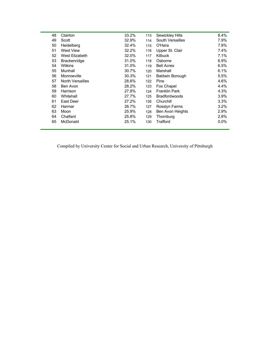| 48 | Clairton                | 33.2% | 113 | Sewickley Hills        | $8.4\%$ |
|----|-------------------------|-------|-----|------------------------|---------|
| 49 | Scott                   | 32.9% | 114 | South Versailles       | 7.9%    |
| 50 | Heidelberg              | 32.4% | 115 | O'Hara                 | 7.8%    |
| 51 | <b>West View</b>        | 32.2% | 116 | Upper St. Clair        | 7.4%    |
| 52 | West Elizabeth          | 32.0% | 117 | <b>Kilbuck</b>         | 7.1%    |
| 53 | <b>Brackenridge</b>     | 31.0% | 118 | Osborne                | 6.9%    |
| 54 | Wilkins                 | 31.0% | 119 | <b>Bell Acres</b>      | 6.5%    |
| 55 | Munhall                 | 30.7% | 120 | Marshall               | 6.1%    |
| 56 | Monroeville             | 30.3% | 121 | <b>Baldwin Borough</b> | 5.5%    |
| 57 | <b>North Versailles</b> | 28.6% | 122 | Pine                   | 4.6%    |
| 58 | Ben Avon                | 28.2% | 123 | Fox Chapel             | 4.4%    |
| 59 | Harrison                | 27.8% | 124 | <b>Franklin Park</b>   | 4.3%    |
| 60 | Whitehall               | 27.7% | 125 | <b>Bradfordwoods</b>   | 3.9%    |
| 61 | East Deer               | 27.2% | 126 | Churchill              | 3.3%    |
| 62 | Harmar                  | 26.7% | 127 | Rosslyn Farms          | 3.2%    |
| 63 | Moon                    | 25.9% | 128 | Ben Avon Heights       | 2.9%    |
| 64 | Chalfant                | 25.8% | 129 | Thornburg              | 2.8%    |
| 65 | McDonald                | 25.1% | 130 | Trafford               | $0.0\%$ |
|    |                         |       |     |                        |         |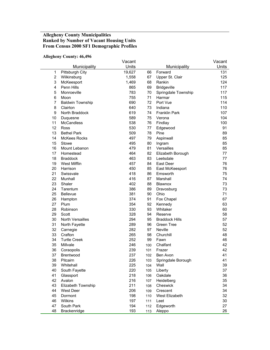## **Allegheny County Municipalities Ranked by Number of Vacant Housing Units From Census 2000 SF1 Demographic Profiles**

#### **Allegheny County: 46,496**

|                |                         | Vacant |            |                       | Vacant |
|----------------|-------------------------|--------|------------|-----------------------|--------|
|                | Municipality            | Units  |            | Municipality          | Units  |
| 1              | Pittsburgh City         | 19,627 | 66         | Forward               | 131    |
| $\overline{2}$ | Wilkinsburg             | 1,558  | 67         | Upper St. Clair       | 125    |
| 3              | McKeesport              | 1,469  | 68         | Rankin                | 124    |
| 4              | Penn Hills              | 865    | 69         | <b>Bridgeville</b>    | 117    |
| 5              | Monroeville             | 783    | 70         | Springdale Township   | 117    |
| 6              | Moon                    | 755    | 71         | Harmar                | 115    |
| $\overline{7}$ | <b>Baldwin Township</b> | 690    | 72         | Port Vue              | 114    |
| 8              | Clairton                | 640    | 73         | Indiana               | 110    |
| 9              | North Braddock          | 619    | 74         | <b>Franklin Park</b>  | 107    |
| 10             | Duquesne                | 589    | 75         | Verona                | 104    |
| 11             | <b>McCandless</b>       | 538    | 76         | Findlay               | 100    |
| 12             | <b>Ross</b>             | 530    | 77         | Edgewood              | 91     |
| 13             | <b>Bethel Park</b>      | 509    | 78         | Pine                  | 89     |
| 14             | <b>McKees Rocks</b>     | 497    | 79         | Aspinwall             | 85     |
| 15             | Stowe                   | 495    | 80         | Ingram                | 85     |
| 16             | Mount Lebanon           | 479    | 81         | Versailles            | 85     |
| 17             | Homestead               | 464    | 82         | Elizabeth Borough     | 77     |
| 18             | <b>Braddock</b>         | 463    | 83         | Leetsdale             | 77     |
| 19             | <b>West Mifflin</b>     | 457    | 84         | East Deer             | 76     |
| 20             | Harrison                | 450    | 85         | East McKeesport       | 76     |
| 21             | Swissvale               | 418    | 86         | Emsworth              | 75     |
| 22             | Munhall                 | 416    | 87         | Marshall              | 74     |
| 23             | Shaler                  | 402    | 88         | Blawnox               | 73     |
| 24             | Tarentum                | 386    | 89         | Dravosburg            | 73     |
| 25             | Bellevue                | 381    | 90         | Ohio                  | 71     |
| 26             | Hampton                 | 374    | 91         | Fox Chapel            | 67     |
| 27             | Plum                    | 354    | 92         | Kennedy               | 63     |
| 28             | Robinson                | 330    | 93         | Whitaker              | 60     |
| 29             | Scott                   | 328    | 94         | Reserve               | 58     |
| 30             | North Versailles        | 294    | 95         | <b>Braddock Hills</b> | 57     |
| 31             | North Fayette           | 289    | 96         | Green Tree            | 52     |
| 32             | Carnegie                | 282    | 97         | <b>Neville</b>        | 52     |
| 33             | Crafton                 | 265    | 98         | Churchill             | 48     |
| 34             | <b>Turtle Creek</b>     | 252    | 99         | Fawn                  | 46     |
| 35             | Millvale                | 246    | 100        | Chalfant              | 42     |
| 36             | Coraopolis              | 239    | 101        | Frazer                | 42     |
| 37             | <b>Brentwood</b>        | 237    | 102        | Ben Avon              | 41     |
| 38             | Pitcairn                | 226    | 103        | Springdale Borough    | 41     |
| 39             | Whitehall               | 225    | 104        | Wall                  | 39     |
| 40             | South Fayette           | 220    | 105        | Liberty               | 37     |
| 41             | Glassport               | 218    | 106        | Oakdale               | 36     |
| 42             | Avalon                  | 216    | 107        | Heidelberg            | 35     |
| 43             | Elizabeth Township      | 211    | 108        | Cheswick              | 34     |
| 44             | West Deer               | 206    |            | Crescent              | 34     |
| 45             | Dormont                 | 198    | 109<br>110 | West Elizabeth        | 32     |
| 46             | Wilkins                 | 197    | 111        | Leet                  | 30     |
| 47             | South Park              | 194    | 112        | Edgeworth             | 27     |
| 48             | Brackenridge            | 193    | 113        | Aleppo                | 26     |
|                |                         |        |            |                       |        |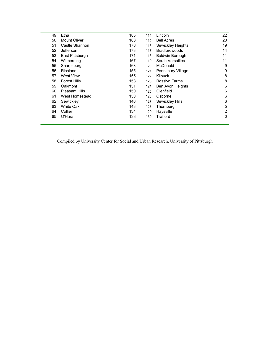| 49 | Etna                  | 185 | 114 | Lincoln                 | 22 |
|----|-----------------------|-----|-----|-------------------------|----|
| 50 | Mount Oliver          | 183 | 115 | <b>Bell Acres</b>       | 20 |
| 51 | Castle Shannon        | 178 | 116 | Sewickley Heights       | 19 |
| 52 | Jefferson             | 173 | 117 | <b>Bradfordwoods</b>    | 14 |
| 53 | East Pittsburgh       | 171 | 118 | <b>Baldwin Borough</b>  | 11 |
| 54 | Wilmerding            | 167 | 119 | South Versailles        | 11 |
| 55 | Sharpsburg            | 163 | 120 | McDonald                | 9  |
| 56 | Richland              | 155 | 121 | Pennsbury Village       | 9  |
| 57 | West View             | 155 | 122 | <b>Kilbuck</b>          | 8  |
| 58 | <b>Forest Hills</b>   | 153 | 123 | Rosslyn Farms           | 8  |
| 59 | Oakmont               | 151 | 124 | <b>Ben Avon Heights</b> | 6  |
| 60 | <b>Pleasant Hills</b> | 150 | 125 | Glenfield               | 6  |
| 61 | West Homestead        | 150 | 126 | Osborne                 | 6  |
| 62 | Sewickley             | 146 | 127 | Sewickley Hills         | 6  |
| 63 | White Oak             | 143 | 128 | Thornburg               | 5  |
| 64 | Collier               | 134 | 129 | Haysville               | 2  |
| 65 | O'Hara                | 133 | 130 | Trafford                | 0  |
|    |                       |     |     |                         |    |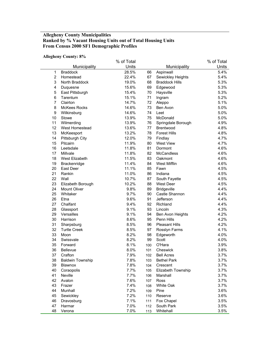## **Allegheny County Municipalities Ranked by % Vacant Housing Units out of Total Housing Units From Census 2000 SF1 Demographic Profiles**

#### **Allegheny County: 8%**

|                |                         | % of Total |     |                       | % of Total |
|----------------|-------------------------|------------|-----|-----------------------|------------|
|                | Municipality            | Units      |     | Municipality          | Units      |
| 1              | <b>Braddock</b>         | 28.5%      | 66  | Aspinwall             | 5.4%       |
| $\overline{2}$ | Homestead               | 22.4%      | 67  | Sewickley Heights     | 5.4%       |
| 3              | North Braddock          | 19.0%      | 68  | <b>Braddock Hills</b> | 5.3%       |
| 4              | Duquesne                | 15.6%      | 69  | Edgewood              | 5.3%       |
| 5              | East Pittsburgh         | 15.4%      | 70  | Haysville             | 5.3%       |
| 6              | Tarentum                | 15.1%      | 71  | Ingram                | 5.2%       |
| $\overline{7}$ | Clairton                | 14.7%      | 72  | Aleppo                | 5.1%       |
| 8              | <b>McKees Rocks</b>     | 14.6%      | 73  | Ben Avon              | 5.0%       |
| 9              | Wilkinsburg             | 14.6%      | 74  | Leet                  | 5.0%       |
| 10             | Stowe                   | 13.9%      | 75  | McDonald              | 5.0%       |
| 11             | Wilmerding              | 13.9%      | 76  | Springdale Borough    | 4.9%       |
| 12             | West Homestead          | 13.6%      | 77  | Brentwood             | 4.8%       |
| 13             | McKeesport              | 13.2%      | 78  | <b>Forest Hills</b>   | 4.8%       |
| 14             | <b>Pittsburgh City</b>  | 12.0%      | 79  | Findlay               | 4.7%       |
| 15             | Pitcairn                | 11.9%      | 80  | <b>West View</b>      | 4.7%       |
| 16             | Leetsdale               | 11.8%      | 81  | Dormont               | 4.6%       |
| 17             | Millvale                | 11.8%      | 82  | McCandless            | 4.6%       |
| 18             | West Elizabeth          | 11.5%      | 83  | Oakmont               | 4.6%       |
| 19             | Brackenridge            | 11.4%      | 84  | <b>West Mifflin</b>   | 4.6%       |
| 20             | East Deer               | 11.1%      | 85  | Fawn                  | 4.5%       |
| 21             | Rankin                  | 11.0%      | 86  | Indiana               | 4.5%       |
| 22             | Wall                    | 10.7%      | 87  | South Fayette         | 4.5%       |
| 23             | Elizabeth Borough       | 10.2%      | 88  | <b>West Deer</b>      | 4.5%       |
| 24             | <b>Mount Oliver</b>     | 9.8%       | 89  | <b>Bridgeville</b>    | 4.4%       |
| 25             | Whitaker                | 9.7%       | 90  | Castle Shannon        | 4.4%       |
| 26             | Etna                    | 9.6%       | 91  | Jefferson             | 4.4%       |
| 27             | Chalfant                | 9.4%       | 92  | Richland              | 4.4%       |
| 28             | Glassport               | 9.1%       | 93  | Lincoln               | 4.3%       |
| 29             | Versailles              | 9.1%       | 94  | Ben Avon Heights      | 4.2%       |
| 30             | Harrison                | 8.6%       | 95  | Penn Hills            | 4.2%       |
| 31             | Sharpsburg              | 8.5%       | 96  | <b>Pleasant Hills</b> | 4.2%       |
| 32             | <b>Turtle Creek</b>     | 8.5%       | 97  | Rosslyn Farms         | 4.1%       |
| 33             | Moon                    | 8.2%       | 98  | Edgeworth             | 4.0%       |
| 34             | Swissvale               | 8.2%       | 99  | Scott                 | 4.0%       |
| 35             | Forward                 | 8.1%       | 100 | O'Hara                | 3.9%       |
| 36             | Bellevue                | 8.0%       | 101 | Cheswick              | 3.8%       |
| 37             | Crafton                 | 7.9%       | 102 | <b>Bell Acres</b>     | 3.7%       |
| 38             | <b>Baldwin Township</b> | 7.8%       | 103 | <b>Bethel Park</b>    | 3.7%       |
| 39             | Blawnox                 | 7.8%       | 104 | Crescent              | 3.7%       |
| 40             | Coraopolis              | 7.7%       | 105 | Elizabeth Township    | 3.7%       |
| 41             | Neville                 | 7.7%       | 106 | Marshall              | 3.7%       |
| 42             | Avalon                  | 7.6%       | 107 | Ross                  | 3.7%       |
| 43             | Frazer                  | 7.4%       | 108 | White Oak             | 3.7%       |
| 44             | Munhall                 | 7.2%       | 109 | Pine                  | 3.6%       |
| 45             | Sewickley               | 7.2%       | 110 | Reserve               | 3.6%       |
| 46             | Dravosburg              | 7.1%       | 111 | Fox Chapel            | 3.5%       |
| 47             | Harmar                  | 7.0%       | 112 | South Park            | 3.5%       |
| 48             | Verona                  | 7.0%       | 113 | Whitehall             | 3.5%       |